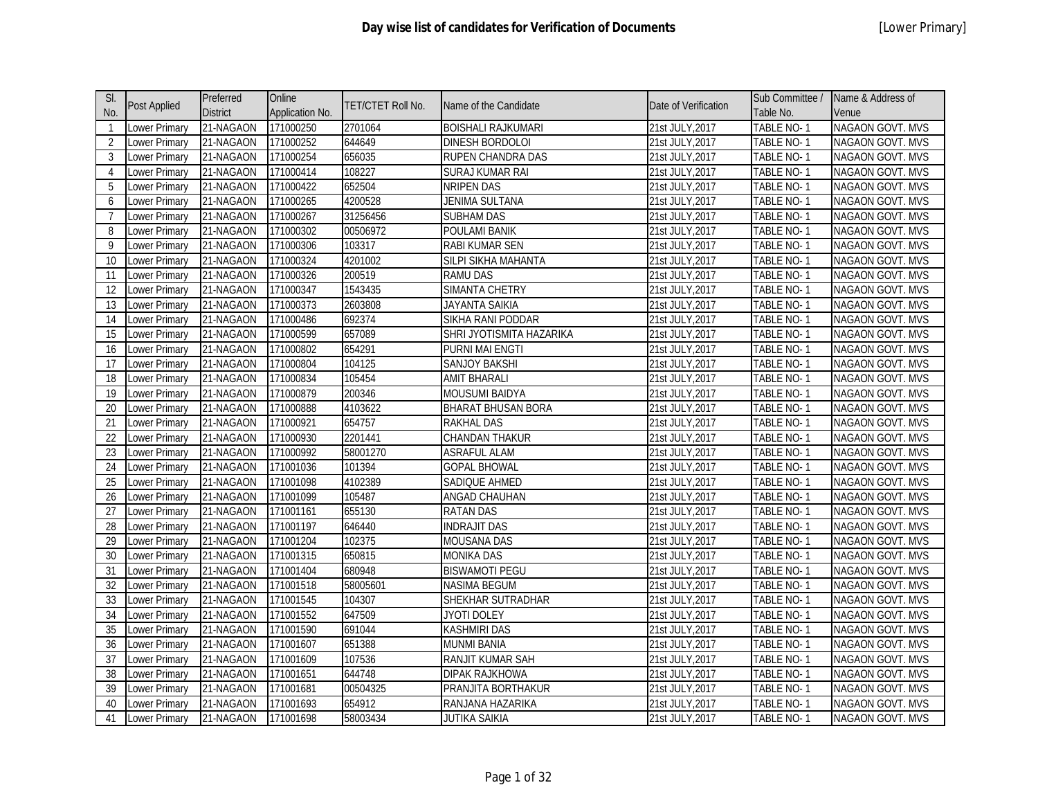| SI.            |               | Preferred       | Online          | <b>TET/CTET Roll No.</b> | Name of the Candidate     | Date of Verification | Sub Committee /   | Name & Address of       |
|----------------|---------------|-----------------|-----------------|--------------------------|---------------------------|----------------------|-------------------|-------------------------|
| No.            | Post Applied  | <b>District</b> | Application No. |                          |                           |                      | Table No.         | Venue                   |
| $\mathbf{1}$   | ower Primary  | 21-NAGAON       | 171000250       | 2701064                  | <b>BOISHALI RAJKUMARI</b> | 21st JULY, 2017      | <b>TABLE NO-1</b> | <b>NAGAON GOVT. MVS</b> |
| $\overline{2}$ | ower Primary  | 21-NAGAON       | 171000252       | 644649                   | DINESH BORDOLOI           | 21st JULY, 2017      | TABLE NO-1        | NAGAON GOVT. MVS        |
| 3              | ower Primary  | 21-NAGAON       | 171000254       | 656035                   | RUPEN CHANDRA DAS         | 21st JULY, 2017      | TABLE NO-1        | <b>NAGAON GOVT. MVS</b> |
| $\overline{4}$ | ower Primary  | 21-NAGAON       | 171000414       | 108227                   | SURAJ KUMAR RAI           | 21st JULY, 2017      | TABLE NO-1        | NAGAON GOVT. MVS        |
| 5              | Lower Primary | 21-NAGAON       | 171000422       | 652504                   | <b>NRIPEN DAS</b>         | 21st JULY, 2017      | <b>TABLE NO-1</b> | NAGAON GOVT. MVS        |
| 6              | Lower Primary | 21-NAGAON       | 171000265       | 4200528                  | <b>JENIMA SULTANA</b>     | 21st JULY, 2017      | TABLE NO-1        | NAGAON GOVT. MVS        |
| $\overline{7}$ | Lower Primary | 21-NAGAON       | 171000267       | 31256456                 | <b>SUBHAM DAS</b>         | 21st JULY, 2017      | TABLE NO-1        | NAGAON GOVT. MVS        |
| 8              | ower Primary  | 21-NAGAON       | 171000302       | 00506972                 | POULAMI BANIK             | 21st JULY, 2017      | TABLE NO-1        | NAGAON GOVT. MVS        |
| 9              | Lower Primary | 21-NAGAON       | 171000306       | 103317                   | <b>RABI KUMAR SEN</b>     | 21st JULY, 2017      | TABLE NO-1        | NAGAON GOVT. MVS        |
| 10             | ower Primary  | 21-NAGAON       | 171000324       | 4201002                  | SILPI SIKHA MAHANTA       | 21st JULY,2017       | TABLE NO-1        | <b>NAGAON GOVT. MVS</b> |
| 11             | Lower Primary | 21-NAGAON       | 171000326       | 200519                   | RAMU DAS                  | 21st JULY, 2017      | TABLE NO-1        | NAGAON GOVT. MVS        |
| 12             | Lower Primary | 21-NAGAON       | 171000347       | 1543435                  | <b>SIMANTA CHETRY</b>     | 21st JULY, 2017      | TABLE NO-1        | NAGAON GOVT. MVS        |
| 13             | Lower Primary | 21-NAGAON       | 171000373       | 2603808                  | JAYANTA SAIKIA            | 21st JULY, 2017      | TABLE NO-1        | NAGAON GOVT. MVS        |
| 14             | Lower Primary | 21-NAGAON       | 171000486       | 692374                   | SIKHA RANI PODDAR         | 21st JULY, 2017      | TABLE NO-1        | NAGAON GOVT. MVS        |
| 15             | Lower Primary | 21-NAGAON       | 171000599       | 657089                   | SHRI JYOTISMITA HAZARIKA  | 21st JULY, 2017      | TABLE NO-1        | NAGAON GOVT. MVS        |
| 16             | Lower Primary | 21-NAGAON       | 171000802       | 654291                   | <b>PURNI MAI ENGTI</b>    | 21st JULY, 2017      | TABLE NO-1        | NAGAON GOVT. MVS        |
| 17             | Lower Primary | 21-NAGAON       | 171000804       | 104125                   | SANJOY BAKSHI             | 21st JULY, 2017      | TABLE NO-1        | NAGAON GOVT. MVS        |
| 18             | Lower Primary | 21-NAGAON       | 171000834       | 105454                   | <b>AMIT BHARALI</b>       | 21st JULY, 2017      | TABLE NO-1        | NAGAON GOVT. MVS        |
| 19             | ower Primary  | 21-NAGAON       | 171000879       | 200346                   | <b>MOUSUMI BAIDYA</b>     | 21st JULY, 2017      | TABLE NO-1        | <b>NAGAON GOVT. MVS</b> |
| 20             | Lower Primary | 21-NAGAON       | 171000888       | 4103622                  | <b>BHARAT BHUSAN BORA</b> | 21st JULY, 2017      | TABLE NO-1        | NAGAON GOVT. MVS        |
| 21             | Lower Primary | 21-NAGAON       | 171000921       | 654757                   | <b>RAKHAL DAS</b>         | 21st JULY, 2017      | TABLE NO-1        | <b>NAGAON GOVT. MVS</b> |
| 22             | Lower Primary | 21-NAGAON       | 171000930       | 2201441                  | CHANDAN THAKUR            | 21st JULY, 2017      | TABLE NO-1        | NAGAON GOVT. MVS        |
| 23             | Lower Primary | 21-NAGAON       | 171000992       | 58001270                 | <b>ASRAFUL ALAM</b>       | 21st JULY, 2017      | TABLE NO-1        | <b>NAGAON GOVT. MVS</b> |
| 24             | Lower Primary | 21-NAGAON       | 171001036       | 101394                   | <b>GOPAL BHOWAL</b>       | 21st JULY, 2017      | TABLE NO-1        | NAGAON GOVT. MVS        |
| 25             | Lower Primary | 21-NAGAON       | 171001098       | 4102389                  | SADIQUE AHMED             | 21st JULY, 2017      | TABLE NO-1        | <b>NAGAON GOVT. MVS</b> |
| 26             | Lower Primary | 21-NAGAON       | 171001099       | 105487                   | <b>ANGAD CHAUHAN</b>      | 21st JULY, 2017      | TABLE NO-1        | NAGAON GOVT. MVS        |
| 27             | Lower Primary | 21-NAGAON       | 171001161       | 655130                   | <b>RATAN DAS</b>          | 21st JULY, 2017      | TABLE NO-1        | NAGAON GOVT. MVS        |
| 28             | ower Primary  | 21-NAGAON       | 171001197       | 646440                   | <b>INDRAJIT DAS</b>       | 21st JULY, 2017      | TABLE NO-1        | NAGAON GOVT. MVS        |
| 29             | Lower Primary | 21-NAGAON       | 171001204       | 102375                   | MOUSANA DAS               | 21st JULY, 2017      | TABLE NO-1        | NAGAON GOVT. MVS        |
| 30             | ower Primary  | 21-NAGAON       | 171001315       | 650815                   | <b>MONIKA DAS</b>         | 21st JULY, 2017      | TABLE NO-1        | NAGAON GOVT. MVS        |
| 31             | Lower Primary | 21-NAGAON       | 171001404       | 680948                   | <b>BISWAMOTI PEGU</b>     | 21st JULY, 2017      | TABLE NO-1        | NAGAON GOVT. MVS        |
| 32             | ower Primary  | 21-NAGAON       | 171001518       | 58005601                 | NASIMA BEGUM              | 21st JULY, 2017      | TABLE NO-1        | <b>NAGAON GOVT. MVS</b> |
| 33             | Lower Primary | 21-NAGAON       | 171001545       | 104307                   | SHEKHAR SUTRADHAR         | 21st JULY, 2017      | TABLE NO-1        | NAGAON GOVT. MVS        |
| 34             | Lower Primary | 21-NAGAON       | 171001552       | 647509                   | <b>JYOTI DOLEY</b>        | 21st JULY, 2017      | TABLE NO-1        | <b>NAGAON GOVT. MVS</b> |
| 35             | Lower Primary | 21-NAGAON       | 171001590       | 691044                   | KASHMIRI DAS              | 21st JULY, 2017      | TABLE NO-1        | NAGAON GOVT. MVS        |
| 36             | Lower Primary | 21-NAGAON       | 171001607       | 651388                   | <b>MUNMI BANIA</b>        | 21st JULY, 2017      | TABLE NO-1        | <b>NAGAON GOVT. MVS</b> |
| 37             | Lower Primary | 21-NAGAON       | 171001609       | 107536                   | RANJIT KUMAR SAH          | 21st JULY, 2017      | TABLE NO-1        | NAGAON GOVT. MVS        |
| 38             | Lower Primary | 21-NAGAON       | 171001651       | 644748                   | DIPAK RAJKHOWA            | 21st JULY, 2017      | TABLE NO-1        | <b>NAGAON GOVT. MVS</b> |
| 39             | ower Primary  | 21-NAGAON       | 171001681       | 00504325                 | PRANJITA BORTHAKUR        | 21st JULY,2017       | TABLE NO-1        | NAGAON GOVT. MVS        |
| 40             | ower Primary  | 21-NAGAON       | 171001693       | 654912                   | RANJANA HAZARIKA          | 21st JULY,2017       | TABLE NO- 1       | <b>NAGAON GOVT. MVS</b> |
| 41             | Lower Primary | 21-NAGAON       | 171001698       | 58003434                 | <b>JUTIKA SAIKIA</b>      | 21st JULY, 2017      | TABLE NO-1        | NAGAON GOVT. MVS        |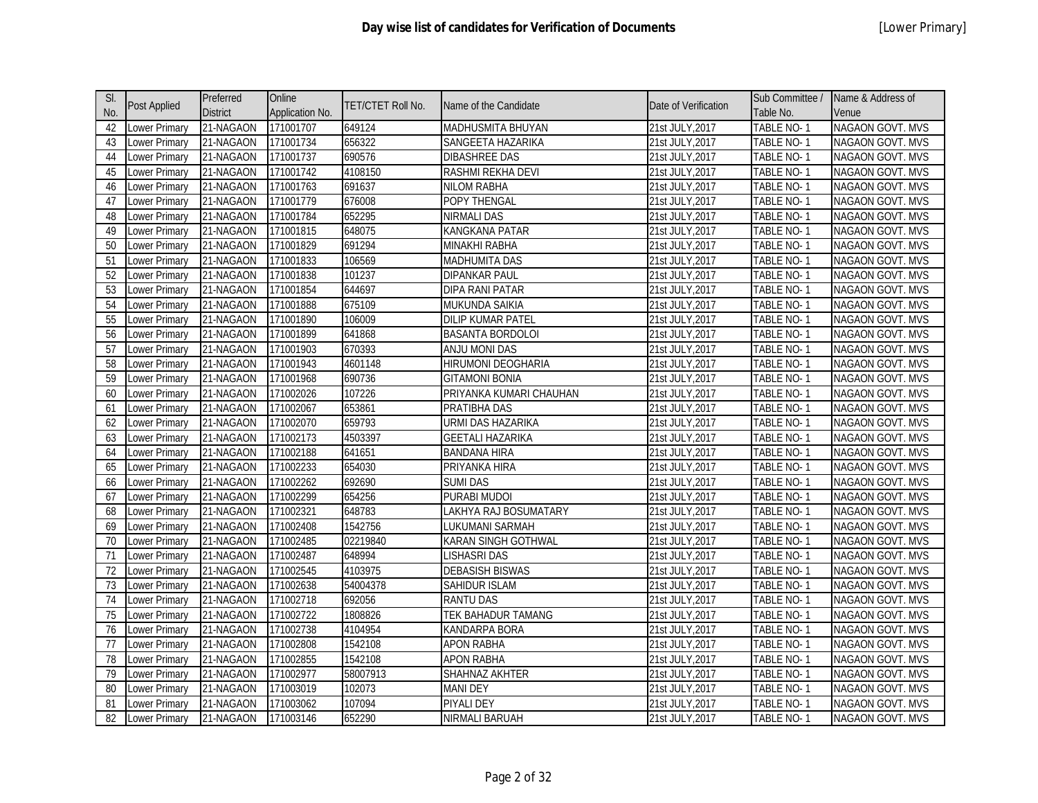| SI. |                      | Preferred       | Online          | TET/CTET Roll No. | Name of the Candidate    | Date of Verification | Sub Committee /   | Name & Address of       |
|-----|----------------------|-----------------|-----------------|-------------------|--------------------------|----------------------|-------------------|-------------------------|
| No. | <b>Post Applied</b>  | <b>District</b> | Application No. |                   |                          |                      | Table No.         | Venue                   |
| 42  | Lower Primary        | 21-NAGAON       | 171001707       | 649124            | <b>MADHUSMITA BHUYAN</b> | 21st JULY, 2017      | TABLE NO-1        | <b>NAGAON GOVT. MVS</b> |
| 43  | ower Primary         | 21-NAGAON       | 171001734       | 656322            | SANGEETA HAZARIKA        | 21st JULY, 2017      | TABLE NO-1        | <b>NAGAON GOVT. MVS</b> |
| 44  | Lower Primary        | 21-NAGAON       | 171001737       | 690576            | <b>DIBASHREE DAS</b>     | 21st JULY, 2017      | TABLE NO-1        | NAGAON GOVT. MVS        |
| 45  | ower Primary         | 21-NAGAON       | 171001742       | 4108150           | RASHMI REKHA DEVI        | 21st JULY, 2017      | TABLE NO-1        | <b>NAGAON GOVT. MVS</b> |
| 46  | ower Primary         | 21-NAGAON       | 171001763       | 691637            | <b>NILOM RABHA</b>       | 21st JULY, 2017      | TABLE NO-1        | NAGAON GOVT. MVS        |
| 47  | ower Primary         | 21-NAGAON       | 171001779       | 676008            | POPY THENGAL             | 21st JULY, 2017      | TABLE NO-1        | <b>NAGAON GOVT. MVS</b> |
| 48  | ower Primary         | 21-NAGAON       | 171001784       | 652295            | <b>NIRMALI DAS</b>       | 21st JULY, 2017      | TABLE NO-1        | NAGAON GOVT. MVS        |
| 49  | ower Primary         | 21-NAGAON       | 171001815       | 648075            | KANGKANA PATAR           | 21st JULY, 2017      | TABLE NO-1        | NAGAON GOVT. MVS        |
| 50  | Lower Primary        | 21-NAGAON       | 171001829       | 691294            | MINAKHI RABHA            | 21st JULY, 2017      | TABLE NO-1        | NAGAON GOVT. MVS        |
| 51  | Lower Primary        | 21-NAGAON       | 171001833       | 106569            | <b>MADHUMITA DAS</b>     | 21st JULY, 2017      | TABLE NO-1        | NAGAON GOVT. MVS        |
| 52  | Lower Primary        | 21-NAGAON       | 171001838       | 101237            | <b>DIPANKAR PAUL</b>     | 21st JULY, 2017      | TABLE NO-1        | <b>NAGAON GOVT. MVS</b> |
| 53  | Lower Primary        | 21-NAGAON       | 171001854       | 644697            | <b>DIPA RANI PATAR</b>   | 21st JULY, 2017      | TABLE NO-1        | NAGAON GOVT. MVS        |
| 54  | ower Primary         | 21-NAGAON       | 171001888       | 675109            | <b>MUKUNDA SAIKIA</b>    | 21st JULY, 2017      | TABLE NO-1        | <b>NAGAON GOVT. MVS</b> |
| 55  | Lower Primary        | 21-NAGAON       | 171001890       | 106009            | <b>DILIP KUMAR PATEL</b> | 21st JULY, 2017      | TABLE NO-1        | NAGAON GOVT. MVS        |
| 56  | ower Primary         | 21-NAGAON       | 171001899       | 641868            | <b>BASANTA BORDOLOI</b>  | 21st JULY, 2017      | <b>TABLE NO-1</b> | <b>NAGAON GOVT. MVS</b> |
| 57  | ower Primary         | 21-NAGAON       | 171001903       | 670393            | <b>ANJU MONI DAS</b>     | 21st JULY, 2017      | <b>TABLE NO-1</b> | <b>NAGAON GOVT. MVS</b> |
| 58  | ower Primary         | 21-NAGAON       | 171001943       | 4601148           | HIRUMONI DEOGHARIA       | 21st JULY, 2017      | <b>TABLE NO-1</b> | <b>NAGAON GOVT. MVS</b> |
| 59  | Lower Primary        | 21-NAGAON       | 171001968       | 690736            | <b>GITAMONI BONIA</b>    | 21st JULY, 2017      | TABLE NO-1        | <b>NAGAON GOVT. MVS</b> |
| 60  | Lower Primary        | 21-NAGAON       | 171002026       | 107226            | PRIYANKA KUMARI CHAUHAN  | 21st JULY, 2017      | <b>TABLE NO-1</b> | NAGAON GOVT. MVS        |
| 61  | Lower Primary        | 21-NAGAON       | 171002067       | 653861            | PRATIBHA DAS             | 21st JULY, 2017      | TABLE NO-1        | <b>NAGAON GOVT. MVS</b> |
| 62  | ower Primary         | 21-NAGAON       | 171002070       | 659793            | URMI DAS HAZARIKA        | 21st JULY, 2017      | TABLE NO-1        | NAGAON GOVT. MVS        |
| 63  | Lower Primary        | 21-NAGAON       | 171002173       | 4503397           | <b>GEETALI HAZARIKA</b>  | 21st JULY, 2017      | TABLE NO-1        | <b>NAGAON GOVT. MVS</b> |
| 64  | Lower Primary        | 21-NAGAON       | 171002188       | 641651            | <b>BANDANA HIRA</b>      | 21st JULY, 2017      | TABLE NO-1        | NAGAON GOVT. MVS        |
| 65  | ower Primary         | 21-NAGAON       | 171002233       | 654030            | PRIYANKA HIRA            | 21st JULY, 2017      | TABLE NO-1        | <b>NAGAON GOVT. MVS</b> |
| 66  | ower Primary         | 21-NAGAON       | 171002262       | 692690            | <b>SUMI DAS</b>          | 21st JULY, 2017      | TABLE NO-1        | NAGAON GOVT. MVS        |
| 67  | ower Primary         | 21-NAGAON       | 171002299       | 654256            | PURABI MUDOI             | 21st JULY, 2017      | TABLE NO-1        | NAGAON GOVT. MVS        |
| 68  | ower Primary         | 21-NAGAON       | 171002321       | 648783            | LAKHYA RAJ BOSUMATARY    | 21st JULY, 2017      | TABLE NO-1        | NAGAON GOVT. MVS        |
| 69  | ower Primary         | 21-NAGAON       | 171002408       | 1542756           | LUKUMANI SARMAH          | 21st JULY, 2017      | TABLE NO-1        | <b>NAGAON GOVT. MVS</b> |
| 70  | ower Primary         | 21-NAGAON       | 171002485       | 02219840          | KARAN SINGH GOTHWAL      | 21st JULY, 2017      | TABLE NO-1        | <b>NAGAON GOVT. MVS</b> |
| 71  | Lower Primary        | 21-NAGAON       | 171002487       | 648994            | LISHASRI DAS             | 21st JULY, 2017      | TABLE NO-1        | NAGAON GOVT. MVS        |
| 72  | Lower Primary        | 21-NAGAON       | 171002545       | 4103975           | <b>DEBASISH BISWAS</b>   | 21st JULY, 2017      | TABLE NO-1        | <b>NAGAON GOVT. MVS</b> |
| 73  | Lower Primary        | 21-NAGAON       | 171002638       | 54004378          | SAHIDUR ISLAM            | 21st JULY, 2017      | TABLE NO-1        | NAGAON GOVT. MVS        |
| 74  | Lower Primary        | 21-NAGAON       | 171002718       | 692056            | <b>RANTU DAS</b>         | 21st JULY, 2017      | TABLE NO-1        | NAGAON GOVT. MVS        |
| 75  | ower Primary         | 21-NAGAON       | 171002722       | 1808826           | TEK BAHADUR TAMANG       | 21st JULY, 2017      | TABLE NO-1        | NAGAON GOVT. MVS        |
| 76  | ower Primary         | 21-NAGAON       | 171002738       | 4104954           | KANDARPA BORA            | 21st JULY, 2017      | TABLE NO-1        | <b>NAGAON GOVT. MVS</b> |
| 77  | ower Primary         | 21-NAGAON       | 171002808       | 1542108           | <b>APON RABHA</b>        | 21st JULY, 2017      | TABLE NO-1        | <b>NAGAON GOVT. MVS</b> |
| 78  | ower Primary         | 21-NAGAON       | 171002855       | 1542108           | <b>APON RABHA</b>        | 21st JULY, 2017      | TABLE NO-1        | <b>NAGAON GOVT. MVS</b> |
| 79  | ower Primary         | 21-NAGAON       | 171002977       | 58007913          | SHAHNAZ AKHTER           | 21st JULY, 2017      | TABLE NO-1        | <b>NAGAON GOVT. MVS</b> |
| 80  | ower Primary         | 21-NAGAON       | 171003019       | 102073            | <b>MANI DEY</b>          | 21st JULY, 2017      | TABLE NO-1        | NAGAON GOVT. MVS        |
| 81  | ower Primary         | 21-NAGAON       | 171003062       | 107094            | PIYALI DEY               | 21st JULY,2017       | TABLE NO- 1       | <b>NAGAON GOVT. MVS</b> |
| 82  | <b>Lower Primary</b> | 21-NAGAON       | 171003146       | 652290            | NIRMALI BARUAH           | 21st JULY, 2017      | TABLE NO-1        | NAGAON GOVT. MVS        |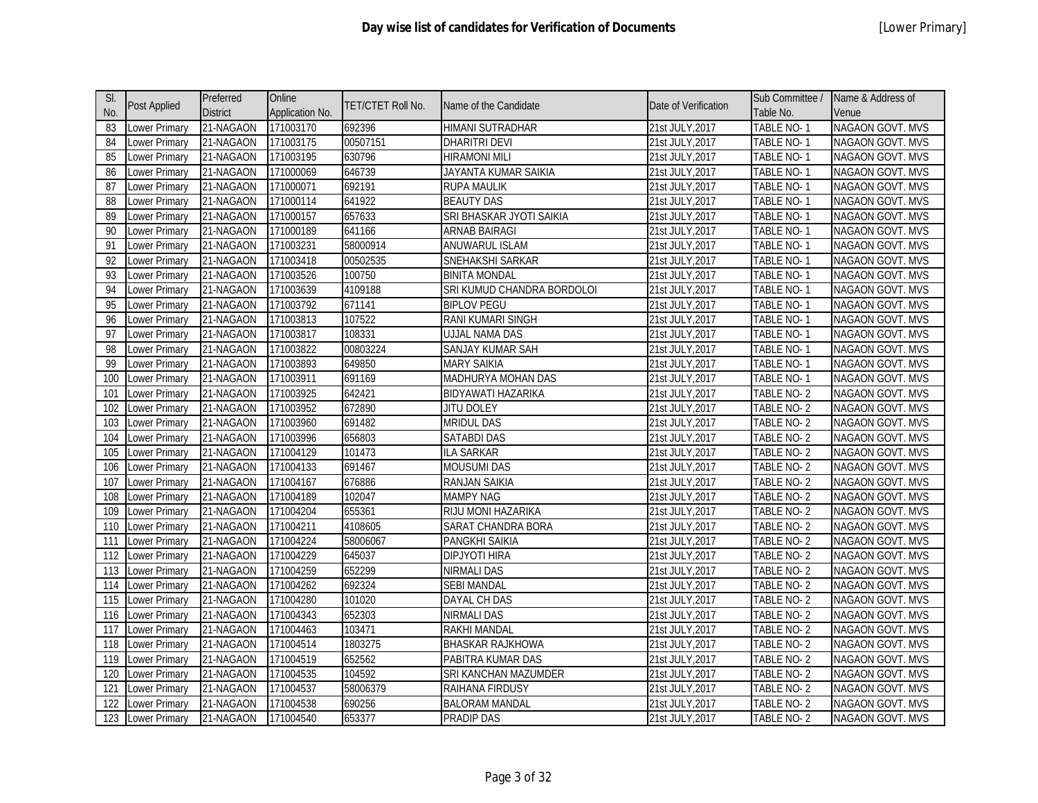| SI. | <b>Post Applied</b>  | Preferred       | Online          | TET/CTET Roll No. | Name of the Candidate      | Date of Verification | Sub Committee /   | Name & Address of       |
|-----|----------------------|-----------------|-----------------|-------------------|----------------------------|----------------------|-------------------|-------------------------|
| No. |                      | <b>District</b> | Application No. |                   |                            |                      | Table No.         | Venue                   |
| 83  | Lower Primary        | 21-NAGAON       | 171003170       | 692396            | <b>HIMANI SUTRADHAR</b>    | 21st JULY, 2017      | TABLE NO-1        | <b>NAGAON GOVT. MVS</b> |
| 84  | ower Primary         | 21-NAGAON       | 171003175       | 00507151          | <b>DHARITRI DEVI</b>       | 21st JULY, 2017      | TABLE NO-1        | <b>NAGAON GOVT. MVS</b> |
| 85  | Lower Primary        | 21-NAGAON       | 171003195       | 630796            | <b>HIRAMONI MILI</b>       | 21st JULY, 2017      | TABLE NO-1        | NAGAON GOVT. MVS        |
| 86  | ower Primary         | 21-NAGAON       | 171000069       | 646739            | JAYANTA KUMAR SAIKIA       | 21st JULY, 2017      | TABLE NO-1        | <b>NAGAON GOVT. MVS</b> |
| 87  | ower Primary         | 21-NAGAON       | 171000071       | 692191            | <b>RUPA MAULIK</b>         | 21st JULY, 2017      | TABLE NO-1        | NAGAON GOVT. MVS        |
| 88  | ower Primary         | 21-NAGAON       | 171000114       | 641922            | <b>BEAUTY DAS</b>          | 21st JULY, 2017      | TABLE NO-1        | <b>NAGAON GOVT. MVS</b> |
| 89  | ower Primary         | 21-NAGAON       | 171000157       | 657633            | SRI BHASKAR JYOTI SAIKIA   | 21st JULY, 2017      | TABLE NO-1        | NAGAON GOVT. MVS        |
| 90  | ower Primary         | 21-NAGAON       | 171000189       | 641166            | <b>ARNAB BAIRAGI</b>       | 21st JULY, 2017      | TABLE NO-1        | NAGAON GOVT. MVS        |
| 91  | ower Primary         | 21-NAGAON       | 171003231       | 58000914          | ANUWARUL ISLAM             | 21st JULY, 2017      | TABLE NO-1        | NAGAON GOVT. MVS        |
| 92  | ower Primary         | 21-NAGAON       | 171003418       | 00502535          | SNEHAKSHI SARKAR           | 21st JULY, 2017      | TABLE NO-1        | NAGAON GOVT. MVS        |
| 93  | Lower Primary        | 21-NAGAON       | 171003526       | 100750            | <b>BINITA MONDAL</b>       | 21st JULY, 2017      | TABLE NO-1        | <b>NAGAON GOVT. MVS</b> |
| 94  | Lower Primary        | 21-NAGAON       | 171003639       | 4109188           | SRI KUMUD CHANDRA BORDOLOI | 21st JULY, 2017      | TABLE NO-1        | NAGAON GOVT. MVS        |
| 95  | ower Primary         | 21-NAGAON       | 171003792       | 671141            | <b>BIPLOV PEGU</b>         | 21st JULY, 2017      | TABLE NO-1        | <b>NAGAON GOVT. MVS</b> |
| 96  | Lower Primary        | 21-NAGAON       | 171003813       | 107522            | RANI KUMARI SINGH          | 21st JULY, 2017      | TABLE NO-1        | NAGAON GOVT. MVS        |
| 97  | Lower Primary        | 21-NAGAON       | 171003817       | 108331            | <b>UJJAL NAMA DAS</b>      | 21st JULY, 2017      | <b>TABLE NO-1</b> | <b>NAGAON GOVT. MVS</b> |
| 98  | ower Primary         | 21-NAGAON       | 171003822       | 00803224          | <b>SANJAY KUMAR SAH</b>    | 21st JULY, 2017      | <b>TABLE NO-1</b> | <b>NAGAON GOVT. MVS</b> |
| 99  | ower Primary         | 21-NAGAON       | 171003893       | 649850            | <b>MARY SAIKIA</b>         | 21st JULY, 2017      | <b>TABLE NO-1</b> | NAGAON GOVT. MVS        |
| 100 | Lower Primary        | 21-NAGAON       | 171003911       | 691169            | MADHURYA MOHAN DAS         | 21st JULY, 2017      | TABLE NO-1        | NAGAON GOVT. MVS        |
| 101 | Lower Primary        | 21-NAGAON       | 171003925       | 642421            | BIDYAWATI HAZARIKA         | 21st JULY, 2017      | <b>TABLE NO-2</b> | NAGAON GOVT. MVS        |
| 102 | Lower Primary        | 21-NAGAON       | 171003952       | 672890            | <b>JITU DOLEY</b>          | 21st JULY, 2017      | TABLE NO-2        | <b>NAGAON GOVT. MVS</b> |
| 103 | Lower Primary        | 21-NAGAON       | 171003960       | 691482            | <b>MRIDUL DAS</b>          | 21st JULY, 2017      | TABLE NO-2        | NAGAON GOVT. MVS        |
| 104 | Lower Primary        | 21-NAGAON       | 171003996       | 656803            | <b>SATABDI DAS</b>         | 21st JULY, 2017      | TABLE NO-2        | <b>NAGAON GOVT. MVS</b> |
| 105 | Lower Primary        | 21-NAGAON       | 171004129       | 101473            | <b>ILA SARKAR</b>          | 21st JULY, 2017      | TABLE NO-2        | NAGAON GOVT. MVS        |
| 106 | ower Primary         | 21-NAGAON       | 171004133       | 691467            | <b>MOUSUMI DAS</b>         | 21st JULY, 2017      | TABLE NO-2        | <b>NAGAON GOVT. MVS</b> |
| 107 | ower Primary         | 21-NAGAON       | 171004167       | 676886            | RANJAN SAIKIA              | 21st JULY, 2017      | TABLE NO-2        | NAGAON GOVT. MVS        |
| 108 | ower Primary         | 21-NAGAON       | 171004189       | 102047            | <b>MAMPY NAG</b>           | 21st JULY, 2017      | TABLE NO-2        | NAGAON GOVT. MVS        |
| 109 | ower Primary         | 21-NAGAON       | 171004204       | 655361            | <b>RIJU MONI HAZARIKA</b>  | 21st JULY, 2017      | TABLE NO-2        | NAGAON GOVT. MVS        |
| 110 | Lower Primary        | 21-NAGAON       | 171004211       | 4108605           | SARAT CHANDRA BORA         | 21st JULY, 2017      | TABLE NO-2        | <b>NAGAON GOVT. MVS</b> |
| 111 | Lower Primary        | 21-NAGAON       | 171004224       | 58006067          | PANGKHI SAIKIA             | 21st JULY, 2017      | TABLE NO-2        | NAGAON GOVT. MVS        |
| 112 | Lower Primary        | 21-NAGAON       | 171004229       | 645037            | <b>DIPJYOTI HIRA</b>       | 21st JULY, 2017      | TABLE NO-2        | NAGAON GOVT. MVS        |
| 113 | Lower Primary        | 21-NAGAON       | 171004259       | 652299            | <b>NIRMALI DAS</b>         | 21st JULY, 2017      | TABLE NO-2        | <b>NAGAON GOVT. MVS</b> |
| 114 | Lower Primary        | 21-NAGAON       | 171004262       | 692324            | <b>SEBI MANDAL</b>         | 21st JULY, 2017      | TABLE NO-2        | NAGAON GOVT. MVS        |
| 115 | Lower Primary        | 21-NAGAON       | 171004280       | 101020            | DAYAL CH DAS               | 21st JULY, 2017      | TABLE NO-2        | NAGAON GOVT. MVS        |
| 116 | ower Primary         | 21-NAGAON       | 171004343       | 652303            | <b>NIRMALI DAS</b>         | 21st JULY, 2017      | TABLE NO-2        | NAGAON GOVT. MVS        |
| 117 | ower Primary         | 21-NAGAON       | 171004463       | 103471            | <b>RAKHI MANDAL</b>        | 21st JULY, 2017      | TABLE NO-2        | <b>NAGAON GOVT. MVS</b> |
| 118 | ower Primary         | 21-NAGAON       | 171004514       | 1803275           | <b>BHASKAR RAJKHOWA</b>    | 21st JULY, 2017      | TABLE NO-2        | <b>NAGAON GOVT. MVS</b> |
| 119 | Lower Primary        | 21-NAGAON       | 171004519       | 652562            | PABITRA KUMAR DAS          | 21st JULY, 2017      | TABLE NO-2        | <b>NAGAON GOVT. MVS</b> |
| 120 | ower Primary         | 21-NAGAON       | 171004535       | 104592            | SRI KANCHAN MAZUMDER       | 21st JULY, 2017      | TABLE NO-2        | <b>NAGAON GOVT. MVS</b> |
| 121 | Lower Primary        | 21-NAGAON       | 171004537       | 58006379          | RAIHANA FIRDUSY            | 21st JULY, 2017      | TABLE NO-2        | NAGAON GOVT. MVS        |
| 122 | ower Primary         | 21-NAGAON       | 171004538       | 690256            | BALORAM MANDAL             | 21st JULY,2017       | TABLE NO- 2       | <b>NAGAON GOVT. MVS</b> |
| 123 | <b>Lower Primary</b> | 21-NAGAON       | 171004540       | 653377            | PRADIP DAS                 | 21st JULY, 2017      | TABLE NO-2        | NAGAON GOVT. MVS        |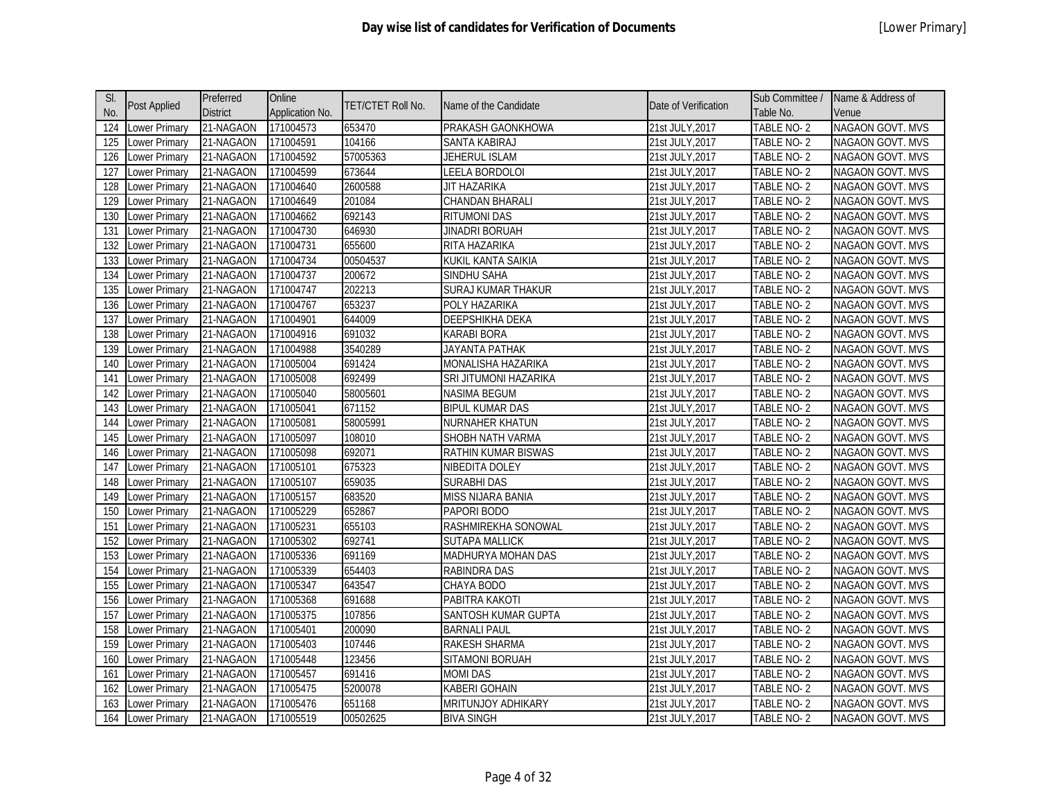| SI.              |                      | Preferred       | Online          |                          |                           |                      | Sub Committee / | Name & Address of       |
|------------------|----------------------|-----------------|-----------------|--------------------------|---------------------------|----------------------|-----------------|-------------------------|
| No.              | Post Applied         | <b>District</b> | Application No. | <b>TET/CTET Roll No.</b> | Name of the Candidate     | Date of Verification | Table No.       | Venue                   |
| 124              | Lower Primary        | 21-NAGAON       | 171004573       | 653470                   | PRAKASH GAONKHOWA         | 21st JULY, 2017      | TABLE NO-2      | <b>NAGAON GOVT. MVS</b> |
| 125              | Lower Primary        | 21-NAGAON       | 171004591       | 104166                   | SANTA KABIRAJ             | 21st JULY, 2017      | TABLE NO-2      | NAGAON GOVT. MVS        |
| 126              | Lower Primary        | 21-NAGAON       | 171004592       | 57005363                 | JEHERUL ISLAM             | 21st JULY, 2017      | TABLE NO-2      | <b>NAGAON GOVT. MVS</b> |
| 127              | Lower Primary        | 21-NAGAON       | 171004599       | 673644                   | LEELA BORDOLOI            | 21st JULY, 2017      | TABLE NO-2      | NAGAON GOVT. MVS        |
| 128              | Lower Primary        | 21-NAGAON       | 171004640       | 2600588                  | <b>JIT HAZARIKA</b>       | 21st JULY, 2017      | TABLE NO-2      | NAGAON GOVT. MVS        |
| 129              | Lower Primary        | 21-NAGAON       | 171004649       | 201084                   | CHANDAN BHARALI           | 21st JULY, 2017      | TABLE NO-2      | NAGAON GOVT. MVS        |
| 130              | Lower Primary        | 21-NAGAON       | 171004662       | 692143                   | <b>RITUMONI DAS</b>       | 21st JULY, 2017      | TABLE NO-2      | NAGAON GOVT. MVS        |
| 131              | Lower Primary        | 21-NAGAON       | 171004730       | 646930                   | <b>JINADRI BORUAH</b>     | 21st JULY, 2017      | TABLE NO-2      | <b>NAGAON GOVT. MVS</b> |
| 132              | Lower Primary        | 21-NAGAON       | 171004731       | 655600                   | RITA HAZARIKA             | 21st JULY, 2017      | TABLE NO-2      | NAGAON GOVT. MVS        |
| 133              | ower Primary         | 21-NAGAON       | 171004734       | 00504537                 | KUKIL KANTA SAIKIA        | 21st JULY,2017       | TABLE NO-2      | <b>NAGAON GOVT. MVS</b> |
| 134              | Lower Primary        | 21-NAGAON       | 171004737       | 200672                   | SINDHU SAHA               | 21st JULY, 2017      | TABLE NO-2      | NAGAON GOVT. MVS        |
| 135              | Lower Primary        | 21-NAGAON       | 171004747       | 202213                   | <b>SURAJ KUMAR THAKUR</b> | 21st JULY, 2017      | TABLE NO-2      | <b>NAGAON GOVT. MVS</b> |
| 136              | Lower Primary        | 21-NAGAON       | 171004767       | 653237                   | POLY HAZARIKA             | 21st JULY, 2017      | TABLE NO-2      | NAGAON GOVT. MVS        |
| $\overline{137}$ | Lower Primary        | 21-NAGAON       | 171004901       | 644009                   | <b>DEEPSHIKHA DEKA</b>    | 21st JULY, 2017      | TABLE NO-2      | NAGAON GOVT. MVS        |
| 138              | Lower Primary        | 21-NAGAON       | 171004916       | 691032                   | <b>KARABI BORA</b>        | 21st JULY, 2017      | TABLE NO-2      | NAGAON GOVT. MVS        |
| 139              | Lower Primary        | 21-NAGAON       | 171004988       | 3540289                  | <b>JAYANTA PATHAK</b>     | 21st JULY, 2017      | TABLE NO-2      | NAGAON GOVT. MVS        |
| 140              | Lower Primary        | 21-NAGAON       | 171005004       | 691424                   | MONALISHA HAZARIKA        | 21st JULY, 2017      | TABLE NO-2      | NAGAON GOVT. MVS        |
| 141              | Lower Primary        | 21-NAGAON       | 171005008       | 692499                   | SRI JITUMONI HAZARIKA     | 21st JULY, 2017      | TABLE NO-2      | NAGAON GOVT. MVS        |
| 142              | ower Primary         | 21-NAGAON       | 171005040       | 58005601                 | <b>NASIMA BEGUM</b>       | 21st JULY, 2017      | TABLE NO-2      | <b>NAGAON GOVT. MVS</b> |
| 143              | Lower Primary        | 21-NAGAON       | 171005041       | 671152                   | <b>BIPUL KUMAR DAS</b>    | 21st JULY, 2017      | TABLE NO-2      | NAGAON GOVT. MVS        |
| 144              | Lower Primary        | 21-NAGAON       | 171005081       | 58005991                 | NURNAHER KHATUN           | 21st JULY, 2017      | TABLE NO-2      | <b>NAGAON GOVT. MVS</b> |
| 145              | Lower Primary        | 21-NAGAON       | 171005097       | 108010                   | SHOBH NATH VARMA          | 21st JULY, 2017      | TABLE NO-2      | NAGAON GOVT. MVS        |
| 146              | Lower Primary        | 21-NAGAON       | 171005098       | 692071                   | RATHIN KUMAR BISWAS       | 21st JULY, 2017      | TABLE NO-2      | NAGAON GOVT. MVS        |
| 147              | Lower Primary        | 21-NAGAON       | 171005101       | 675323                   | NIBEDITA DOLEY            | 21st JULY, 2017      | TABLE NO-2      | NAGAON GOVT. MVS        |
| 148              | Lower Primary        | 21-NAGAON       | 171005107       | 659035                   | <b>SURABHI DAS</b>        | 21st JULY, 2017      | TABLE NO-2      | NAGAON GOVT. MVS        |
| 149              | Lower Primary        | 21-NAGAON       | 171005157       | 683520                   | MISS NIJARA BANIA         | 21st JULY, 2017      | TABLE NO-2      | NAGAON GOVT. MVS        |
| 150              | Lower Primary        | 21-NAGAON       | 171005229       | 652867                   | PAPORI BODO               | 21st JULY, 2017      | TABLE NO-2      | NAGAON GOVT. MVS        |
| 151              | Lower Primary        | 21-NAGAON       | 171005231       | 655103                   | RASHMIREKHA SONOWAL       | 21st JULY, 2017      | TABLE NO-2      | NAGAON GOVT. MVS        |
| 152              | Lower Primary        | 21-NAGAON       | 171005302       | 692741                   | <b>SUTAPA MALLICK</b>     | 21st JULY, 2017      | TABLE NO-2      | NAGAON GOVT. MVS        |
| 153              | ower Primary         | 21-NAGAON       | 171005336       | 691169                   | MADHURYA MOHAN DAS        | 21st JULY, 2017      | TABLE NO-2      | NAGAON GOVT. MVS        |
| 154              | Lower Primary        | 21-NAGAON       | 171005339       | 654403                   | RABINDRA DAS              | 21st JULY, 2017      | TABLE NO-2      | NAGAON GOVT. MVS        |
| 155              | Lower Primary        | 21-NAGAON       | 171005347       | 643547                   | CHAYA BODO                | 21st JULY, 2017      | TABLE NO-2      | NAGAON GOVT. MVS        |
| 156              | Lower Primary        | 21-NAGAON       | 171005368       | 691688                   | PABITRA KAKOTI            | 21st JULY, 2017      | TABLE NO-2      | NAGAON GOVT. MVS        |
| 157              | Lower Primary        | 21-NAGAON       | 171005375       | 107856                   | SANTOSH KUMAR GUPTA       | 21st JULY, 2017      | TABLE NO-2      | NAGAON GOVT. MVS        |
| 158              | Lower Primary        | 21-NAGAON       | 171005401       | 200090                   | <b>BARNALI PAUL</b>       | 21st JULY, 2017      | TABLE NO-2      | NAGAON GOVT. MVS        |
| 159              | Lower Primary        | 21-NAGAON       | 171005403       | 107446                   | RAKESH SHARMA             | 21st JULY, 2017      | TABLE NO-2      | NAGAON GOVT. MVS        |
| 160              | Lower Primary        | 21-NAGAON       | 171005448       | 123456                   | SITAMONI BORUAH           | 21st JULY, 2017      | TABLE NO-2      | <b>NAGAON GOVT. MVS</b> |
| 161              | Lower Primary        | 21-NAGAON       | 171005457       | 691416                   | <b>MOMI DAS</b>           | 21st JULY, 2017      | TABLE NO-2      | NAGAON GOVT. MVS        |
| 162              | ower Primary         | 21-NAGAON       | 171005475       | 5200078                  | <b>KABERI GOHAIN</b>      | 21st JULY, 2017      | TABLE NO-2      | NAGAON GOVT. MVS        |
| 163              | _ower Primary        | 21-NAGAON       | 171005476       | 651168                   | MRITUNJOY ADHIKARY        | 21st JULY,2017       | TABLE NO- 2     | <b>NAGAON GOVT. MVS</b> |
| 164              | <b>Lower Primary</b> | 21-NAGAON       | 171005519       | 00502625                 | <b>BIVA SINGH</b>         | 21st JULY, 2017      | TABLE NO-2      | NAGAON GOVT. MVS        |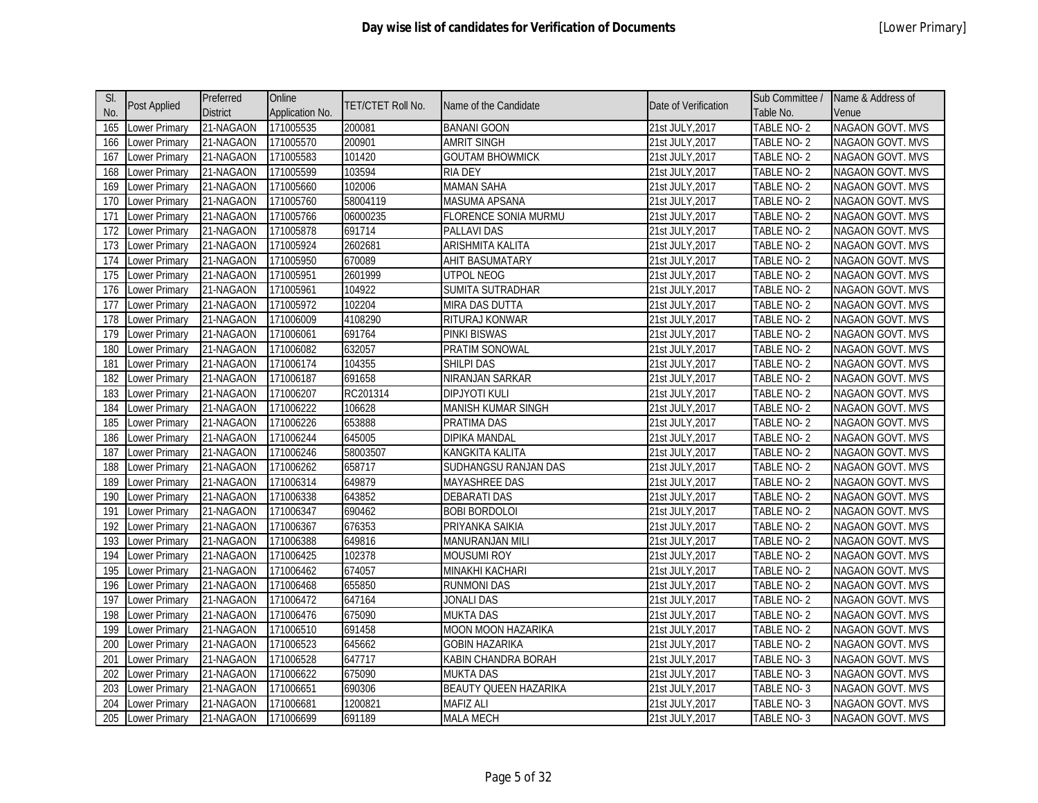| SI. |                      | Preferred       | Online          |                          |                              |                      | Sub Committee /   | Name & Address of       |
|-----|----------------------|-----------------|-----------------|--------------------------|------------------------------|----------------------|-------------------|-------------------------|
| No. | Post Applied         | <b>District</b> | Application No. | <b>TET/CTET Roll No.</b> | Name of the Candidate        | Date of Verification | Table No.         | Venue                   |
| 165 | Lower Primary        | 21-NAGAON       | 171005535       | 200081                   | <b>BANANI GOON</b>           | 21st JULY, 2017      | TABLE NO-2        | NAGAON GOVT. MVS        |
| 166 | Lower Primary        | 21-NAGAON       | 171005570       | 200901                   | <b>AMRIT SINGH</b>           | 21st JULY, 2017      | TABLE NO-2        | NAGAON GOVT. MVS        |
| 167 | Lower Primary        | 21-NAGAON       | 171005583       | 101420                   | <b>GOUTAM BHOWMICK</b>       | 21st JULY, 2017      | TABLE NO-2        | NAGAON GOVT. MVS        |
| 168 | Lower Primary        | 21-NAGAON       | 171005599       | 103594                   | <b>RIA DEY</b>               | 21st JULY, 2017      | TABLE NO-2        | NAGAON GOVT. MVS        |
| 169 | Lower Primary        | 21-NAGAON       | 171005660       | 102006                   | <b>MAMAN SAHA</b>            | 21st JULY, 2017      | <b>TABLE NO-2</b> | NAGAON GOVT. MVS        |
| 170 | Lower Primary        | 21-NAGAON       | 171005760       | 58004119                 | MASUMA APSANA                | 21st JULY, 2017      | TABLE NO-2        | NAGAON GOVT. MVS        |
| 171 | Lower Primary        | 21-NAGAON       | 171005766       | 06000235                 | FLORENCE SONIA MURMU         | 21st JULY, 2017      | TABLE NO-2        | NAGAON GOVT. MVS        |
| 172 | Lower Primary        | 21-NAGAON       | 171005878       | 691714                   | <b>PALLAVI DAS</b>           | 21st JULY, 2017      | TABLE NO-2        | NAGAON GOVT. MVS        |
| 173 | Lower Primary        | 21-NAGAON       | 171005924       | 2602681                  | <b>ARISHMITA KALITA</b>      | 21st JULY, 2017      | TABLE NO-2        | NAGAON GOVT. MVS        |
| 174 | ower Primary         | 21-NAGAON       | 171005950       | 670089                   | AHIT BASUMATARY              | 21st JULY, 2017      | TABLE NO-2        | NAGAON GOVT. MVS        |
| 175 | Lower Primary        | 21-NAGAON       | 171005951       | 2601999                  | UTPOL NEOG                   | 21st JULY, 2017      | TABLE NO-2        | NAGAON GOVT. MVS        |
| 176 | Lower Primary        | 21-NAGAON       | 171005961       | 104922                   | SUMITA SUTRADHAR             | 21st JULY, 2017      | <b>TABLE NO-2</b> | NAGAON GOVT. MVS        |
| 177 | Lower Primary        | 21-NAGAON       | 171005972       | 102204                   | MIRA DAS DUTTA               | 21st JULY, 2017      | TABLE NO-2        | NAGAON GOVT. MVS        |
| 178 | Lower Primary        | 21-NAGAON       | 171006009       | 4108290                  | RITURAJ KONWAR               | 21st JULY, 2017      | TABLE NO-2        | <b>NAGAON GOVT. MVS</b> |
| 179 | Lower Primary        | 21-NAGAON       | 171006061       | 691764                   | <b>PINKI BISWAS</b>          | 21st JULY, 2017      | <b>TABLE NO-2</b> | NAGAON GOVT. MVS        |
| 180 | Lower Primary        | 21-NAGAON       | 171006082       | 632057                   | <b>PRATIM SONOWAL</b>        | 21st JULY, 2017      | <b>TABLE NO-2</b> | <b>NAGAON GOVT. MVS</b> |
| 181 | Lower Primary        | 21-NAGAON       | 171006174       | 104355                   | SHILPI DAS                   | 21st JULY, 2017      | TABLE NO-2        | NAGAON GOVT. MVS        |
| 182 | Lower Primary        | 21-NAGAON       | 171006187       | 691658                   | <b>NIRANJAN SARKAR</b>       | 21st JULY, 2017      | TABLE NO-2        | NAGAON GOVT. MVS        |
| 183 | Lower Primary        | 21-NAGAON       | 171006207       | RC201314                 | DIPJYOTI KULI                | 21st JULY, 2017      | TABLE NO-2        | NAGAON GOVT. MVS        |
| 184 | Lower Primary        | 21-NAGAON       | 171006222       | 106628                   | <b>MANISH KUMAR SINGH</b>    | 21st JULY, 2017      | TABLE NO-2        | <b>NAGAON GOVT. MVS</b> |
| 185 | Lower Primary        | 21-NAGAON       | 171006226       | 653888                   | PRATIMA DAS                  | 21st JULY, 2017      | TABLE NO-2        | NAGAON GOVT. MVS        |
| 186 | Lower Primary        | 21-NAGAON       | 171006244       | 645005                   | DIPIKA MANDAL                | 21st JULY, 2017      | TABLE NO-2        | NAGAON GOVT. MVS        |
| 187 | Lower Primary        | 21-NAGAON       | 171006246       | 58003507                 | KANGKITA KALITA              | 21st JULY, 2017      | TABLE NO-2        | NAGAON GOVT. MVS        |
| 188 | Lower Primary        | 21-NAGAON       | 171006262       | 658717                   | SUDHANGSU RANJAN DAS         | 21st JULY, 2017      | TABLE NO-2        | NAGAON GOVT. MVS        |
| 189 | Lower Primary        | 21-NAGAON       | 171006314       | 649879                   | MAYASHREE DAS                | 21st JULY, 2017      | TABLE NO-2        | NAGAON GOVT. MVS        |
| 190 | Lower Primary        | 21-NAGAON       | 171006338       | 643852                   | <b>DEBARATI DAS</b>          | 21st JULY, 2017      | TABLE NO-2        | NAGAON GOVT. MVS        |
| 191 | Lower Primary        | 21-NAGAON       | 171006347       | 690462                   | <b>BOBI BORDOLOI</b>         | 21st JULY, 2017      | TABLE NO-2        | NAGAON GOVT. MVS        |
| 192 | Lower Primary        | 21-NAGAON       | 171006367       | 676353                   | PRIYANKA SAIKIA              | 21st JULY, 2017      | TABLE NO-2        | NAGAON GOVT. MVS        |
| 193 | Lower Primary        | 21-NAGAON       | 171006388       | 649816                   | MANURANJAN MILI              | 21st JULY, 2017      | TABLE NO-2        | NAGAON GOVT. MVS        |
| 194 | ower Primary         | 21-NAGAON       | 171006425       | 102378                   | <b>MOUSUMI ROY</b>           | 21st JULY, 2017      | TABLE NO-2        | NAGAON GOVT. MVS        |
| 195 | Lower Primary        | 21-NAGAON       | 171006462       | 674057                   | MINAKHI KACHARI              | 21st JULY, 2017      | TABLE NO-2        | NAGAON GOVT. MVS        |
| 196 | Lower Primary        | 21-NAGAON       | 171006468       | 655850                   | RUNMONI DAS                  | 21st JULY, 2017      | TABLE NO-2        | NAGAON GOVT. MVS        |
| 197 | Lower Primary        | 21-NAGAON       | 171006472       | 647164                   | <b>JONALI DAS</b>            | 21st JULY, 2017      | TABLE NO-2        | NAGAON GOVT. MVS        |
| 198 | Lower Primary        | 21-NAGAON       | 171006476       | 675090                   | <b>MUKTA DAS</b>             | 21st JULY, 2017      | TABLE NO-2        | NAGAON GOVT. MVS        |
| 199 | Lower Primary        | 21-NAGAON       | 171006510       | 691458                   | <b>MOON MOON HAZARIKA</b>    | 21st JULY, 2017      | TABLE NO-2        | NAGAON GOVT. MVS        |
| 200 | Lower Primary        | 21-NAGAON       | 171006523       | 645662                   | <b>GOBIN HAZARIKA</b>        | 21st JULY, 2017      | TABLE NO-2        | NAGAON GOVT. MVS        |
| 201 | Lower Primary        | 21-NAGAON       | 171006528       | 647717                   | KABIN CHANDRA BORAH          | 21st JULY, 2017      | TABLE NO-3        | NAGAON GOVT. MVS        |
| 202 | Lower Primary        | 21-NAGAON       | 171006622       | 675090                   | MUKTA DAS                    | 21st JULY, 2017      | TABLE NO-3        | NAGAON GOVT. MVS        |
| 203 | ower Primary         | 21-NAGAON       | 171006651       | 690306                   | <b>BEAUTY QUEEN HAZARIKA</b> | 21st JULY, 2017      | TABLE NO-3        | NAGAON GOVT. MVS        |
| 204 | Lower Primary        | 21-NAGAON       | 171006681       | 1200821                  | <b>MAFIZ ALI</b>             | 21st JULY,2017       | TABLE NO-3        | NAGAON GOVT. MVS        |
| 205 | <b>Lower Primary</b> | 21-NAGAON       | 171006699       | 691189                   | <b>MALA MECH</b>             | 21st JULY, 2017      | TABLE NO-3        | NAGAON GOVT. MVS        |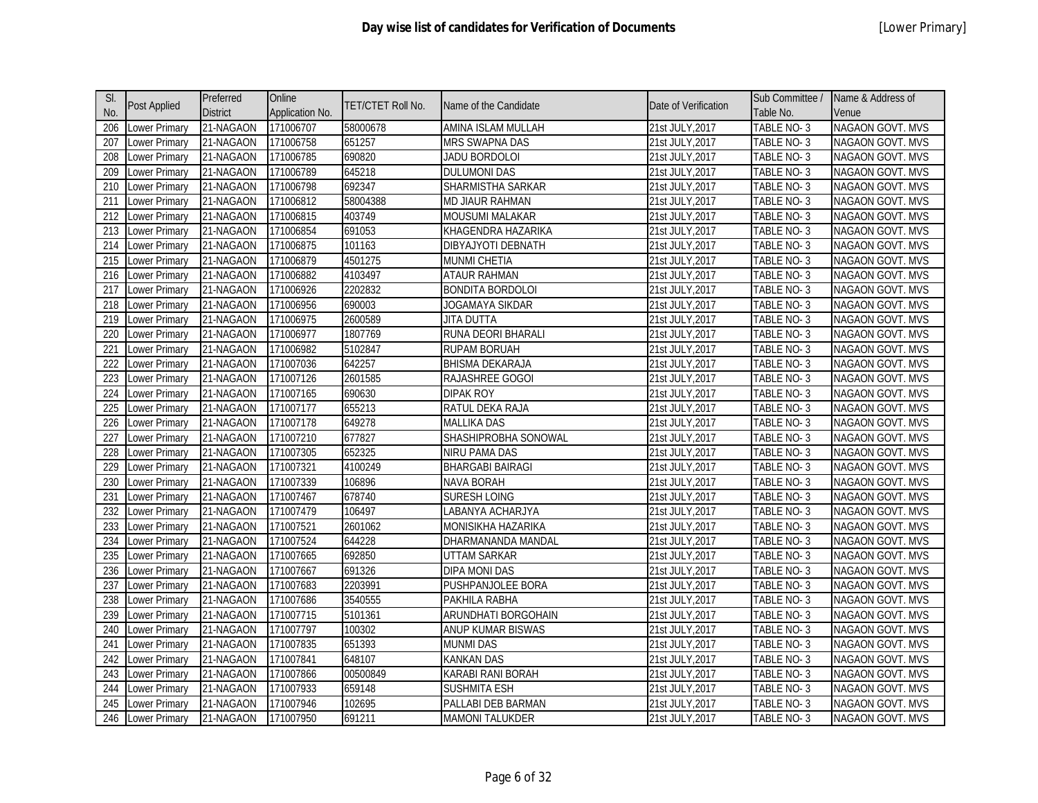| SI.              |                      | Preferred       | Online          |                   |                            |                      | Sub Committee /   | Name & Address of       |
|------------------|----------------------|-----------------|-----------------|-------------------|----------------------------|----------------------|-------------------|-------------------------|
| No.              | <b>Post Applied</b>  | <b>District</b> | Application No. | TET/CTET Roll No. | Name of the Candidate      | Date of Verification | Table No.         | Venue                   |
| 206              | Lower Primary        | 21-NAGAON       | 171006707       | 58000678          | AMINA ISLAM MULLAH         | 21st JULY, 2017      | TABLE NO-3        | <b>NAGAON GOVT. MVS</b> |
| 207              | Lower Primary        | 21-NAGAON       | 171006758       | 651257            | MRS SWAPNA DAS             | 21st JULY, 2017      | TABLE NO-3        | NAGAON GOVT. MVS        |
| 208              | Lower Primary        | 21-NAGAON       | 171006785       | 690820            | JADU BORDOLOI              | 21st JULY, 2017      | TABLE NO-3        | <b>NAGAON GOVT. MVS</b> |
| 209              | Lower Primary        | 21-NAGAON       | 171006789       | 645218            | <b>DULUMONI DAS</b>        | 21st JULY, 2017      | TABLE NO-3        | NAGAON GOVT. MVS        |
| 210              | Lower Primary        | 21-NAGAON       | 171006798       | 692347            | SHARMISTHA SARKAR          | 21st JULY, 2017      | TABLE NO-3        | NAGAON GOVT. MVS        |
| 211              | ower Primary         | 21-NAGAON       | 171006812       | 58004388          | MD JIAUR RAHMAN            | 21st JULY, 2017      | TABLE NO-3        | NAGAON GOVT. MVS        |
| 212              | ower Primary         | 21-NAGAON       | 171006815       | 403749            | <b>MOUSUMI MALAKAR</b>     | 21st JULY, 2017      | TABLE NO-3        | NAGAON GOVT. MVS        |
| 213              | ower Primary         | 21-NAGAON       | 171006854       | 691053            | KHAGENDRA HAZARIKA         | 21st JULY, 2017      | TABLE NO-3        | NAGAON GOVT. MVS        |
| 214              | ower Primary         | 21-NAGAON       | 171006875       | 101163            | DIBYAJYOTI DEBNATH         | 21st JULY, 2017      | TABLE NO-3        | NAGAON GOVT. MVS        |
| 215              | ower Primary         | 21-NAGAON       | 171006879       | 4501275           | MUNMI CHETIA               | 21st JULY, 2017      | TABLE NO-3        | <b>NAGAON GOVT. MVS</b> |
| 216              | ower Primary         | 21-NAGAON       | 171006882       | 4103497           | <b>ATAUR RAHMAN</b>        | 21st JULY, 2017      | TABLE NO-3        | NAGAON GOVT. MVS        |
| 217              | Lower Primary        | 21-NAGAON       | 171006926       | 2202832           | <b>BONDITA BORDOLOI</b>    | 21st JULY, 2017      | TABLE NO-3        | NAGAON GOVT. MVS        |
| 218              | Lower Primary        | 21-NAGAON       | 171006956       | 690003            | JOGAMAYA SIKDAR            | 21st JULY, 2017      | TABLE NO-3        | NAGAON GOVT. MVS        |
| 219              | Lower Primary        | 21-NAGAON       | 171006975       | 2600589           | JITA DUTTA                 | 21st JULY, 2017      | TABLE NO-3        | NAGAON GOVT. MVS        |
| 220              | ower Primary         | 21-NAGAON       | 171006977       | 1807769           | RUNA DEORI BHARALI         | 21st JULY, 2017      | <b>TABLE NO-3</b> | NAGAON GOVT. MVS        |
| $\overline{221}$ | Lower Primary        | 21-NAGAON       | 171006982       | 5102847           | <b>RUPAM BORUAH</b>        | 21st JULY, 2017      | TABLE NO-3        | NAGAON GOVT. MVS        |
| 222              | ower Primary         | 21-NAGAON       | 171007036       | 642257            | <b>BHISMA DEKARAJA</b>     | 21st JULY, 2017      | TABLE NO-3        | NAGAON GOVT. MVS        |
| 223              | ower Primary         | 21-NAGAON       | 171007126       | 2601585           | RAJASHREE GOGOI            | 21st JULY, 2017      | TABLE NO-3        | NAGAON GOVT. MVS        |
| 224              | ower Primary         | 21-NAGAON       | 171007165       | 690630            | <b>DIPAK ROY</b>           | 21st JULY, 2017      | TABLE NO-3        | <b>NAGAON GOVT. MVS</b> |
| 225              | Lower Primary        | 21-NAGAON       | 171007177       | 655213            | RATUL DEKA RAJA            | 21st JULY, 2017      | TABLE NO-3        | NAGAON GOVT. MVS        |
| 226              | Lower Primary        | 21-NAGAON       | 171007178       | 649278            | <b>MALLIKA DAS</b>         | 21st JULY, 2017      | TABLE NO-3        | NAGAON GOVT. MVS        |
| 227              | ower Primary         | 21-NAGAON       | 171007210       | 677827            | SHASHIPROBHA SONOWAL       | 21st JULY, 2017      | TABLE NO-3        | NAGAON GOVT. MVS        |
| 228              | Lower Primary        | 21-NAGAON       | 171007305       | 652325            | <b>NIRU PAMA DAS</b>       | 21st JULY, 2017      | TABLE NO-3        | <b>NAGAON GOVT. MVS</b> |
| 229              | ower Primary         | 21-NAGAON       | 171007321       | 4100249           | <b>BHARGABI BAIRAGI</b>    | 21st JULY, 2017      | TABLE NO-3        | NAGAON GOVT. MVS        |
| 230              | ower Primary         | 21-NAGAON       | 171007339       | 106896            | <b>NAVA BORAH</b>          | 21st JULY, 2017      | TABLE NO-3        | NAGAON GOVT. MVS        |
| 231              | ower Primary         | 21-NAGAON       | 171007467       | 678740            | <b>SURESH LOING</b>        | 21st JULY, 2017      | TABLE NO-3        | NAGAON GOVT. MVS        |
| 232              | ower Primary         | 21-NAGAON       | 171007479       | 106497            | LABANYA ACHARJYA           | 21st JULY, 2017      | TABLE NO-3        | NAGAON GOVT. MVS        |
| 233              | ower Primary         | 21-NAGAON       | 171007521       | 2601062           | MONISIKHA HAZARIKA         | 21st JULY, 2017      | TABLE NO-3        | NAGAON GOVT. MVS        |
| 234              | ower Primary         | 21-NAGAON       | 171007524       | 644228            | DHARMANANDA MANDAL         | 21st JULY, 2017      | TABLE NO-3        | NAGAON GOVT. MVS        |
| 235              | ower Primary         | 21-NAGAON       | 171007665       | 692850            | <b>UTTAM SARKAR</b>        | 21st JULY, 2017      | TABLE NO-3        | NAGAON GOVT. MVS        |
| 236              | Lower Primary        | 21-NAGAON       | 171007667       | 691326            | DIPA MONI DAS              | 21st JULY, 2017      | TABLE NO-3        | NAGAON GOVT. MVS        |
| 237              | ower Primary         | 21-NAGAON       | 171007683       | 2203991           | PUSHPANJOLEE BORA          | 21st JULY, 2017      | TABLE NO-3        | NAGAON GOVT. MVS        |
| 238              | Lower Primary        | 21-NAGAON       | 171007686       | 3540555           | PAKHILA RABHA              | 21st JULY, 2017      | TABLE NO-3        | NAGAON GOVT. MVS        |
| 239              | ower Primary         | 21-NAGAON       | 171007715       | 5101361           | <b>ARUNDHATI BORGOHAIN</b> | 21st JULY, 2017      | TABLE NO-3        | NAGAON GOVT. MVS        |
| 240              | ower Primary         | 21-NAGAON       | 171007797       | 100302            | ANUP KUMAR BISWAS          | 21st JULY, 2017      | TABLE NO-3        | NAGAON GOVT. MVS        |
| 241              | ower Primary         | 21-NAGAON       | 171007835       | 651393            | munmi das                  | 21st JULY, 2017      | TABLE NO-3        | NAGAON GOVT. MVS        |
| 242              | ower Primary         | 21-NAGAON       | 171007841       | 648107            | <b>KANKAN DAS</b>          | 21st JULY, 2017      | TABLE NO-3        | NAGAON GOVT. MVS        |
| 243              | ower Primary         | 21-NAGAON       | 171007866       | 00500849          | KARABI RANI BORAH          | 21st JULY, 2017      | TABLE NO-3        | NAGAON GOVT. MVS        |
| 244              | ower Primary         | 21-NAGAON       | 171007933       | 659148            | <b>SUSHMITA ESH</b>        | 21st JULY, 2017      | TABLE NO-3        | NAGAON GOVT. MVS        |
| 245              | ower Primary         | 21-NAGAON       | 171007946       | 102695            | PALLABI DEB BARMAN         | 21st JULY, 2017      | TABLE NO- 3       | <b>NAGAON GOVT. MVS</b> |
| 246              | <b>Lower Primary</b> | 21-NAGAON       | 171007950       | 691211            | <b>MAMONI TALUKDER</b>     | 21st JULY, 2017      | TABLE NO-3        | NAGAON GOVT. MVS        |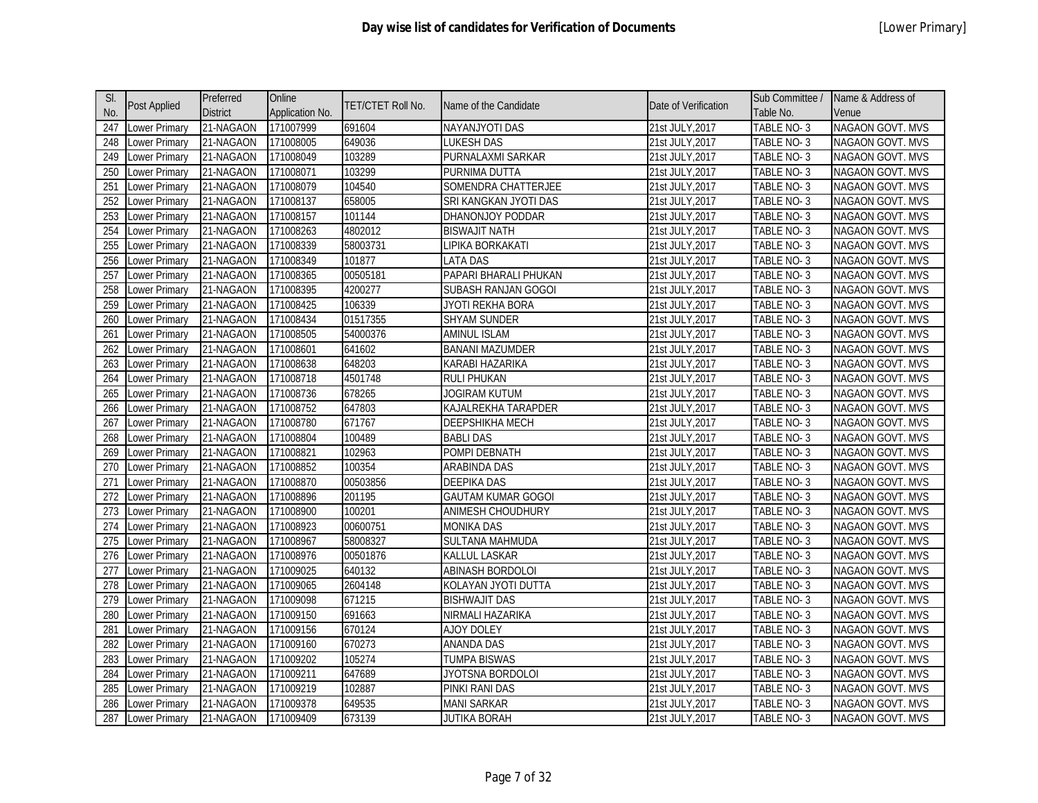| SI. | <b>Post Applied</b>  | Preferred       | Online          | TET/CTET Roll No. | Name of the Candidate     | Date of Verification | Sub Committee / | Name & Address of       |
|-----|----------------------|-----------------|-----------------|-------------------|---------------------------|----------------------|-----------------|-------------------------|
| No. |                      | <b>District</b> | Application No. |                   |                           |                      | Table No.       | Venue                   |
| 247 | Lower Primary        | 21-NAGAON       | 171007999       | 691604            | NAYANJYOTI DAS            | 21st JULY, 2017      | TABLE NO-3      | NAGAON GOVT. MVS        |
| 248 | Lower Primary        | 21-NAGAON       | 171008005       | 649036            | <b>LUKESH DAS</b>         | 21st JULY, 2017      | TABLE NO-3      | NAGAON GOVT. MVS        |
| 249 | Lower Primary        | 21-NAGAON       | 171008049       | 103289            | PURNALAXMI SARKAR         | 21st JULY, 2017      | TABLE NO-3      | NAGAON GOVT. MVS        |
| 250 | Lower Primary        | 21-NAGAON       | 171008071       | 103299            | PURNIMA DUTTA             | 21st JULY, 2017      | TABLE NO-3      | NAGAON GOVT. MVS        |
| 251 | Lower Primary        | 21-NAGAON       | 171008079       | 104540            | SOMENDRA CHATTERJEE       | 21st JULY, 2017      | TABLE NO-3      | NAGAON GOVT. MVS        |
| 252 | Lower Primary        | 21-NAGAON       | 171008137       | 658005            | SRI KANGKAN JYOTI DAS     | 21st JULY, 2017      | TABLE NO-3      | <b>NAGAON GOVT. MVS</b> |
| 253 | Lower Primary        | 21-NAGAON       | 171008157       | 101144            | DHANONJOY PODDAR          | 21st JULY, 2017      | TABLE NO-3      | NAGAON GOVT. MVS        |
| 254 | Lower Primary        | 21-NAGAON       | 171008263       | 4802012           | <b>BISWAJIT NATH</b>      | 21st JULY, 2017      | TABLE NO-3      | NAGAON GOVT. MVS        |
| 255 | Lower Primary        | 21-NAGAON       | 171008339       | 58003731          | LIPIKA BORKAKATI          | 21st JULY, 2017      | TABLE NO-3      | NAGAON GOVT. MVS        |
| 256 | Lower Primary        | 21-NAGAON       | 171008349       | 101877            | <b>LATA DAS</b>           | 21st JULY, 2017      | TABLE NO-3      | NAGAON GOVT. MVS        |
| 257 | Lower Primary        | 21-NAGAON       | 171008365       | 00505181          | PAPARI BHARALI PHUKAN     | 21st JULY, 2017      | TABLE NO-3      | NAGAON GOVT. MVS        |
| 258 | Lower Primary        | 21-NAGAON       | 171008395       | 4200277           | SUBASH RANJAN GOGOI       | 21st JULY, 2017      | TABLE NO-3      | NAGAON GOVT. MVS        |
| 259 | Lower Primary        | 21-NAGAON       | 171008425       | 106339            | JYOTI REKHA BORA          | 21st JULY, 2017      | TABLE NO-3      | NAGAON GOVT. MVS        |
| 260 | Lower Primary        | 21-NAGAON       | 171008434       | 01517355          | <b>SHYAM SUNDER</b>       | 21st JULY, 2017      | TABLE NO-3      | <b>NAGAON GOVT. MVS</b> |
| 261 | <b>Lower Primary</b> | 21-NAGAON       | 171008505       | 54000376          | <b>AMINUL ISLAM</b>       | 21st JULY, 2017      | TABLE NO-3      | <b>NAGAON GOVT. MVS</b> |
| 262 | Lower Primary        | 21-NAGAON       | 171008601       | 641602            | <b>BANANI MAZUMDER</b>    | 21st JULY, 2017      | TABLE NO-3      | <b>NAGAON GOVT. MVS</b> |
| 263 | Lower Primary        | 21-NAGAON       | 171008638       | 648203            | KARABI HAZARIKA           | 21st JULY, 2017      | TABLE NO-3      | NAGAON GOVT. MVS        |
| 264 | Lower Primary        | 21-NAGAON       | 171008718       | 4501748           | RULI PHUKAN               | 21st JULY, 2017      | TABLE NO-3      | NAGAON GOVT. MVS        |
| 265 | Lower Primary        | 21-NAGAON       | 171008736       | 678265            | <b>JOGIRAM KUTUM</b>      | 21st JULY, 2017      | TABLE NO-3      | NAGAON GOVT. MVS        |
| 266 | Lower Primary        | 21-NAGAON       | 171008752       | 647803            | KAJALREKHA TARAPDER       | 21st JULY, 2017      | TABLE NO-3      | NAGAON GOVT. MVS        |
| 267 | Lower Primary        | 21-NAGAON       | 171008780       | 671767            | <b>DEEPSHIKHA MECH</b>    | 21st JULY, 2017      | TABLE NO-3      | NAGAON GOVT. MVS        |
| 268 | Lower Primary        | 21-NAGAON       | 171008804       | 100489            | <b>BABLI DAS</b>          | 21st JULY, 2017      | TABLE NO-3      | NAGAON GOVT. MVS        |
| 269 | Lower Primary        | 21-NAGAON       | 171008821       | 102963            | POMPI DEBNATH             | 21st JULY, 2017      | TABLE NO-3      | NAGAON GOVT. MVS        |
| 270 | Lower Primary        | 21-NAGAON       | 171008852       | 100354            | ARABINDA DAS              | 21st JULY, 2017      | TABLE NO-3      | NAGAON GOVT. MVS        |
| 271 | Lower Primary        | 21-NAGAON       | 171008870       | 00503856          | <b>DEEPIKA DAS</b>        | 21st JULY, 2017      | TABLE NO-3      | NAGAON GOVT. MVS        |
| 272 | Lower Primary        | 21-NAGAON       | 171008896       | 201195            | <b>GAUTAM KUMAR GOGOI</b> | 21st JULY, 2017      | TABLE NO-3      | NAGAON GOVT. MVS        |
| 273 | Lower Primary        | 21-NAGAON       | 171008900       | 100201            | ANIMESH CHOUDHURY         | 21st JULY, 2017      | TABLE NO-3      | NAGAON GOVT. MVS        |
| 274 | <b>Lower Primary</b> | 21-NAGAON       | 171008923       | 00600751          | <b>MONIKA DAS</b>         | 21st JULY, 2017      | TABLE NO-3      | NAGAON GOVT. MVS        |
| 275 | Lower Primary        | 21-NAGAON       | 171008967       | 58008327          | SULTANA MAHMUDA           | 21st JULY, 2017      | TABLE NO-3      | NAGAON GOVT. MVS        |
| 276 | <b>Lower Primary</b> | 21-NAGAON       | 171008976       | 00501876          | KALLUL LASKAR             | 21st JULY, 2017      | TABLE NO-3      | NAGAON GOVT. MVS        |
| 277 | Lower Primary        | 21-NAGAON       | 171009025       | 640132            | ABINASH BORDOLOI          | 21st JULY, 2017      | TABLE NO-3      | NAGAON GOVT. MVS        |
| 278 | Lower Primary        | 21-NAGAON       | 171009065       | 2604148           | KOLAYAN JYOTI DUTTA       | 21st JULY, 2017      | TABLE NO-3      | NAGAON GOVT. MVS        |
| 279 | Lower Primary        | 21-NAGAON       | 171009098       | 671215            | <b>BISHWAJIT DAS</b>      | 21st JULY, 2017      | TABLE NO-3      | NAGAON GOVT. MVS        |
| 280 | Lower Primary        | 21-NAGAON       | 171009150       | 691663            | NIRMALI HAZARIKA          | 21st JULY, 2017      | TABLE NO-3      | NAGAON GOVT. MVS        |
| 281 | Lower Primary        | 21-NAGAON       | 171009156       | 670124            | AJOY DOLEY                | 21st JULY, 2017      | TABLE NO-3      | NAGAON GOVT. MVS        |
| 282 | Lower Primary        | 21-NAGAON       | 171009160       | 670273            | ANANDA DAS                | 21st JULY, 2017      | TABLE NO-3      | NAGAON GOVT. MVS        |
| 283 | Lower Primary        | 21-NAGAON       | 171009202       | 105274            | <b>TUMPA BISWAS</b>       | 21st JULY, 2017      | TABLE NO-3      | NAGAON GOVT. MVS        |
| 284 | Lower Primary        | 21-NAGAON       | 171009211       | 647689            | JYOTSNA BORDOLOI          | 21st JULY, 2017      | TABLE NO-3      | <b>NAGAON GOVT. MVS</b> |
| 285 | Lower Primary        | 21-NAGAON       | 171009219       | 102887            | PINKI RANI DAS            | 21st JULY, 2017      | TABLE NO-3      | NAGAON GOVT. MVS        |
| 286 | Lower Primary        | 21-NAGAON       | 171009378       | 649535            | <b>MANI SARKAR</b>        | 21st JULY, 2017      | TABLE NO-3      | NAGAON GOVT. MVS        |
| 287 | Lower Primary        | 21-NAGAON       | 171009409       | 673139            | <b>JUTIKA BORAH</b>       | 21st JULY, 2017      | TABLE NO-3      | NAGAON GOVT. MVS        |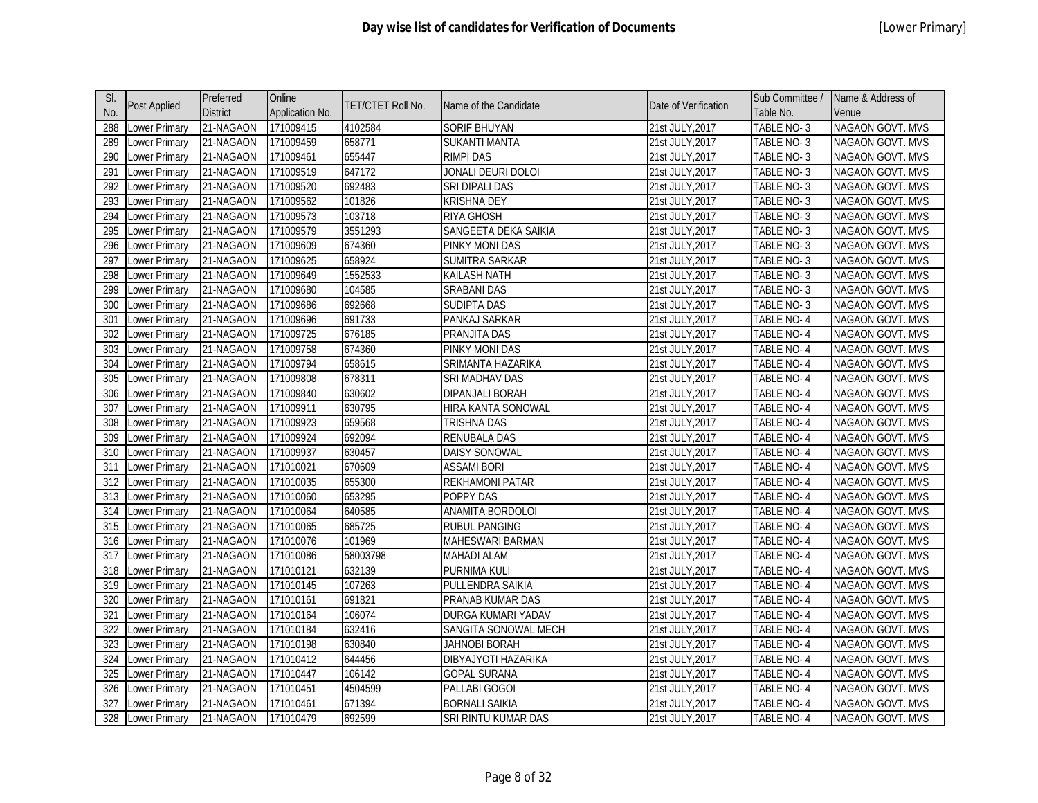| SI. |                      | Preferred       | Online          |                   |                         |                      | Sub Committee /   | Name & Address of       |
|-----|----------------------|-----------------|-----------------|-------------------|-------------------------|----------------------|-------------------|-------------------------|
| No. | <b>Post Applied</b>  | <b>District</b> | Application No. | TET/CTET Roll No. | Name of the Candidate   | Date of Verification | Table No.         | Venue                   |
| 288 | Lower Primary        | 21-NAGAON       | 171009415       | 4102584           | <b>SORIF BHUYAN</b>     | 21st JULY, 2017      | TABLE NO-3        | <b>NAGAON GOVT. MVS</b> |
| 289 | Lower Primary        | 21-NAGAON       | 171009459       | 658771            | <b>SUKANTI MANTA</b>    | 21st JULY, 2017      | TABLE NO-3        | NAGAON GOVT. MVS        |
| 290 | Lower Primary        | 21-NAGAON       | 171009461       | 655447            | RIMPI DAS               | 21st JULY, 2017      | TABLE NO-3        | NAGAON GOVT. MVS        |
| 291 | Lower Primary        | 21-NAGAON       | 171009519       | 647172            | JONALI DEURI DOLOI      | 21st JULY, 2017      | TABLE NO-3        | NAGAON GOVT. MVS        |
| 292 | Lower Primary        | 21-NAGAON       | 171009520       | 692483            | SRI DIPALI DAS          | 21st JULY, 2017      | TABLE NO-3        | NAGAON GOVT. MVS        |
| 293 | Lower Primary        | 21-NAGAON       | 171009562       | 101826            | <b>KRISHNA DEY</b>      | 21st JULY, 2017      | TABLE NO-3        | NAGAON GOVT. MVS        |
| 294 | Lower Primary        | 21-NAGAON       | 171009573       | 103718            | RIYA GHOSH              | 21st JULY, 2017      | TABLE NO-3        | NAGAON GOVT. MVS        |
| 295 | Lower Primary        | 21-NAGAON       | 171009579       | 3551293           | SANGEETA DEKA SAIKIA    | 21st JULY, 2017      | TABLE NO-3        | NAGAON GOVT. MVS        |
| 296 | Lower Primary        | 21-NAGAON       | 171009609       | 674360            | PINKY MONI DAS          | 21st JULY, 2017      | TABLE NO-3        | NAGAON GOVT. MVS        |
| 297 | <b>Lower Primary</b> | 21-NAGAON       | 171009625       | 658924            | SUMITRA SARKAR          | 21st JULY, 2017      | TABLE NO-3        | <b>NAGAON GOVT. MVS</b> |
| 298 | Lower Primary        | 21-NAGAON       | 171009649       | 1552533           | KAILASH NATH            | 21st JULY, 2017      | TABLE NO-3        | NAGAON GOVT. MVS        |
| 299 | Lower Primary        | 21-NAGAON       | 171009680       | 104585            | SRABANI DAS             | 21st JULY, 2017      | TABLE NO-3        | NAGAON GOVT. MVS        |
| 300 | Lower Primary        | 21-NAGAON       | 171009686       | 692668            | <b>SUDIPTA DAS</b>      | 21st JULY, 2017      | TABLE NO-3        | NAGAON GOVT. MVS        |
| 301 | <b>Lower Primary</b> | 21-NAGAON       | 171009696       | 691733            | PANKAJ SARKAR           | 21st JULY, 2017      | <b>TABLE NO-4</b> | NAGAON GOVT. MVS        |
| 302 | <b>Lower Primary</b> | 21-NAGAON       | 171009725       | 676185            | PRANJITA DAS            | 21st JULY, 2017      | TABLE NO-4        | NAGAON GOVT. MVS        |
| 303 | Lower Primary        | 21-NAGAON       | 171009758       | 674360            | <b>PINKY MONI DAS</b>   | 21st JULY, 2017      | <b>TABLE NO-4</b> | NAGAON GOVT. MVS        |
| 304 | <b>Lower Primary</b> | 21-NAGAON       | 171009794       | 658615            | SRIMANTA HAZARIKA       | 21st JULY, 2017      | <b>TABLE NO-4</b> | <b>NAGAON GOVT. MVS</b> |
| 305 | Lower Primary        | 21-NAGAON       | 171009808       | 678311            | SRI MADHAV DAS          | 21st JULY, 2017      | TABLE NO-4        | NAGAON GOVT. MVS        |
| 306 | <b>Lower Primary</b> | 21-NAGAON       | 171009840       | 630602            | DIPANJALI BORAH         | 21st JULY, 2017      | <b>TABLE NO-4</b> | <b>NAGAON GOVT. MVS</b> |
| 307 | Lower Primary        | 21-NAGAON       | 171009911       | 630795            | HIRA KANTA SONOWAL      | 21st JULY, 2017      | TABLE NO-4        | NAGAON GOVT. MVS        |
| 308 | Lower Primary        | 21-NAGAON       | 171009923       | 659568            | <b>TRISHNA DAS</b>      | 21st JULY, 2017      | TABLE NO- 4       | NAGAON GOVT. MVS        |
| 309 | Lower Primary        | 21-NAGAON       | 171009924       | 692094            | RENUBALA DAS            | 21st JULY, 2017      | TABLE NO- 4       | NAGAON GOVT. MVS        |
| 310 | Lower Primary        | 21-NAGAON       | 171009937       | 630457            | DAISY SONOWAL           | 21st JULY, 2017      | TABLE NO-4        | NAGAON GOVT. MVS        |
| 311 | Lower Primary        | 21-NAGAON       | 171010021       | 670609            | <b>ASSAMI BORI</b>      | 21st JULY, 2017      | TABLE NO-4        | NAGAON GOVT. MVS        |
| 312 | Lower Primary        | 21-NAGAON       | 171010035       | 655300            | REKHAMONI PATAR         | 21st JULY, 2017      | TABLE NO- 4       | NAGAON GOVT. MVS        |
| 313 | Lower Primary        | 21-NAGAON       | 171010060       | 653295            | POPPY DAS               | 21st JULY, 2017      | TABLE NO-4        | NAGAON GOVT. MVS        |
| 314 | Lower Primary        | 21-NAGAON       | 171010064       | 640585            | ANAMITA BORDOLOI        | 21st JULY, 2017      | TABLE NO-4        | NAGAON GOVT. MVS        |
| 315 | Lower Primary        | 21-NAGAON       | 171010065       | 685725            | <b>RUBUL PANGING</b>    | 21st JULY, 2017      | TABLE NO-4        | NAGAON GOVT. MVS        |
| 316 | Lower Primary        | 21-NAGAON       | 171010076       | 101969            | <b>MAHESWARI BARMAN</b> | 21st JULY, 2017      | TABLE NO- 4       | NAGAON GOVT. MVS        |
| 317 | Lower Primary        | 21-NAGAON       | 171010086       | 58003798          | <b>MAHADI ALAM</b>      | 21st JULY, 2017      | TABLE NO-4        | <b>NAGAON GOVT. MVS</b> |
| 318 | <b>Lower Primary</b> | 21-NAGAON       | 171010121       | 632139            | PURNIMA KULI            | 21st JULY, 2017      | TABLE NO-4        | NAGAON GOVT. MVS        |
| 319 | Lower Primary        | 21-NAGAON       | 171010145       | 107263            | PULLENDRA SAIKIA        | 21st JULY, 2017      | TABLE NO- 4       | NAGAON GOVT. MVS        |
| 320 | Lower Primary        | 21-NAGAON       | 171010161       | 691821            | PRANAB KUMAR DAS        | 21st JULY, 2017      | TABLE NO-4        | NAGAON GOVT. MVS        |
| 321 | Lower Primary        | 21-NAGAON       | 171010164       | 106074            | DURGA KUMARI YADAV      | 21st JULY, 2017      | TABLE NO-4        | NAGAON GOVT. MVS        |
| 322 | Lower Primary        | 21-NAGAON       | 171010184       | 632416            | SANGITA SONOWAL MECH    | 21st JULY, 2017      | TABLE NO-4        | NAGAON GOVT. MVS        |
| 323 | Lower Primary        | 21-NAGAON       | 171010198       | 630840            | <b>JAHNOBI BORAH</b>    | 21st JULY, 2017      | TABLE NO-4        | NAGAON GOVT. MVS        |
| 324 | Lower Primary        | 21-NAGAON       | 171010412       | 644456            | DIBYAJYOTI HAZARIKA     | 21st JULY, 2017      | TABLE NO-4        | NAGAON GOVT. MVS        |
| 325 | Lower Primary        | 21-NAGAON       | 171010447       | 106142            | <b>GOPAL SURANA</b>     | 21st JULY, 2017      | TABLE NO-4        | NAGAON GOVT. MVS        |
| 326 | Lower Primary        | 21-NAGAON       | 171010451       | 4504599           | PALLABI GOGOI           | 21st JULY, 2017      | TABLE NO-4        | NAGAON GOVT. MVS        |
| 327 | Lower Primary        | 21-NAGAON       | 171010461       | 671394            | <b>BORNALI SAIKIA</b>   | 21st JULY, 2017      | TABLE NO-4        | <b>NAGAON GOVT. MVS</b> |
| 328 | Lower Primary        | 21-NAGAON       | 171010479       | 692599            | SRI RINTU KUMAR DAS     | 21st JULY, 2017      | TABLE NO-4        | <b>NAGAON GOVT. MVS</b> |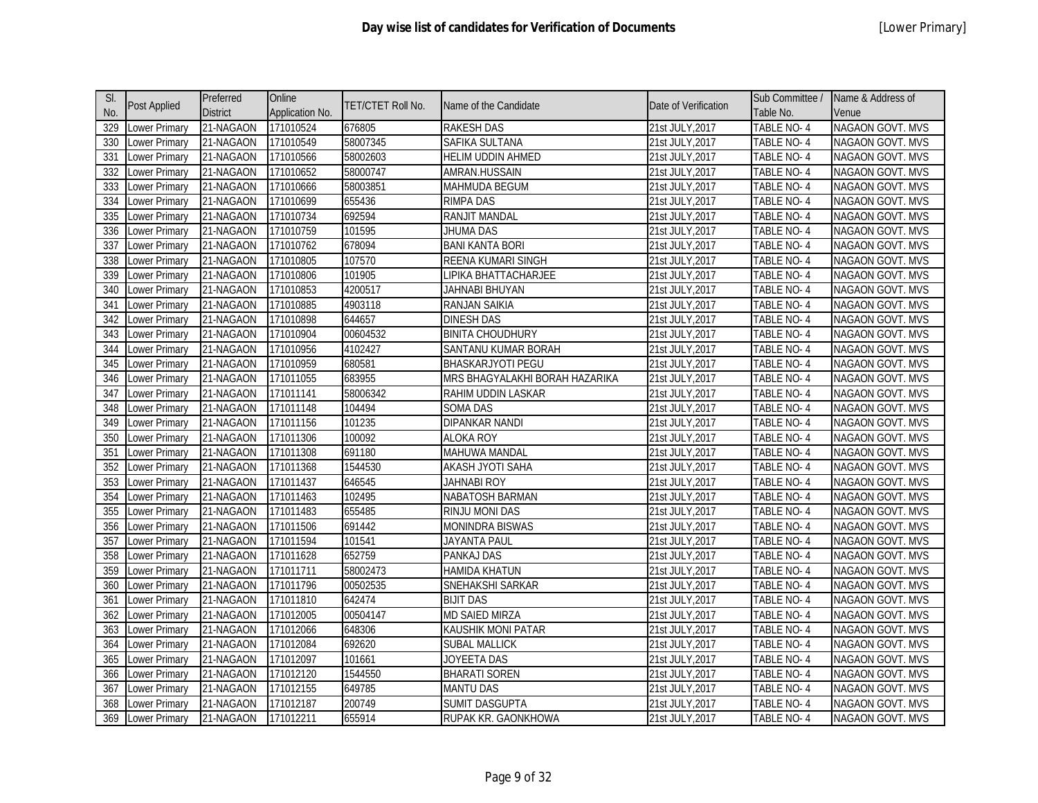| SI. |                     | Preferred       | Online          |                          |                                |                      | Sub Committee /   | Name & Address of       |
|-----|---------------------|-----------------|-----------------|--------------------------|--------------------------------|----------------------|-------------------|-------------------------|
| No. | <b>Post Applied</b> | <b>District</b> | Application No. | <b>TET/CTET Roll No.</b> | Name of the Candidate          | Date of Verification | Table No.         | Venue                   |
| 329 | Lower Primary       | 21-NAGAON       | 171010524       | 676805                   | <b>RAKESH DAS</b>              | 21st JULY, 2017      | <b>TABLE NO-4</b> | <b>NAGAON GOVT. MVS</b> |
| 330 | ower Primary        | 21-NAGAON       | 171010549       | 58007345                 | SAFIKA SULTANA                 | 21st JULY, 2017      | TABLE NO-4        | NAGAON GOVT. MVS        |
| 331 | Lower Primary       | 21-NAGAON       | 171010566       | 58002603                 | <b>HELIM UDDIN AHMED</b>       | 21st JULY, 2017      | TABLE NO-4        | <b>NAGAON GOVT. MVS</b> |
| 332 | Lower Primary       | 21-NAGAON       | 171010652       | 58000747                 | AMRAN.HUSSAIN                  | 21st JULY, 2017      | TABLE NO-4        | NAGAON GOVT. MVS        |
| 333 | Lower Primary       | 21-NAGAON       | 171010666       | 58003851                 | <b>MAHMUDA BEGUM</b>           | 21st JULY, 2017      | TABLE NO-4        | NAGAON GOVT. MVS        |
| 334 | Lower Primary       | 21-NAGAON       | 171010699       | 655436                   | <b>RIMPA DAS</b>               | 21st JULY, 2017      | TABLE NO-4        | <b>NAGAON GOVT. MVS</b> |
| 335 | Lower Primary       | 21-NAGAON       | 171010734       | 692594                   | RANJIT MANDAL                  | 21st JULY, 2017      | TABLE NO-4        | NAGAON GOVT. MVS        |
| 336 | ower Primary        | 21-NAGAON       | 171010759       | 101595                   | <b>JHUMA DAS</b>               | 21st JULY, 2017      | TABLE NO-4        | <b>NAGAON GOVT. MVS</b> |
| 337 | Lower Primary       | 21-NAGAON       | 171010762       | 678094                   | <b>BANI KANTA BORI</b>         | 21st JULY, 2017      | TABLE NO-4        | NAGAON GOVT. MVS        |
| 338 | ower Primary        | 21-NAGAON       | 171010805       | 107570                   | REENA KUMARI SINGH             | 21st JULY, 2017      | TABLE NO-4        | <b>NAGAON GOVT. MVS</b> |
| 339 | Lower Primary       | 21-NAGAON       | 171010806       | 101905                   | LIPIKA BHATTACHARJEE           | 21st JULY, 2017      | TABLE NO-4        | NAGAON GOVT. MVS        |
| 340 | Lower Primary       | 21-NAGAON       | 171010853       | 4200517                  | JAHNABI BHUYAN                 | 21st JULY, 2017      | TABLE NO-4        | NAGAON GOVT. MVS        |
| 341 | Lower Primary       | 21-NAGAON       | 171010885       | 4903118                  | RANJAN SAIKIA                  | 21st JULY, 2017      | TABLE NO-4        | <b>NAGAON GOVT. MVS</b> |
| 342 | ower Primary        | 21-NAGAON       | 171010898       | 644657                   | <b>DINESH DAS</b>              | 21st JULY, 2017      | <b>TABLE NO-4</b> | NAGAON GOVT. MVS        |
| 343 | Lower Primary       | 21-NAGAON       | 171010904       | 00604532                 | <b>BINITA CHOUDHURY</b>        | 21st JULY, 2017      | TABLE NO-4        | <b>NAGAON GOVT. MVS</b> |
| 344 | Lower Primary       | 21-NAGAON       | 171010956       | 4102427                  | SANTANU KUMAR BORAH            | 21st JULY, 2017      | <b>TABLE NO-4</b> | NAGAON GOVT. MVS        |
| 345 | Lower Primary       | 21-NAGAON       | 171010959       | 680581                   | <b>BHASKARJYOTI PEGU</b>       | 21st JULY, 2017      | TABLE NO-4        | <b>NAGAON GOVT. MVS</b> |
| 346 | Lower Primary       | 21-NAGAON       | 171011055       | 683955                   | MRS BHAGYALAKHI BORAH HAZARIKA | 21st JULY, 2017      | TABLE NO-4        | NAGAON GOVT. MVS        |
| 347 | ower Primary        | 21-NAGAON       | 171011141       | 58006342                 | RAHIM UDDIN LASKAR             | 21st JULY, 2017      | <b>TABLE NO-4</b> | NAGAON GOVT. MVS        |
| 348 | Lower Primary       | 21-NAGAON       | 171011148       | 104494                   | <b>SOMA DAS</b>                | 21st JULY, 2017      | TABLE NO-4        | <b>NAGAON GOVT. MVS</b> |
| 349 | Lower Primary       | 21-NAGAON       | 171011156       | 101235                   | DIPANKAR NANDI                 | 21st JULY, 2017      | TABLE NO-4        | NAGAON GOVT. MVS        |
| 350 | Lower Primary       | 21-NAGAON       | 171011306       | 100092                   | <b>ALOKA ROY</b>               | 21st JULY, 2017      | TABLE NO-4        | <b>NAGAON GOVT. MVS</b> |
| 351 | Lower Primary       | 21-NAGAON       | 171011308       | 691180                   | MAHUWA MANDAL                  | 21st JULY, 2017      | TABLE NO-4        | NAGAON GOVT. MVS        |
| 352 | Lower Primary       | 21-NAGAON       | 171011368       | 1544530                  | AKASH JYOTI SAHA               | 21st JULY, 2017      | TABLE NO-4        | <b>NAGAON GOVT. MVS</b> |
| 353 | Lower Primary       | 21-NAGAON       | 171011437       | 646545                   | <b>JAHNABI ROY</b>             | 21st JULY, 2017      | TABLE NO-4        | NAGAON GOVT. MVS        |
| 354 | Lower Primary       | 21-NAGAON       | 171011463       | 102495                   | NABATOSH BARMAN                | 21st JULY, 2017      | TABLE NO-4        | NAGAON GOVT. MVS        |
| 355 | Lower Primary       | 21-NAGAON       | 171011483       | 655485                   | RINJU MONI DAS                 | 21st JULY, 2017      | TABLE NO-4        | NAGAON GOVT. MVS        |
| 356 | Lower Primary       | 21-NAGAON       | 171011506       | 691442                   | <b>MONINDRA BISWAS</b>         | 21st JULY, 2017      | TABLE NO-4        | NAGAON GOVT. MVS        |
| 357 | Lower Primary       | 21-NAGAON       | 171011594       | 101541                   | JAYANTA PAUL                   | 21st JULY, 2017      | TABLE NO-4        | <b>NAGAON GOVT. MVS</b> |
| 358 | Lower Primary       | 21-NAGAON       | 171011628       | 652759                   | <b>PANKAJ DAS</b>              | 21st JULY, 2017      | TABLE NO-4        | <b>NAGAON GOVT. MVS</b> |
| 359 | Lower Primary       | 21-NAGAON       | 171011711       | 58002473                 | <b>HAMIDA KHATUN</b>           | 21st JULY, 2017      | TABLE NO-4        | <b>NAGAON GOVT. MVS</b> |
| 360 | ower Primary        | 21-NAGAON       | 171011796       | 00502535                 | SNEHAKSHI SARKAR               | 21st JULY, 2017      | TABLE NO-4        | NAGAON GOVT. MVS        |
| 361 | Lower Primary       | 21-NAGAON       | 171011810       | 642474                   | <b>BIJIT DAS</b>               | 21st JULY, 2017      | TABLE NO-4        | NAGAON GOVT. MVS        |
| 362 | Lower Primary       | 21-NAGAON       | 171012005       | 00504147                 | <b>MD SAIED MIRZA</b>          | 21st JULY, 2017      | TABLE NO-4        | NAGAON GOVT. MVS        |
| 363 | Lower Primary       | 21-NAGAON       | 171012066       | 648306                   | KAUSHIK MONI PATAR             | 21st JULY, 2017      | TABLE NO-4        | NAGAON GOVT. MVS        |
| 364 | Lower Primary       | 21-NAGAON       | 171012084       | 692620                   | <b>SUBAL MALLICK</b>           | 21st JULY, 2017      | TABLE NO-4        | NAGAON GOVT. MVS        |
| 365 | ower Primary        | 21-NAGAON       | 171012097       | 101661                   | JOYEETA DAS                    | 21st JULY, 2017      | TABLE NO-4        | NAGAON GOVT. MVS        |
| 366 | Lower Primary       | 21-NAGAON       | 171012120       | 1544550                  | <b>BHARATI SOREN</b>           | 21st JULY, 2017      | TABLE NO-4        | <b>NAGAON GOVT. MVS</b> |
| 367 | ower Primary        | 21-NAGAON       | 171012155       | 649785                   | <b>MANTU DAS</b>               | 21st JULY, 2017      | TABLE NO-4        | NAGAON GOVT. MVS        |
| 368 | Lower Primary       | 21-NAGAON       | 171012187       | 200749                   | SUMIT DASGUPTA                 | 21st JULY,2017       | TABLE NO- 4       | <b>NAGAON GOVT. MVS</b> |
| 369 | Lower Primary       | 21-NAGAON       | 171012211       | 655914                   | RUPAK KR. GAONKHOWA            | 21st JULY, 2017      | TABLE NO-4        | NAGAON GOVT. MVS        |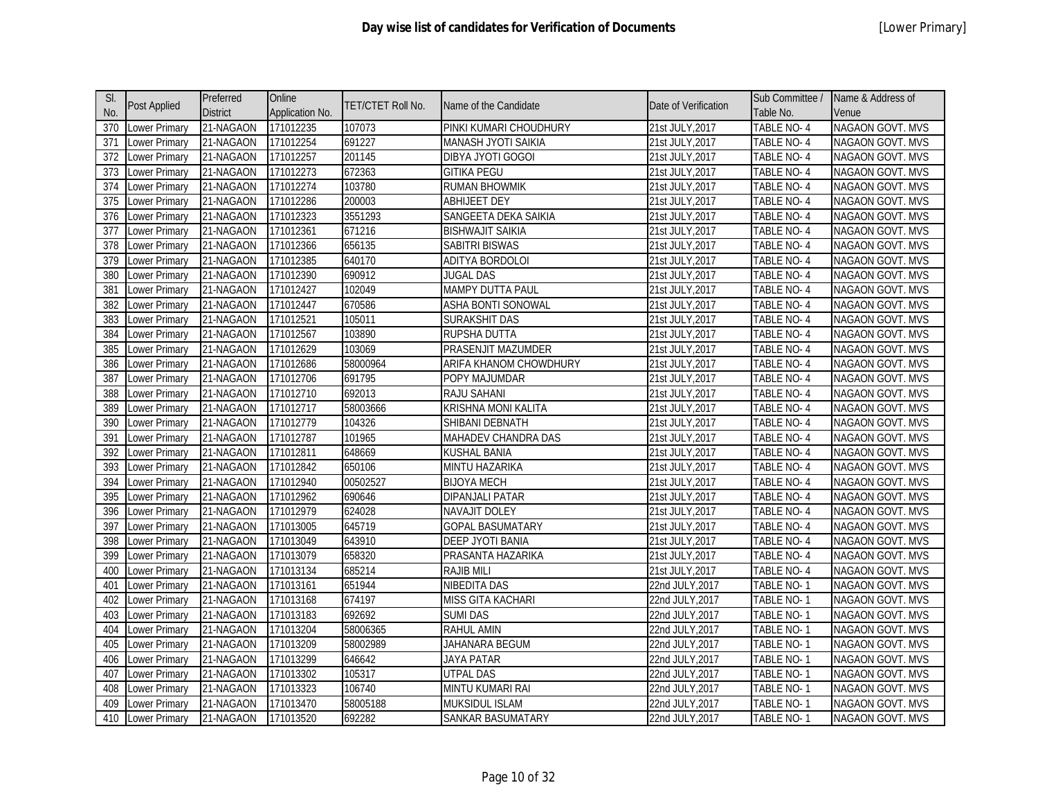| SI. |                      | Preferred       | Online          |                   |                           |                      | Sub Committee /   | Name & Address of       |
|-----|----------------------|-----------------|-----------------|-------------------|---------------------------|----------------------|-------------------|-------------------------|
| No. | <b>Post Applied</b>  | <b>District</b> | Application No. | TET/CTET Roll No. | Name of the Candidate     | Date of Verification | Table No.         | Venue                   |
| 370 | <b>Lower Primary</b> | 21-NAGAON       | 171012235       | 107073            | PINKI KUMARI CHOUDHURY    | 21st JULY, 2017      | <b>TABLE NO-4</b> | <b>NAGAON GOVT. MVS</b> |
| 371 | ower Primary         | 21-NAGAON       | 171012254       | 691227            | MANASH JYOTI SAIKIA       | 21st JULY, 2017      | TABLE NO-4        | NAGAON GOVT. MVS        |
| 372 | Lower Primary        | 21-NAGAON       | 171012257       | 201145            | DIBYA JYOTI GOGOI         | 21st JULY, 2017      | TABLE NO-4        | NAGAON GOVT. MVS        |
| 373 | Lower Primary        | 21-NAGAON       | 171012273       | 672363            | <b>GITIKA PEGU</b>        | 21st JULY, 2017      | TABLE NO-4        | NAGAON GOVT. MVS        |
| 374 | Lower Primary        | 21-NAGAON       | 171012274       | 103780            | <b>RUMAN BHOWMIK</b>      | 21st JULY, 2017      | TABLE NO-4        | NAGAON GOVT. MVS        |
| 375 | ower Primary         | 21-NAGAON       | 171012286       | 200003            | <b>ABHIJEET DEY</b>       | 21st JULY, 2017      | <b>TABLE NO-4</b> | <b>NAGAON GOVT. MVS</b> |
| 376 | ower Primary         | 21-NAGAON       | 171012323       | 3551293           | SANGEETA DEKA SAIKIA      | 21st JULY, 2017      | TABLE NO-4        | NAGAON GOVT. MVS        |
| 377 | ower Primary         | 21-NAGAON       | 171012361       | 671216            | <b>BISHWAJIT SAIKIA</b>   | 21st JULY, 2017      | TABLE NO-4        | <b>NAGAON GOVT. MVS</b> |
| 378 | ower Primary         | 21-NAGAON       | 171012366       | 656135            | SABITRI BISWAS            | 21st JULY, 2017      | TABLE NO-4        | NAGAON GOVT. MVS        |
| 379 | ower Primary         | 21-NAGAON       | 171012385       | 640170            | ADITYA BORDOLOI           | 21st JULY, 2017      | TABLE NO-4        | <b>NAGAON GOVT. MVS</b> |
| 380 | Lower Primary        | 21-NAGAON       | 171012390       | 690912            | <b>JUGAL DAS</b>          | 21st JULY, 2017      | TABLE NO-4        | NAGAON GOVT. MVS        |
| 381 | Lower Primary        | 21-NAGAON       | 171012427       | 102049            | <b>MAMPY DUTTA PAUL</b>   | 21st JULY, 2017      | TABLE NO-4        | NAGAON GOVT. MVS        |
| 382 | Lower Primary        | 21-NAGAON       | 171012447       | 670586            | ASHA BONTI SONOWAL        | 21st JULY, 2017      | TABLE NO-4        | <b>NAGAON GOVT. MVS</b> |
| 383 | Lower Primary        | 21-NAGAON       | 171012521       | 105011            | SURAKSHIT DAS             | 21st JULY, 2017      | <b>TABLE NO-4</b> | NAGAON GOVT. MVS        |
| 384 | ower Primary         | 21-NAGAON       | 171012567       | 103890            | <b>RUPSHA DUTTA</b>       | 21st JULY, 2017      | TABLE NO-4        | <b>NAGAON GOVT. MVS</b> |
| 385 | ower Primary         | 21-NAGAON       | 171012629       | 103069            | <b>PRASENJIT MAZUMDER</b> | 21st JULY, 2017      | <b>TABLE NO-4</b> | NAGAON GOVT. MVS        |
| 386 | Lower Primary        | 21-NAGAON       | 171012686       | 58000964          | ARIFA KHANOM CHOWDHURY    | 21st JULY, 2017      | <b>TABLE NO-4</b> | NAGAON GOVT. MVS        |
| 387 | ower Primary         | 21-NAGAON       | 171012706       | 691795            | POPY MAJUMDAR             | 21st JULY, 2017      | TABLE NO-4        | NAGAON GOVT. MVS        |
| 388 | ower Primary         | 21-NAGAON       | 171012710       | 692013            | <b>RAJU SAHANI</b>        | 21st JULY, 2017      | <b>TABLE NO-4</b> | NAGAON GOVT. MVS        |
| 389 | ower Primary         | 21-NAGAON       | 171012717       | 58003666          | KRISHNA MONI KALITA       | 21st JULY, 2017      | TABLE NO-4        | <b>NAGAON GOVT. MVS</b> |
| 390 | Lower Primary        | 21-NAGAON       | 171012779       | 104326            | SHIBANI DEBNATH           | 21st JULY, 2017      | TABLE NO-4        | NAGAON GOVT. MVS        |
| 391 | ower Primary         | 21-NAGAON       | 171012787       | 101965            | MAHADEV CHANDRA DAS       | 21st JULY, 2017      | TABLE NO-4        | <b>NAGAON GOVT. MVS</b> |
| 392 | Lower Primary        | 21-NAGAON       | 171012811       | 648669            | <b>KUSHAL BANIA</b>       | 21st JULY, 2017      | TABLE NO-4        | NAGAON GOVT. MVS        |
| 393 | Lower Primary        | 21-NAGAON       | 171012842       | 650106            | <b>MINTU HAZARIKA</b>     | 21st JULY, 2017      | TABLE NO-4        | <b>NAGAON GOVT. MVS</b> |
| 394 | Lower Primary        | 21-NAGAON       | 171012940       | 00502527          | <b>BIJOYA MECH</b>        | 21st JULY, 2017      | TABLE NO- 4       | NAGAON GOVT. MVS        |
| 395 | ower Primary         | 21-NAGAON       | 171012962       | 690646            | <b>DIPANJALI PATAR</b>    | 21st JULY, 2017      | TABLE NO-4        | NAGAON GOVT. MVS        |
| 396 | ower Primary         | 21-NAGAON       | 171012979       | 624028            | <b>NAVAJIT DOLEY</b>      | 21st JULY, 2017      | TABLE NO-4        | NAGAON GOVT. MVS        |
| 397 | ower Primary         | 21-NAGAON       | 171013005       | 645719            | <b>GOPAL BASUMATARY</b>   | 21st JULY, 2017      | TABLE NO-4        | <b>NAGAON GOVT. MVS</b> |
| 398 | ower Primary         | 21-NAGAON       | 171013049       | 643910            | DEEP JYOTI BANIA          | 21st JULY, 2017      | TABLE NO-4        | <b>NAGAON GOVT. MVS</b> |
| 399 | ower Primary         | 21-NAGAON       | 171013079       | 658320            | PRASANTA HAZARIKA         | 21st JULY, 2017      | TABLE NO-4        | <b>NAGAON GOVT. MVS</b> |
| 400 | ower Primary         | 21-NAGAON       | 171013134       | 685214            | <b>RAJIB MILI</b>         | 21st JULY, 2017      | TABLE NO-4        | <b>NAGAON GOVT. MVS</b> |
| 401 | Lower Primary        | 21-NAGAON       | 171013161       | 651944            | <b>NIBEDITA DAS</b>       | 22nd JULY, 2017      | TABLE NO-1        | <b>NAGAON GOVT. MVS</b> |
| 402 | Lower Primary        | 21-NAGAON       | 171013168       | 674197            | <b>MISS GITA KACHARI</b>  | 22nd JULY, 2017      | TABLE NO-1        | <b>NAGAON GOVT. MVS</b> |
| 403 | Lower Primary        | 21-NAGAON       | 171013183       | 692692            | <b>SUMI DAS</b>           | 22nd JULY, 2017      | TABLE NO-1        | NAGAON GOVT. MVS        |
| 404 | Lower Primary        | 21-NAGAON       | 171013204       | 58006365          | <b>RAHUL AMIN</b>         | 22nd JULY, 2017      | TABLE NO-1        | NAGAON GOVT. MVS        |
| 405 | ower Primary         | 21-NAGAON       | 171013209       | 58002989          | JAHANARA BEGUM            | 22nd JULY, 2017      | TABLE NO-1        | NAGAON GOVT. MVS        |
| 406 | ower Primary         | 21-NAGAON       | 171013299       | 646642            | JAYA PATAR                | 22nd JULY, 2017      | TABLE NO-1        | NAGAON GOVT. MVS        |
| 407 | ower Primary         | 21-NAGAON       | 171013302       | 105317            | <b>UTPAL DAS</b>          | 22nd JULY, 2017      | TABLE NO-1        | <b>NAGAON GOVT. MVS</b> |
| 408 | ower Primary         | 21-NAGAON       | 171013323       | 106740            | MINTU KUMARI RAI          | 22nd JULY, 2017      | TABLE NO-1        | <b>NAGAON GOVT. MVS</b> |
| 409 | ower Primary         | 21-NAGAON       | 171013470       | 58005188          | MUKSIDUL ISLAM            | 22nd JULY,2017       | TABLE NO-1        | NAGAON GOVT. MVS        |
| 410 | Lower Primary        | 21-NAGAON       | 171013520       | 692282            | SANKAR BASUMATARY         | 22nd JULY,2017       | TABLE NO-1        | NAGAON GOVT. MVS        |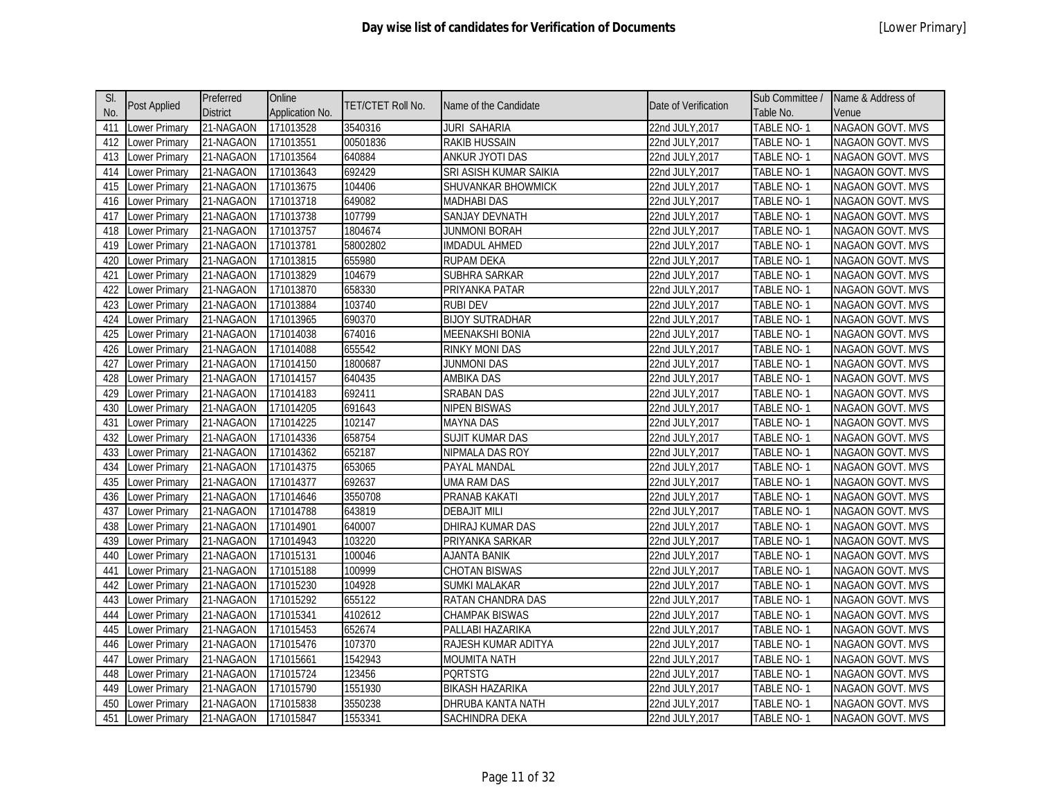| SI. |               | Preferred       | Online          |                          |                        |                      | Sub Committee /   | Name & Address of       |
|-----|---------------|-----------------|-----------------|--------------------------|------------------------|----------------------|-------------------|-------------------------|
| No. | Post Applied  | <b>District</b> | Application No. | <b>TET/CTET Roll No.</b> | Name of the Candidate  | Date of Verification | Table No.         | Venue                   |
| 411 | Lower Primary | 21-NAGAON       | 171013528       | 3540316                  | <b>JURI SAHARIA</b>    | 22nd JULY, 2017      | <b>TABLE NO-1</b> | <b>NAGAON GOVT. MVS</b> |
| 412 | ower Primary  | 21-NAGAON       | 171013551       | 00501836                 | <b>RAKIB HUSSAIN</b>   | 22nd JULY, 2017      | TABLE NO-1        | NAGAON GOVT. MVS        |
| 413 | Lower Primary | 21-NAGAON       | 171013564       | 640884                   | ANKUR JYOTI DAS        | 22nd JULY, 2017      | TABLE NO-1        | NAGAON GOVT. MVS        |
| 414 | Lower Primary | 21-NAGAON       | 171013643       | 692429                   | SRI ASISH KUMAR SAIKIA | 22nd JULY, 2017      | TABLE NO-1        | NAGAON GOVT. MVS        |
| 415 | Lower Primary | 21-NAGAON       | 171013675       | 104406                   | SHUVANKAR BHOWMICK     | 22nd JULY, 2017      | TABLE NO-1        | NAGAON GOVT. MVS        |
| 416 | Lower Primary | 21-NAGAON       | 171013718       | 649082                   | <b>MADHABI DAS</b>     | 22nd JULY, 2017      | TABLE NO-1        | <b>NAGAON GOVT. MVS</b> |
| 417 | Lower Primary | 21-NAGAON       | 171013738       | 107799                   | SANJAY DEVNATH         | 22nd JULY, 2017      | TABLE NO-1        | NAGAON GOVT. MVS        |
| 418 | Lower Primary | 21-NAGAON       | 171013757       | 1804674                  | <b>JUNMONI BORAH</b>   | 22nd JULY, 2017      | TABLE NO-1        | <b>NAGAON GOVT. MVS</b> |
| 419 | Lower Primary | 21-NAGAON       | 171013781       | 58002802                 | <b>IMDADUL AHMED</b>   | 22nd JULY, 2017      | TABLE NO-1        | NAGAON GOVT. MVS        |
| 420 | ower Primary  | 21-NAGAON       | 171013815       | 655980                   | <b>RUPAM DEKA</b>      | 22nd JULY, 2017      | TABLE NO-1        | <b>NAGAON GOVT. MVS</b> |
| 421 | Lower Primary | 21-NAGAON       | 171013829       | 104679                   | SUBHRA SARKAR          | 22nd JULY, 2017      | TABLE NO-1        | NAGAON GOVT. MVS        |
| 422 | Lower Primary | 21-NAGAON       | 171013870       | 658330                   | PRIYANKA PATAR         | 22nd JULY, 2017      | TABLE NO-1        | NAGAON GOVT. MVS        |
| 423 | Lower Primary | 21-NAGAON       | 171013884       | 103740                   | <b>RUBI DEV</b>        | 22nd JULY, 2017      | TABLE NO-1        | <b>NAGAON GOVT. MVS</b> |
| 424 | Lower Primary | 21-NAGAON       | 171013965       | 690370                   | <b>BIJOY SUTRADHAR</b> | 22nd JULY, 2017      | <b>TABLE NO-1</b> | NAGAON GOVT. MVS        |
| 425 | Lower Primary | 21-NAGAON       | 171014038       | 674016                   | <b>MEENAKSHI BONIA</b> | 22nd JULY, 2017      | TABLE NO-1        | NAGAON GOVT. MVS        |
| 426 | Lower Primary | 21-NAGAON       | 171014088       | 655542                   | <b>RINKY MONI DAS</b>  | 22nd JULY, 2017      | <b>TABLE NO-1</b> | NAGAON GOVT. MVS        |
| 427 | Lower Primary | 21-NAGAON       | 171014150       | 1800687                  | JUNMONI DAS            | 22nd JULY, 2017      | TABLE NO-1        | NAGAON GOVT. MVS        |
| 428 | ower Primary  | 21-NAGAON       | 171014157       | 640435                   | <b>AMBIKA DAS</b>      | 22nd JULY, 2017      | TABLE NO-1        | NAGAON GOVT. MVS        |
| 429 | ower Primary  | 21-NAGAON       | 171014183       | 692411                   | <b>SRABAN DAS</b>      | 22nd JULY, 2017      | TABLE NO-1        | NAGAON GOVT. MVS        |
| 430 | Lower Primary | 21-NAGAON       | 171014205       | 691643                   | <b>NIPEN BISWAS</b>    | 22nd JULY, 2017      | TABLE NO-1        | NAGAON GOVT. MVS        |
| 431 | Lower Primary | 21-NAGAON       | 171014225       | 102147                   | <b>MAYNA DAS</b>       | 22nd JULY, 2017      | TABLE NO-1        | NAGAON GOVT. MVS        |
| 432 | Lower Primary | 21-NAGAON       | 171014336       | 658754                   | <b>SUJIT KUMAR DAS</b> | 22nd JULY, 2017      | TABLE NO-1        | NAGAON GOVT. MVS        |
| 433 | Lower Primary | 21-NAGAON       | 171014362       | 652187                   | NIPMALA DAS ROY        | 22nd JULY, 2017      | TABLE NO-1        | NAGAON GOVT. MVS        |
| 434 | Lower Primary | 21-NAGAON       | 171014375       | 653065                   | PAYAL MANDAL           | 22nd JULY, 2017      | TABLE NO-1        | NAGAON GOVT. MVS        |
| 435 | Lower Primary | 21-NAGAON       | 171014377       | 692637                   | <b>UMA RAM DAS</b>     | 22nd JULY, 2017      | TABLE NO-1        | NAGAON GOVT. MVS        |
| 436 | Lower Primary | 21-NAGAON       | 171014646       | 3550708                  | PRANAB KAKATI          | 22nd JULY, 2017      | TABLE NO-1        | NAGAON GOVT. MVS        |
| 437 | Lower Primary | 21-NAGAON       | 171014788       | 643819                   | <b>DEBAJIT MILI</b>    | 22nd JULY, 2017      | TABLE NO-1        | NAGAON GOVT. MVS        |
| 438 | Lower Primary | 21-NAGAON       | 171014901       | 640007                   | DHIRAJ KUMAR DAS       | 22nd JULY, 2017      | TABLE NO-1        | NAGAON GOVT. MVS        |
| 439 | Lower Primary | 21-NAGAON       | 171014943       | 103220                   | PRIYANKA SARKAR        | 22nd JULY, 2017      | TABLE NO-1        | NAGAON GOVT. MVS        |
| 440 | Lower Primary | 21-NAGAON       | 171015131       | 100046                   | <b>AJANTA BANIK</b>    | 22nd JULY, 2017      | TABLE NO-1        | <b>NAGAON GOVT. MVS</b> |
| 441 | Lower Primary | 21-NAGAON       | 171015188       | 100999                   | <b>CHOTAN BISWAS</b>   | 22nd JULY, 2017      | TABLE NO-1        | NAGAON GOVT. MVS        |
| 442 | Lower Primary | 21-NAGAON       | 171015230       | 104928                   | SUMKI MALAKAR          | 22nd JULY, 2017      | TABLE NO-1        | NAGAON GOVT. MVS        |
| 443 | Lower Primary | 21-NAGAON       | 171015292       | 655122                   | RATAN CHANDRA DAS      | 22nd JULY, 2017      | TABLE NO-1        | NAGAON GOVT. MVS        |
| 444 | Lower Primary | 21-NAGAON       | 171015341       | 4102612                  | <b>CHAMPAK BISWAS</b>  | 22nd JULY, 2017      | TABLE NO-1        | NAGAON GOVT. MVS        |
| 445 | Lower Primary | 21-NAGAON       | 171015453       | 652674                   | PALLABI HAZARIKA       | 22nd JULY, 2017      | TABLE NO-1        | NAGAON GOVT. MVS        |
| 446 | Lower Primary | 21-NAGAON       | 171015476       | 107370                   | RAJESH KUMAR ADITYA    | 22nd JULY, 2017      | TABLE NO-1        | NAGAON GOVT. MVS        |
| 447 | ower Primary  | 21-NAGAON       | 171015661       | 1542943                  | <b>MOUMITA NATH</b>    | 22nd JULY, 2017      | TABLE NO-1        | NAGAON GOVT. MVS        |
| 448 | Lower Primary | 21-NAGAON       | 171015724       | 123456                   | <b>PORTSTG</b>         | 22nd JULY, 2017      | TABLE NO-1        | NAGAON GOVT. MVS        |
| 449 | ower Primary  | 21-NAGAON       | 171015790       | 1551930                  | <b>BIKASH HAZARIKA</b> | 22nd JULY, 2017      | TABLE NO-1        | NAGAON GOVT. MVS        |
| 450 | Lower Primary | 21-NAGAON       | 171015838       | 3550238                  | DHRUBA KANTA NATH      | 22nd JULY,2017       | TABLE NO- 1       | <b>NAGAON GOVT. MVS</b> |
| 451 | Lower Primary | 21-NAGAON       | 171015847       | 1553341                  | SACHINDRA DEKA         | 22nd JULY, 2017      | TABLE NO-1        | NAGAON GOVT. MVS        |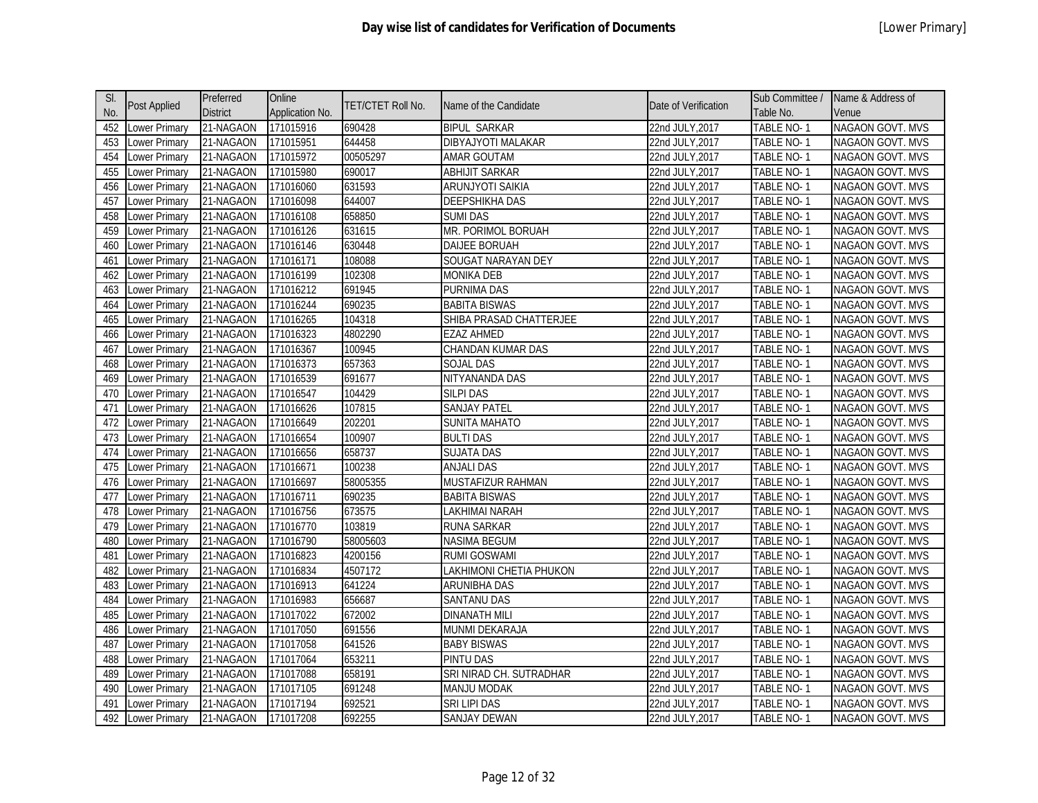| SI.             |                      | Preferred       | Online          |                          |                          |                      | Sub Committee /   | Name & Address of       |
|-----------------|----------------------|-----------------|-----------------|--------------------------|--------------------------|----------------------|-------------------|-------------------------|
| No.             | Post Applied         | <b>District</b> | Application No. | <b>TET/CTET Roll No.</b> | Name of the Candidate    | Date of Verification | Table No.         | Venue                   |
| 452             | Lower Primary        | 21-NAGAON       | 171015916       | 690428                   | <b>BIPUL SARKAR</b>      | 22nd JULY, 2017      | <b>TABLE NO-1</b> | <b>NAGAON GOVT. MVS</b> |
| 453             | ower Primary         | 21-NAGAON       | 171015951       | 644458                   | DIBYAJYOTI MALAKAR       | 22nd JULY, 2017      | TABLE NO-1        | NAGAON GOVT. MVS        |
| 454             | Lower Primary        | 21-NAGAON       | 171015972       | 00505297                 | AMAR GOUTAM              | 22nd JULY, 2017      | TABLE NO-1        | <b>NAGAON GOVT. MVS</b> |
| 455             | Lower Primary        | 21-NAGAON       | 171015980       | 690017                   | <b>ABHIJIT SARKAR</b>    | 22nd JULY, 2017      | TABLE NO-1        | NAGAON GOVT. MVS        |
| 456             | Lower Primary        | 21-NAGAON       | 171016060       | 631593                   | ARUNJYOTI SAIKIA         | 22nd JULY, 2017      | TABLE NO-1        | NAGAON GOVT. MVS        |
| 457             | Lower Primary        | 21-NAGAON       | 171016098       | 644007                   | <b>DEEPSHIKHA DAS</b>    | 22nd JULY, 2017      | TABLE NO-1        | <b>NAGAON GOVT. MVS</b> |
| 458             | Lower Primary        | 21-NAGAON       | 171016108       | 658850                   | <b>SUMI DAS</b>          | 22nd JULY, 2017      | TABLE NO-1        | NAGAON GOVT. MVS        |
| 459             | Lower Primary        | 21-NAGAON       | 171016126       | 631615                   | MR. PORIMOL BORUAH       | 22nd JULY, 2017      | TABLE NO-1        | <b>NAGAON GOVT. MVS</b> |
| 460             | Lower Primary        | 21-NAGAON       | 171016146       | 630448                   | <b>DAIJEE BORUAH</b>     | 22nd JULY, 2017      | TABLE NO-1        | NAGAON GOVT. MVS        |
| 461             | ower Primary         | 21-NAGAON       | 171016171       | 108088                   | SOUGAT NARAYAN DEY       | 22nd JULY, 2017      | TABLE NO-1        | <b>NAGAON GOVT. MVS</b> |
| 462             | ower Primary         | 21-NAGAON       | 171016199       | 102308                   | <b>MONIKA DEB</b>        | 22nd JULY, 2017      | TABLE NO-1        | NAGAON GOVT. MVS        |
| 463             | Lower Primary        | 21-NAGAON       | 171016212       | 691945                   | PURNIMA DAS              | 22nd JULY, 2017      | TABLE NO-1        | NAGAON GOVT. MVS        |
| 464             | Lower Primary        | 21-NAGAON       | 171016244       | 690235                   | <b>BABITA BISWAS</b>     | 22nd JULY, 2017      | TABLE NO-1        | <b>NAGAON GOVT. MVS</b> |
| 465             | Lower Primary        | 21-NAGAON       | 171016265       | 104318                   | SHIBA PRASAD CHATTERJEE  | 22nd JULY, 2017      | <b>TABLE NO-1</b> | NAGAON GOVT. MVS        |
| 466             | Lower Primary        | 21-NAGAON       | 171016323       | 4802290                  | <b>EZAZ AHMED</b>        | 22nd JULY, 2017      | TABLE NO-1        | <b>NAGAON GOVT. MVS</b> |
| 467             | Lower Primary        | 21-NAGAON       | 171016367       | 100945                   | <b>CHANDAN KUMAR DAS</b> | 22nd JULY, 2017      | <b>TABLE NO-1</b> | NAGAON GOVT. MVS        |
| 468             | Lower Primary        | 21-NAGAON       | 171016373       | 657363                   | <b>SOJAL DAS</b>         | 22nd JULY, 2017      | <b>TABLE NO-1</b> | <b>NAGAON GOVT. MVS</b> |
| 469             | ower Primary         | 21-NAGAON       | 171016539       | 691677                   | NITYANANDA DAS           | 22nd JULY, 2017      | TABLE NO-1        | NAGAON GOVT. MVS        |
| 470             | Lower Primary        | 21-NAGAON       | 171016547       | 104429                   | SILPI DAS                | 22nd JULY, 2017      | <b>TABLE NO-1</b> | NAGAON GOVT. MVS        |
| 471             | Lower Primary        | 21-NAGAON       | 171016626       | 107815                   | <b>SANJAY PATEL</b>      | 22nd JULY,2017       | TABLE NO-1        | <b>NAGAON GOVT. MVS</b> |
| 472             | Lower Primary        | 21-NAGAON       | 171016649       | 202201                   | <b>SUNITA MAHATO</b>     | 22nd JULY, 2017      | TABLE NO-1        | NAGAON GOVT. MVS        |
| 473             | Lower Primary        | 21-NAGAON       | 171016654       | 100907                   | <b>BULTI DAS</b>         | 22nd JULY, 2017      | TABLE NO-1        | <b>NAGAON GOVT. MVS</b> |
| 474             | Lower Primary        | 21-NAGAON       | 171016656       | 658737                   | <b>SUJATA DAS</b>        | 22nd JULY, 2017      | TABLE NO-1        | NAGAON GOVT. MVS        |
| 475             | Lower Primary        | 21-NAGAON       | 171016671       | 100238                   | <b>ANJALI DAS</b>        | 22nd JULY, 2017      | TABLE NO-1        | <b>NAGAON GOVT. MVS</b> |
| 476             | ower Primary         | 21-NAGAON       | 171016697       | 58005355                 | MUSTAFIZUR RAHMAN        | 22nd JULY, 2017      | TABLE NO-1        | NAGAON GOVT. MVS        |
| 477             | Lower Primary        | 21-NAGAON       | 171016711       | 690235                   | <b>BABITA BISWAS</b>     | 22nd JULY, 2017      | TABLE NO-1        | NAGAON GOVT. MVS        |
| 478             | Lower Primary        | 21-NAGAON       | 171016756       | 673575                   | LAKHIMAI NARAH           | 22nd JULY, 2017      | TABLE NO-1        | NAGAON GOVT. MVS        |
| 479             | Lower Primary        | 21-NAGAON       | 171016770       | 103819                   | RUNA SARKAR              | 22nd JULY, 2017      | TABLE NO-1        | NAGAON GOVT. MVS        |
| 480             | ower Primary         | 21-NAGAON       | 171016790       | 58005603                 | <b>NASIMA BEGUM</b>      | 22nd JULY, 2017      | TABLE NO-1        | <b>NAGAON GOVT. MVS</b> |
| 481             | ower Primary         | 21-NAGAON       | 171016823       | 4200156                  | <b>RUMI GOSWAMI</b>      | 22nd JULY, 2017      | TABLE NO-1        | <b>NAGAON GOVT. MVS</b> |
| 482             | Lower Primary        | 21-NAGAON       | 171016834       | 4507172                  | LAKHIMONI CHETIA PHUKON  | 22nd JULY, 2017      | TABLE NO-1        | <b>NAGAON GOVT. MVS</b> |
| 483             | Lower Primary        | 21-NAGAON       | 171016913       | 641224                   | ARUNIBHA DAS             | 22nd JULY, 2017      | TABLE NO-1        | NAGAON GOVT. MVS        |
| 484             | Lower Primary        | 21-NAGAON       | 171016983       | 656687                   | <b>SANTANU DAS</b>       | 22nd JULY, 2017      | TABLE NO-1        | NAGAON GOVT. MVS        |
| 485             | Lower Primary        | 21-NAGAON       | 171017022       | 672002                   | <b>DINANATH MILI</b>     | 22nd JULY, 2017      | TABLE NO-1        | NAGAON GOVT. MVS        |
| 486             | Lower Primary        | 21-NAGAON       | 171017050       | 691556                   | MUNMI DEKARAJA           | 22nd JULY, 2017      | TABLE NO-1        | NAGAON GOVT. MVS        |
| 487             | Lower Primary        | 21-NAGAON       | 171017058       | 641526                   | <b>BABY BISWAS</b>       | 22nd JULY, 2017      | TABLE NO-1        | NAGAON GOVT. MVS        |
| 488             | ower Primary         | 21-NAGAON       | 171017064       | 653211                   | <b>PINTU DAS</b>         | 22nd JULY, 2017      | TABLE NO-1        | NAGAON GOVT. MVS        |
| 489             | Lower Primary        | 21-NAGAON       | 171017088       | 658191                   | SRI NIRAD CH. SUTRADHAR  | 22nd JULY, 2017      | TABLE NO-1        | <b>NAGAON GOVT. MVS</b> |
| 490             | ower Primary         | 21-NAGAON       | 171017105       | 691248                   | <b>MANJU MODAK</b>       | 22nd JULY, 2017      | TABLE NO-1        | NAGAON GOVT. MVS        |
| 49 <sup>°</sup> | Lower Primary        | 21-NAGAON       | 171017194       | 692521                   | SRI LIPI DAS             | 22nd JULY,2017       | TABLE NO- 1       | <b>NAGAON GOVT. MVS</b> |
| 492             | <b>Lower Primary</b> | 21-NAGAON       | 171017208       | 692255                   | <b>SANJAY DEWAN</b>      | 22nd JULY, 2017      | TABLE NO-1        | NAGAON GOVT. MVS        |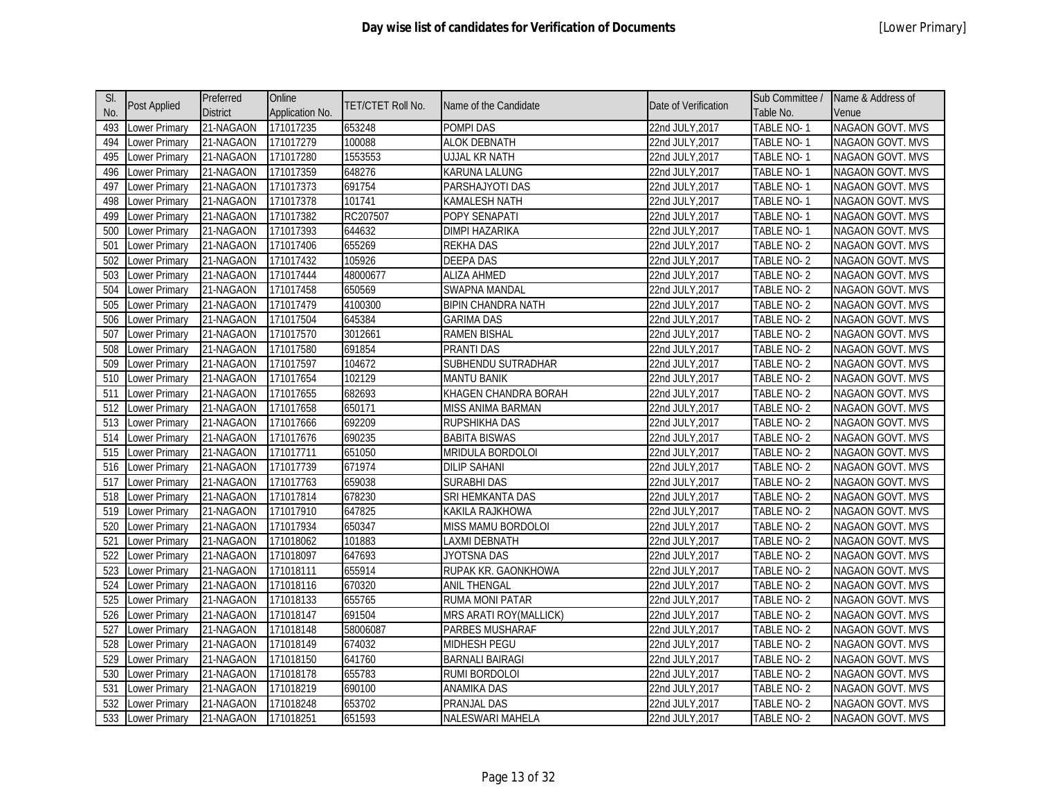| SI. |                      | Preferred       | Online          |                   |                           |                      | Sub Committee /   | Name & Address of       |
|-----|----------------------|-----------------|-----------------|-------------------|---------------------------|----------------------|-------------------|-------------------------|
| No. | <b>Post Applied</b>  | <b>District</b> | Application No. | TET/CTET Roll No. | Name of the Candidate     | Date of Verification | Table No.         | Venue                   |
| 493 | Lower Primary        | 21-NAGAON       | 171017235       | 653248            | <b>POMPI DAS</b>          | 22nd JULY, 2017      | <b>TABLE NO-1</b> | <b>NAGAON GOVT. MVS</b> |
| 494 | ower Primary         | 21-NAGAON       | 171017279       | 100088            | <b>ALOK DEBNATH</b>       | 22nd JULY, 2017      | TABLE NO-1        | NAGAON GOVT. MVS        |
| 495 | Lower Primary        | 21-NAGAON       | 171017280       | 1553553           | UJJAL KR NATH             | 22nd JULY, 2017      | TABLE NO-1        | NAGAON GOVT. MVS        |
| 496 | Lower Primary        | 21-NAGAON       | 171017359       | 648276            | KARUNA LALUNG             | 22nd JULY, 2017      | TABLE NO-1        | NAGAON GOVT. MVS        |
| 497 | Lower Primary        | 21-NAGAON       | 171017373       | 691754            | PARSHAJYOTI DAS           | 22nd JULY, 2017      | TABLE NO-1        | NAGAON GOVT. MVS        |
| 498 | ower Primary         | 21-NAGAON       | 171017378       | 101741            | KAMALESH NATH             | 22nd JULY, 2017      | <b>TABLE NO-1</b> | <b>NAGAON GOVT. MVS</b> |
| 499 | ower Primary         | 21-NAGAON       | 171017382       | RC207507          | POPY SENAPATI             | 22nd JULY, 2017      | TABLE NO-1        | NAGAON GOVT. MVS        |
| 500 | ower Primary         | 21-NAGAON       | 171017393       | 644632            | <b>DIMPI HAZARIKA</b>     | 22nd JULY, 2017      | <b>TABLE NO-1</b> | <b>NAGAON GOVT. MVS</b> |
| 501 | ower Primary         | 21-NAGAON       | 171017406       | 655269            | <b>REKHA DAS</b>          | 22nd JULY, 2017      | TABLE NO-2        | NAGAON GOVT. MVS        |
| 502 | ower Primary         | 21-NAGAON       | 171017432       | 105926            | <b>DEEPA DAS</b>          | 22nd JULY, 2017      | TABLE NO-2        | <b>NAGAON GOVT. MVS</b> |
| 503 | Lower Primary        | 21-NAGAON       | 171017444       | 48000677          | <b>ALIZA AHMED</b>        | 22nd JULY, 2017      | TABLE NO-2        | NAGAON GOVT. MVS        |
| 504 | Lower Primary        | 21-NAGAON       | 171017458       | 650569            | <b>SWAPNA MANDAL</b>      | 22nd JULY, 2017      | TABLE NO-2        | NAGAON GOVT. MVS        |
| 505 | Lower Primary        | 21-NAGAON       | 171017479       | 4100300           | <b>BIPIN CHANDRA NATH</b> | 22nd JULY, 2017      | TABLE NO-2        | <b>NAGAON GOVT. MVS</b> |
| 506 | Lower Primary        | 21-NAGAON       | 171017504       | 645384            | <b>GARIMA DAS</b>         | 22nd JULY, 2017      | <b>TABLE NO-2</b> | NAGAON GOVT. MVS        |
| 507 | ower Primary         | 21-NAGAON       | 171017570       | 3012661           | <b>RAMEN BISHAL</b>       | 22nd JULY, 2017      | TABLE NO-2        | <b>NAGAON GOVT. MVS</b> |
| 508 | ower Primary         | 21-NAGAON       | 171017580       | 691854            | <b>PRANTI DAS</b>         | 22nd JULY, 2017      | <b>TABLE NO-2</b> | NAGAON GOVT. MVS        |
| 509 | ower Primary         | 21-NAGAON       | 171017597       | 104672            | SUBHENDU SUTRADHAR        | 22nd JULY, 2017      | <b>TABLE NO-2</b> | NAGAON GOVT. MVS        |
| 510 | ower Primary         | 21-NAGAON       | 171017654       | 102129            | <b>MANTU BANIK</b>        | 22nd JULY, 2017      | TABLE NO-2        | NAGAON GOVT. MVS        |
| 511 | ower Primary         | 21-NAGAON       | 171017655       | 682693            | KHAGEN CHANDRA BORAH      | 22nd JULY, 2017      | TABLE NO-2        | NAGAON GOVT. MVS        |
| 512 | ower Primary         | 21-NAGAON       | 171017658       | 650171            | MISS ANIMA BARMAN         | 22nd JULY, 2017      | TABLE NO-2        | NAGAON GOVT. MVS        |
| 513 | Lower Primary        | 21-NAGAON       | 171017666       | 692209            | RUPSHIKHA DAS             | 22nd JULY, 2017      | TABLE NO-2        | NAGAON GOVT. MVS        |
| 514 | ower Primary         | 21-NAGAON       | 171017676       | 690235            | <b>BABITA BISWAS</b>      | 22nd JULY, 2017      | TABLE NO-2        | <b>NAGAON GOVT. MVS</b> |
| 515 | Lower Primary        | 21-NAGAON       | 171017711       | 651050            | MRIDULA BORDOLOI          | 22nd JULY, 2017      | TABLE NO-2        | NAGAON GOVT. MVS        |
| 516 | Lower Primary        | 21-NAGAON       | 171017739       | 671974            | <b>DILIP SAHANI</b>       | 22nd JULY, 2017      | TABLE NO-2        | <b>NAGAON GOVT. MVS</b> |
| 517 | Lower Primary        | 21-NAGAON       | 171017763       | 659038            | <b>SURABHI DAS</b>        | 22nd JULY, 2017      | TABLE NO-2        | NAGAON GOVT. MVS        |
| 518 | Lower Primary        | 21-NAGAON       | 171017814       | 678230            | SRI HEMKANTA DAS          | 22nd JULY, 2017      | TABLE NO-2        | NAGAON GOVT. MVS        |
| 519 | ower Primary         | 21-NAGAON       | 171017910       | 647825            | KAKILA RAJKHOWA           | 22nd JULY, 2017      | TABLE NO-2        | NAGAON GOVT. MVS        |
| 520 | ower Primary         | 21-NAGAON       | 171017934       | 650347            | MISS MAMU BORDOLOI        | 22nd JULY, 2017      | TABLE NO-2        | NAGAON GOVT. MVS        |
| 521 | ower Primary         | 21-NAGAON       | 171018062       | 101883            | LAXMI DEBNATH             | 22nd JULY, 2017      | TABLE NO-2        | <b>NAGAON GOVT. MVS</b> |
| 522 | ower Primary         | 21-NAGAON       | 171018097       | 647693            | JYOTSNA DAS               | 22nd JULY, 2017      | TABLE NO-2        | NAGAON GOVT. MVS        |
| 523 | ower Primary         | 21-NAGAON       | 171018111       | 655914            | RUPAK KR. GAONKHOWA       | 22nd JULY, 2017      | TABLE NO-2        | <b>NAGAON GOVT. MVS</b> |
| 524 | ower Primary         | 21-NAGAON       | 171018116       | 670320            | <b>ANIL THENGAL</b>       | 22nd JULY, 2017      | TABLE NO-2        | NAGAON GOVT. MVS        |
| 525 | Lower Primary        | 21-NAGAON       | 171018133       | 655765            | <b>RUMA MONI PATAR</b>    | 22nd JULY, 2017      | TABLE NO-2        | NAGAON GOVT. MVS        |
| 526 | Lower Primary        | 21-NAGAON       | 171018147       | 691504            | MRS ARATI ROY(MALLICK)    | 22nd JULY, 2017      | TABLE NO-2        | NAGAON GOVT. MVS        |
| 527 | Lower Primary        | 21-NAGAON       | 171018148       | 58006087          | PARBES MUSHARAF           | 22nd JULY, 2017      | TABLE NO-2        | NAGAON GOVT. MVS        |
| 528 | ower Primary         | 21-NAGAON       | 171018149       | 674032            | MIDHESH PEGU              | 22nd JULY, 2017      | TABLE NO-2        | NAGAON GOVT. MVS        |
| 529 | ower Primary         | 21-NAGAON       | 171018150       | 641760            | <b>BARNALI BAIRAGI</b>    | 22nd JULY, 2017      | TABLE NO-2        | NAGAON GOVT. MVS        |
| 530 | ower Primary         | 21-NAGAON       | 171018178       | 655783            | RUMI BORDOLOI             | 22nd JULY, 2017      | TABLE NO-2        | <b>NAGAON GOVT. MVS</b> |
| 531 | ower Primary         | 21-NAGAON       | 171018219       | 690100            | <b>ANAMIKA DAS</b>        | 22nd JULY, 2017      | TABLE NO-2        | NAGAON GOVT. MVS        |
| 532 | ower Primary         | 21-NAGAON       | 171018248       | 653702            | PRANJAL DAS               | 22nd JULY,2017       | TABLE NO-2        | <b>NAGAON GOVT. MVS</b> |
| 533 | <b>Lower Primary</b> | 21-NAGAON       | 171018251       | 651593            | NALESWARI MAHELA          | 22nd JULY, 2017      | TABLE NO-2        | NAGAON GOVT. MVS        |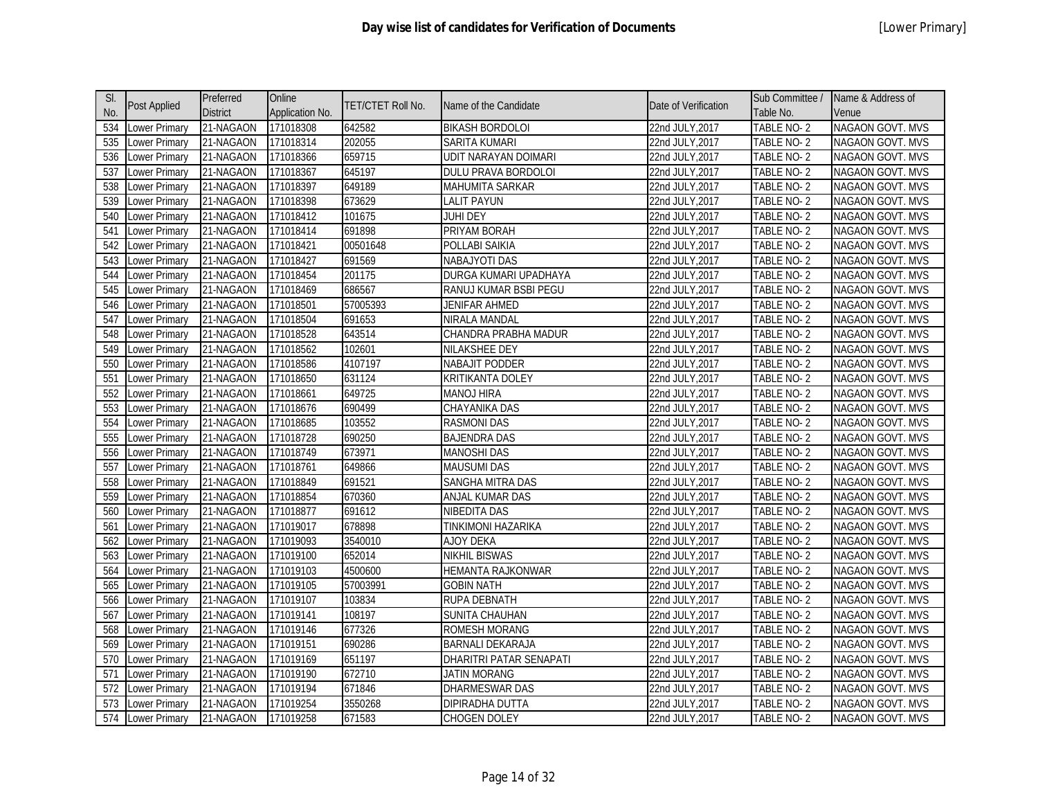| SI. |                      | Preferred       | Online          |                   |                             |                      | Sub Committee /   | Name & Address of       |
|-----|----------------------|-----------------|-----------------|-------------------|-----------------------------|----------------------|-------------------|-------------------------|
| No. | <b>Post Applied</b>  | <b>District</b> | Application No. | TET/CTET Roll No. | Name of the Candidate       | Date of Verification | Table No.         | Venue                   |
| 534 | Lower Primary        | 21-NAGAON       | 171018308       | 642582            | <b>BIKASH BORDOLOI</b>      | 22nd JULY, 2017      | TABLE NO-2        | <b>NAGAON GOVT. MVS</b> |
| 535 | Lower Primary        | 21-NAGAON       | 171018314       | 202055            | SARITA KUMARI               | 22nd JULY, 2017      | TABLE NO-2        | NAGAON GOVT. MVS        |
| 536 | Lower Primary        | 21-NAGAON       | 171018366       | 659715            | UDIT NARAYAN DOIMARI        | 22nd JULY, 2017      | TABLE NO-2        | NAGAON GOVT. MVS        |
| 537 | Lower Primary        | 21-NAGAON       | 171018367       | 645197            | DULU PRAVA BORDOLOI         | 22nd JULY, 2017      | TABLE NO-2        | NAGAON GOVT. MVS        |
| 538 | Lower Primary        | 21-NAGAON       | 171018397       | 649189            | MAHUMITA SARKAR             | 22nd JULY, 2017      | TABLE NO-2        | NAGAON GOVT. MVS        |
| 539 | Lower Primary        | 21-NAGAON       | 171018398       | 673629            | <b>LALIT PAYUN</b>          | 22nd JULY, 2017      | TABLE NO-2        | NAGAON GOVT. MVS        |
| 540 | Lower Primary        | 21-NAGAON       | 171018412       | 101675            | <b>JUHI DEY</b>             | 22nd JULY, 2017      | TABLE NO-2        | NAGAON GOVT. MVS        |
| 541 | Lower Primary        | 21-NAGAON       | 171018414       | 691898            | PRIYAM BORAH                | 22nd JULY, 2017      | TABLE NO-2        | NAGAON GOVT. MVS        |
| 542 | Lower Primary        | 21-NAGAON       | 171018421       | 00501648          | POLLABI SAIKIA              | 22nd JULY, 2017      | TABLE NO-2        | NAGAON GOVT. MVS        |
| 543 | <b>Lower Primary</b> | 21-NAGAON       | 171018427       | 691569            | NABAJYOTI DAS               | 22nd JULY, 2017      | TABLE NO-2        | NAGAON GOVT. MVS        |
| 544 | Lower Primary        | 21-NAGAON       | 171018454       | 201175            | DURGA KUMARI UPADHAYA       | 22nd JULY, 2017      | TABLE NO-2        | NAGAON GOVT. MVS        |
| 545 | Lower Primary        | 21-NAGAON       | 171018469       | 686567            | RANUJ KUMAR BSBI PEGU       | 22nd JULY, 2017      | TABLE NO-2        | NAGAON GOVT. MVS        |
| 546 | Lower Primary        | 21-NAGAON       | 171018501       | 57005393          | JENIFAR AHMED               | 22nd JULY, 2017      | TABLE NO-2        | NAGAON GOVT. MVS        |
| 547 | Lower Primary        | 21-NAGAON       | 171018504       | 691653            | NIRALA MANDAL               | 22nd JULY, 2017      | <b>TABLE NO-2</b> | NAGAON GOVT. MVS        |
| 548 | Lower Primary        | 21-NAGAON       | 171018528       | 643514            | <b>CHANDRA PRABHA MADUR</b> | 22nd JULY, 2017      | TABLE NO-2        | NAGAON GOVT. MVS        |
| 549 | Lower Primary        | 21-NAGAON       | 171018562       | 102601            | <b>NILAKSHEE DEY</b>        | 22nd JULY, 2017      | <b>TABLE NO-2</b> | NAGAON GOVT. MVS        |
| 550 | <b>Lower Primary</b> | 21-NAGAON       | 171018586       | 4107197           | <b>NABAJIT PODDER</b>       | 22nd JULY, 2017      | TABLE NO-2        | <b>NAGAON GOVT. MVS</b> |
| 551 | Lower Primary        | 21-NAGAON       | 171018650       | 631124            | KRITIKANTA DOLEY            | 22nd JULY, 2017      | TABLE NO-2        | NAGAON GOVT. MVS        |
| 552 | Lower Primary        | 21-NAGAON       | 171018661       | 649725            | <b>MANOJ HIRA</b>           | 22nd JULY, 2017      | TABLE NO-2        | <b>NAGAON GOVT. MVS</b> |
| 553 | Lower Primary        | 21-NAGAON       | 171018676       | 690499            | CHAYANIKA DAS               | 22nd JULY, 2017      | TABLE NO-2        | NAGAON GOVT. MVS        |
| 554 | Lower Primary        | 21-NAGAON       | 171018685       | 103552            | <b>RASMONI DAS</b>          | 22nd JULY, 2017      | TABLE NO-2        | NAGAON GOVT. MVS        |
| 555 | Lower Primary        | 21-NAGAON       | 171018728       | 690250            | <b>BAJENDRA DAS</b>         | 22nd JULY, 2017      | TABLE NO-2        | NAGAON GOVT. MVS        |
| 556 | Lower Primary        | 21-NAGAON       | 171018749       | 673971            | <b>MANOSHI DAS</b>          | 22nd JULY, 2017      | TABLE NO-2        | NAGAON GOVT. MVS        |
| 557 | Lower Primary        | 21-NAGAON       | 171018761       | 649866            | <b>MAUSUMI DAS</b>          | 22nd JULY, 2017      | TABLE NO-2        | NAGAON GOVT. MVS        |
| 558 | <b>Lower Primary</b> | 21-NAGAON       | 171018849       | 691521            | SANGHA MITRA DAS            | 22nd JULY, 2017      | TABLE NO-2        | NAGAON GOVT. MVS        |
| 559 | Lower Primary        | 21-NAGAON       | 171018854       | 670360            | ANJAL KUMAR DAS             | 22nd JULY, 2017      | TABLE NO-2        | NAGAON GOVT. MVS        |
| 560 | Lower Primary        | 21-NAGAON       | 171018877       | 691612            | NIBEDITA DAS                | 22nd JULY, 2017      | TABLE NO-2        | NAGAON GOVT. MVS        |
| 561 | Lower Primary        | 21-NAGAON       | 171019017       | 678898            | TINKIMONI HAZARIKA          | 22nd JULY, 2017      | TABLE NO-2        | NAGAON GOVT. MVS        |
| 562 | Lower Primary        | 21-NAGAON       | 171019093       | 3540010           | <b>AJOY DEKA</b>            | 22nd JULY, 2017      | TABLE NO-2        | NAGAON GOVT. MVS        |
| 563 | Lower Primary        | 21-NAGAON       | 171019100       | 652014            | <b>NIKHIL BISWAS</b>        | 22nd JULY, 2017      | TABLE NO-2        | NAGAON GOVT. MVS        |
| 564 | <b>Lower Primary</b> | 21-NAGAON       | 171019103       | 4500600           | HEMANTA RAJKONWAR           | 22nd JULY, 2017      | TABLE NO-2        | NAGAON GOVT. MVS        |
| 565 | Lower Primary        | 21-NAGAON       | 171019105       | 57003991          | <b>GOBIN NATH</b>           | 22nd JULY, 2017      | TABLE NO-2        | NAGAON GOVT. MVS        |
| 566 | Lower Primary        | 21-NAGAON       | 171019107       | 103834            | RUPA DEBNATH                | 22nd JULY, 2017      | TABLE NO-2        | NAGAON GOVT. MVS        |
| 567 | Lower Primary        | 21-NAGAON       | 171019141       | 108197            | SUNITA CHAUHAN              | 22nd JULY, 2017      | TABLE NO-2        | NAGAON GOVT. MVS        |
| 568 | Lower Primary        | 21-NAGAON       | 171019146       | 677326            | ROMESH MORANG               | 22nd JULY, 2017      | TABLE NO-2        | NAGAON GOVT. MVS        |
| 569 | Lower Primary        | 21-NAGAON       | 171019151       | 690286            | BARNALI DEKARAJA            | 22nd JULY, 2017      | TABLE NO-2        | NAGAON GOVT. MVS        |
| 570 | Lower Primary        | 21-NAGAON       | 171019169       | 651197            | DHARITRI PATAR SENAPATI     | 22nd JULY, 2017      | TABLE NO-2        | NAGAON GOVT. MVS        |
| 571 | Lower Primary        | 21-NAGAON       | 171019190       | 672710            | <b>JATIN MORANG</b>         | 22nd JULY, 2017      | TABLE NO-2        | <b>NAGAON GOVT. MVS</b> |
| 572 | Lower Primary        | 21-NAGAON       | 171019194       | 671846            | DHARMESWAR DAS              | 22nd JULY, 2017      | TABLE NO-2        | NAGAON GOVT. MVS        |
| 573 | Lower Primary        | 21-NAGAON       | 171019254       | 3550268           | DIPIRADHA DUTTA             | 22nd JULY, 2017      | TABLE NO-2        | NAGAON GOVT. MVS        |
| 574 | Lower Primary        | 21-NAGAON       | 171019258       | 671583            | CHOGEN DOLEY                | 22nd JULY, 2017      | TABLE NO-2        | NAGAON GOVT. MVS        |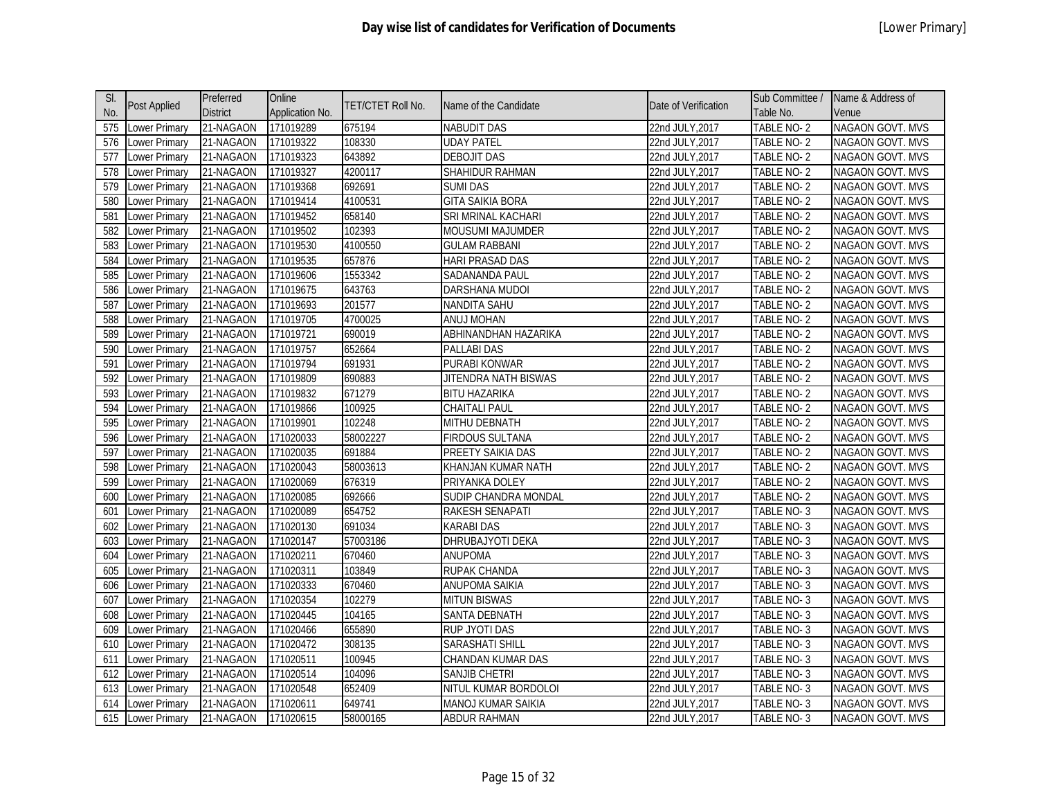| SI. |                      | Preferred       | Online          |                   |                         |                      | Sub Committee /   | Name & Address of       |
|-----|----------------------|-----------------|-----------------|-------------------|-------------------------|----------------------|-------------------|-------------------------|
| No. | <b>Post Applied</b>  | <b>District</b> | Application No. | TET/CTET Roll No. | Name of the Candidate   | Date of Verification | Table No.         | Venue                   |
| 575 | Lower Primary        | 21-NAGAON       | 171019289       | 675194            | <b>NABUDIT DAS</b>      | 22nd JULY, 2017      | <b>TABLE NO-2</b> | <b>NAGAON GOVT. MVS</b> |
| 576 | Lower Primary        | 21-NAGAON       | 171019322       | 108330            | <b>UDAY PATEL</b>       | 22nd JULY, 2017      | TABLE NO-2        | NAGAON GOVT. MVS        |
| 577 | Lower Primary        | 21-NAGAON       | 171019323       | 643892            | <b>DEBOJIT DAS</b>      | 22nd JULY, 2017      | TABLE NO-2        | NAGAON GOVT. MVS        |
| 578 | Lower Primary        | 21-NAGAON       | 171019327       | 4200117           | SHAHIDUR RAHMAN         | 22nd JULY, 2017      | TABLE NO-2        | NAGAON GOVT. MVS        |
| 579 | Lower Primary        | 21-NAGAON       | 171019368       | 692691            | <b>SUMI DAS</b>         | 22nd JULY, 2017      | TABLE NO-2        | NAGAON GOVT. MVS        |
| 580 | Lower Primary        | 21-NAGAON       | 171019414       | 4100531           | <b>GITA SAIKIA BORA</b> | 22nd JULY, 2017      | TABLE NO-2        | NAGAON GOVT. MVS        |
| 581 | Lower Primary        | 21-NAGAON       | 171019452       | 658140            | SRI MRINAL KACHARI      | 22nd JULY, 2017      | TABLE NO-2        | NAGAON GOVT. MVS        |
| 582 | Lower Primary        | 21-NAGAON       | 171019502       | 102393            | <b>MOUSUMI MAJUMDER</b> | 22nd JULY, 2017      | TABLE NO-2        | NAGAON GOVT. MVS        |
| 583 | Lower Primary        | 21-NAGAON       | 171019530       | 4100550           | <b>GULAM RABBANI</b>    | 22nd JULY, 2017      | TABLE NO-2        | NAGAON GOVT. MVS        |
| 584 | <b>Lower Primary</b> | 21-NAGAON       | 171019535       | 657876            | <b>HARI PRASAD DAS</b>  | 22nd JULY, 2017      | TABLE NO-2        | <b>NAGAON GOVT. MVS</b> |
| 585 | Lower Primary        | 21-NAGAON       | 171019606       | 1553342           | SADANANDA PAUL          | 22nd JULY, 2017      | TABLE NO-2        | NAGAON GOVT. MVS        |
| 586 | Lower Primary        | 21-NAGAON       | 171019675       | 643763            | DARSHANA MUDOI          | 22nd JULY, 2017      | TABLE NO-2        | NAGAON GOVT. MVS        |
| 587 | Lower Primary        | 21-NAGAON       | 171019693       | 201577            | NANDITA SAHU            | 22nd JULY, 2017      | TABLE NO-2        | NAGAON GOVT. MVS        |
| 588 | Lower Primary        | 21-NAGAON       | 171019705       | 4700025           | ANUJ MOHAN              | 22nd JULY, 2017      | <b>TABLE NO-2</b> | NAGAON GOVT. MVS        |
| 589 | Lower Primary        | 21-NAGAON       | 171019721       | 690019            | ABHINANDHAN HAZARIKA    | 22nd JULY, 2017      | TABLE NO-2        | NAGAON GOVT. MVS        |
| 590 | Lower Primary        | 21-NAGAON       | 171019757       | 652664            | <b>PALLABI DAS</b>      | 22nd JULY, 2017      | <b>TABLE NO-2</b> | NAGAON GOVT. MVS        |
| 591 | <b>Lower Primary</b> | 21-NAGAON       | 171019794       | 691931            | <b>PURABI KONWAR</b>    | 22nd JULY, 2017      | TABLE NO-2        | <b>NAGAON GOVT. MVS</b> |
| 592 | Lower Primary        | 21-NAGAON       | 171019809       | 690883            | JITENDRA NATH BISWAS    | 22nd JULY, 2017      | TABLE NO-2        | NAGAON GOVT. MVS        |
| 593 | <b>Lower Primary</b> | 21-NAGAON       | 171019832       | 671279            | <b>BITU HAZARIKA</b>    | 22nd JULY, 2017      | TABLE NO-2        | <b>NAGAON GOVT. MVS</b> |
| 594 | Lower Primary        | 21-NAGAON       | 171019866       | 100925            | <b>CHAITALI PAUL</b>    | 22nd JULY, 2017      | TABLE NO-2        | NAGAON GOVT. MVS        |
| 595 | Lower Primary        | 21-NAGAON       | 171019901       | 102248            | MITHU DEBNATH           | 22nd JULY, 2017      | TABLE NO-2        | NAGAON GOVT. MVS        |
| 596 | Lower Primary        | 21-NAGAON       | 171020033       | 58002227          | <b>FIRDOUS SULTANA</b>  | 22nd JULY, 2017      | TABLE NO-2        | NAGAON GOVT. MVS        |
| 597 | Lower Primary        | 21-NAGAON       | 171020035       | 691884            | PREETY SAIKIA DAS       | 22nd JULY, 2017      | TABLE NO-2        | NAGAON GOVT. MVS        |
| 598 | Lower Primary        | 21-NAGAON       | 171020043       | 58003613          | KHANJAN KUMAR NATH      | 22nd JULY, 2017      | TABLE NO-2        | NAGAON GOVT. MVS        |
| 599 | Lower Primary        | 21-NAGAON       | 171020069       | 676319            | PRIYANKA DOLEY          | 22nd JULY, 2017      | TABLE NO-2        | NAGAON GOVT. MVS        |
| 600 | Lower Primary        | 21-NAGAON       | 171020085       | 692666            | SUDIP CHANDRA MONDAL    | 22nd JULY, 2017      | TABLE NO-2        | NAGAON GOVT. MVS        |
| 601 | Lower Primary        | 21-NAGAON       | 171020089       | 654752            | RAKESH SENAPATI         | 22nd JULY, 2017      | TABLE NO-3        | NAGAON GOVT. MVS        |
| 602 | Lower Primary        | 21-NAGAON       | 171020130       | 691034            | <b>KARABI DAS</b>       | 22nd JULY, 2017      | TABLE NO-3        | NAGAON GOVT. MVS        |
| 603 | Lower Primary        | 21-NAGAON       | 171020147       | 57003186          | DHRUBAJYOTI DEKA        | 22nd JULY, 2017      | TABLE NO-3        | NAGAON GOVT. MVS        |
| 604 | Lower Primary        | 21-NAGAON       | 171020211       | 670460            | <b>ANUPOMA</b>          | 22nd JULY, 2017      | TABLE NO-3        | <b>NAGAON GOVT. MVS</b> |
| 605 | Lower Primary        | 21-NAGAON       | 171020311       | 103849            | RUPAK CHANDA            | 22nd JULY, 2017      | TABLE NO-3        | NAGAON GOVT. MVS        |
| 606 | Lower Primary        | 21-NAGAON       | 171020333       | 670460            | ANUPOMA SAIKIA          | 22nd JULY, 2017      | TABLE NO-3        | NAGAON GOVT. MVS        |
| 607 | Lower Primary        | 21-NAGAON       | 171020354       | 102279            | <b>MITUN BISWAS</b>     | 22nd JULY, 2017      | TABLE NO-3        | NAGAON GOVT. MVS        |
| 608 | Lower Primary        | 21-NAGAON       | 171020445       | 104165            | SANTA DEBNATH           | 22nd JULY, 2017      | TABLE NO-3        | NAGAON GOVT. MVS        |
| 609 | Lower Primary        | 21-NAGAON       | 171020466       | 655890            | RUP JYOTI DAS           | 22nd JULY, 2017      | TABLE NO-3        | NAGAON GOVT. MVS        |
| 610 | Lower Primary        | 21-NAGAON       | 171020472       | 308135            | SARASHATI SHILL         | 22nd JULY, 2017      | TABLE NO-3        | NAGAON GOVT. MVS        |
| 611 | Lower Primary        | 21-NAGAON       | 171020511       | 100945            | CHANDAN KUMAR DAS       | 22nd JULY, 2017      | TABLE NO-3        | NAGAON GOVT. MVS        |
| 612 | Lower Primary        | 21-NAGAON       | 171020514       | 104096            | SANJIB CHETRI           | 22nd JULY, 2017      | TABLE NO-3        | <b>NAGAON GOVT. MVS</b> |
| 613 | Lower Primary        | 21-NAGAON       | 171020548       | 652409            | NITUL KUMAR BORDOLOI    | 22nd JULY, 2017      | TABLE NO-3        | NAGAON GOVT. MVS        |
| 614 | Lower Primary        | 21-NAGAON       | 171020611       | 649741            | MANOJ KUMAR SAIKIA      | 22nd JULY, 2017      | TABLE NO-3        | NAGAON GOVT. MVS        |
| 615 | <b>Lower Primary</b> | 21-NAGAON       | 171020615       | 58000165          | ABDUR RAHMAN            | 22nd JULY, 2017      | TABLE NO-3        | NAGAON GOVT. MVS        |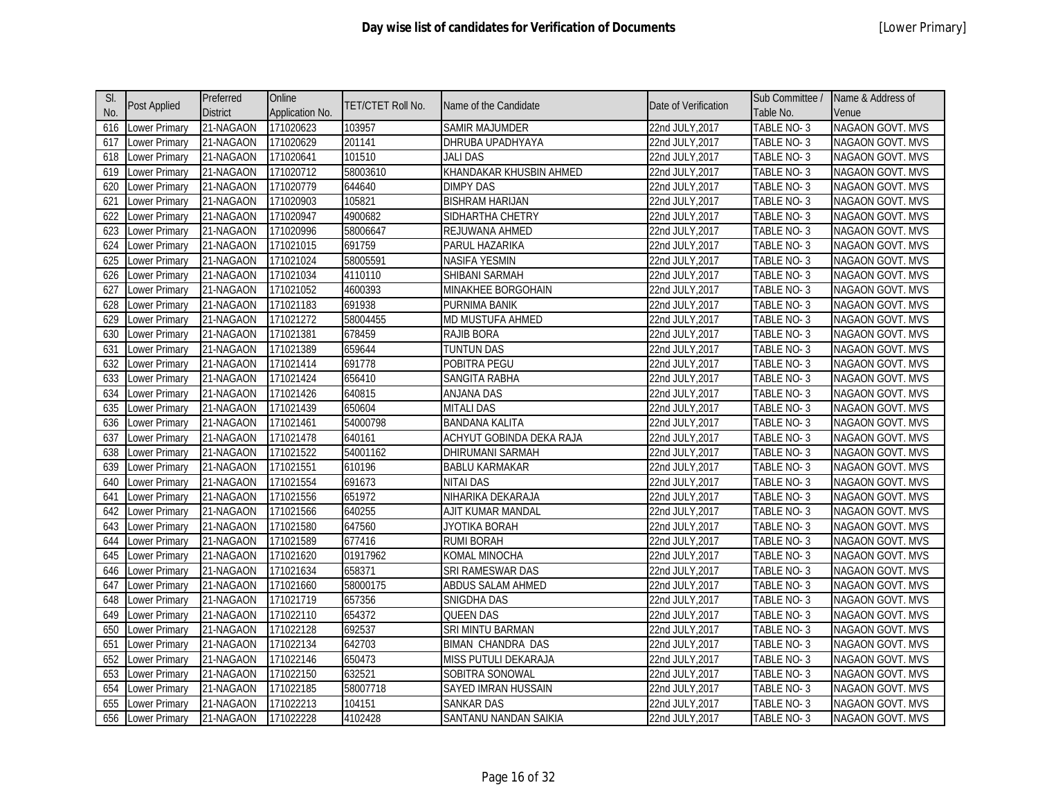| SI. |                      | Preferred       | Online          |                   |                          |                      | Sub Committee /   | Name & Address of       |
|-----|----------------------|-----------------|-----------------|-------------------|--------------------------|----------------------|-------------------|-------------------------|
| No. | <b>Post Applied</b>  | <b>District</b> | Application No. | TET/CTET Roll No. | Name of the Candidate    | Date of Verification | Table No.         | Venue                   |
| 616 | Lower Primary        | 21-NAGAON       | 171020623       | 103957            | <b>SAMIR MAJUMDER</b>    | 22nd JULY, 2017      | TABLE NO-3        | NAGAON GOVT. MVS        |
| 617 | ower Primary         | 21-NAGAON       | 171020629       | 201141            | DHRUBA UPADHYAYA         | 22nd JULY, 2017      | TABLE NO-3        | <b>NAGAON GOVT. MVS</b> |
| 618 | ower Primary         | 21-NAGAON       | 171020641       | 101510            | JALI DAS                 | 22nd JULY, 2017      | TABLE NO-3        | NAGAON GOVT. MVS        |
| 619 | Lower Primary        | 21-NAGAON       | 171020712       | 58003610          | KHANDAKAR KHUSBIN AHMED  | 22nd JULY, 2017      | TABLE NO-3        | <b>NAGAON GOVT. MVS</b> |
| 620 | Lower Primary        | 21-NAGAON       | 171020779       | 644640            | <b>DIMPY DAS</b>         | 22nd JULY, 2017      | TABLE NO-3        | NAGAON GOVT. MVS        |
| 621 | Lower Primary        | 21-NAGAON       | 171020903       | 105821            | <b>BISHRAM HARIJAN</b>   | 22nd JULY, 2017      | TABLE NO-3        | NAGAON GOVT. MVS        |
| 622 | ower Primary         | 21-NAGAON       | 171020947       | 4900682           | SIDHARTHA CHETRY         | 22nd JULY, 2017      | TABLE NO-3        | NAGAON GOVT. MVS        |
| 623 | ower Primary         | 21-NAGAON       | 171020996       | 58006647          | REJUWANA AHMED           | 22nd JULY, 2017      | TABLE NO-3        | NAGAON GOVT. MVS        |
| 624 | ower Primary         | 21-NAGAON       | 171021015       | 691759            | PARUL HAZARIKA           | 22nd JULY, 2017      | TABLE NO-3        | <b>NAGAON GOVT. MVS</b> |
| 625 | ower Primary         | 21-NAGAON       | 171021024       | 58005591          | <b>NASIFA YESMIN</b>     | 22nd JULY, 2017      | TABLE NO-3        | NAGAON GOVT. MVS        |
| 626 | Lower Primary        | 21-NAGAON       | 171021034       | 4110110           | SHIBANI SARMAH           | 22nd JULY, 2017      | TABLE NO-3        | NAGAON GOVT. MVS        |
| 627 | ower Primary         | 21-NAGAON       | 171021052       | 4600393           | MINAKHEE BORGOHAIN       | 22nd JULY, 2017      | TABLE NO-3        | <b>NAGAON GOVT. MVS</b> |
| 628 | Lower Primary        | 21-NAGAON       | 171021183       | 691938            | PURNIMA BANIK            | 22nd JULY, 2017      | TABLE NO-3        | NAGAON GOVT. MVS        |
| 629 | Lower Primary        | 21-NAGAON       | 171021272       | 58004455          | MD MUSTUFA AHMED         | 22nd JULY, 2017      | TABLE NO-3        | <b>NAGAON GOVT. MVS</b> |
| 630 | Lower Primary        | 21-NAGAON       | 171021381       | 678459            | RAJIB BORA               | 22nd JULY, 2017      | <b>TABLE NO-3</b> | NAGAON GOVT. MVS        |
| 631 | ower Primary         | 21-NAGAON       | 171021389       | 659644            | <b>TUNTUN DAS</b>        | 22nd JULY, 2017      | TABLE NO-3        | NAGAON GOVT. MVS        |
| 632 | ower Primary         | 21-NAGAON       | 171021414       | 691778            | POBITRA PEGU             | 22nd JULY, 2017      | TABLE NO-3        | <b>NAGAON GOVT. MVS</b> |
| 633 | Lower Primary        | 21-NAGAON       | 171021424       | 656410            | SANGITA RABHA            | 22nd JULY, 2017      | TABLE NO-3        | NAGAON GOVT. MVS        |
| 634 | Lower Primary        | 21-NAGAON       | 171021426       | 640815            | <b>ANJANA DAS</b>        | 22nd JULY, 2017      | <b>TABLE NO-3</b> | NAGAON GOVT. MVS        |
| 635 | ower Primary         | 21-NAGAON       | 171021439       | 650604            | <b>MITALI DAS</b>        | 22nd JULY, 2017      | TABLE NO-3        | NAGAON GOVT. MVS        |
| 636 | ower Primary         | 21-NAGAON       | 171021461       | 54000798          | <b>BANDANA KALITA</b>    | 22nd JULY, 2017      | TABLE NO-3        | <b>NAGAON GOVT. MVS</b> |
| 637 | ower Primary         | 21-NAGAON       | 171021478       | 640161            | ACHYUT GOBINDA DEKA RAJA | 22nd JULY, 2017      | TABLE NO-3        | <b>NAGAON GOVT. MVS</b> |
| 638 | ower Primary         | 21-NAGAON       | 171021522       | 54001162          | <b>DHIRUMANI SARMAH</b>  | 22nd JULY, 2017      | TABLE NO-3        | <b>NAGAON GOVT. MVS</b> |
| 639 | ower Primary         | 21-NAGAON       | 171021551       | 610196            | <b>BABLU KARMAKAR</b>    | 22nd JULY, 2017      | TABLE NO-3        | NAGAON GOVT. MVS        |
| 640 | ower Primary         | 21-NAGAON       | 171021554       | 691673            | <b>NITAI DAS</b>         | 22nd JULY, 2017      | TABLE NO-3        | <b>NAGAON GOVT. MVS</b> |
| 641 | ower Primary         | 21-NAGAON       | 171021556       | 651972            | NIHARIKA DEKARAJA        | 22nd JULY, 2017      | TABLE NO-3        | NAGAON GOVT. MVS        |
| 642 | Lower Primary        | 21-NAGAON       | 171021566       | 640255            | AJIT KUMAR MANDAL        | 22nd JULY, 2017      | TABLE NO-3        | <b>NAGAON GOVT. MVS</b> |
| 643 | Lower Primary        | 21-NAGAON       | 171021580       | 647560            | JYOTIKA BORAH            | 22nd JULY, 2017      | TABLE NO-3        | NAGAON GOVT. MVS        |
| 644 | ower Primary         | 21-NAGAON       | 171021589       | 677416            | <b>RUMI BORAH</b>        | 22nd JULY, 2017      | TABLE NO-3        | NAGAON GOVT. MVS        |
| 645 | ower Primary         | 21-NAGAON       | 171021620       | 01917962          | KOMAL MINOCHA            | 22nd JULY, 2017      | TABLE NO-3        | NAGAON GOVT. MVS        |
| 646 | ower Primary         | 21-NAGAON       | 171021634       | 658371            | SRI RAMESWAR DAS         | 22nd JULY, 2017      | TABLE NO-3        | NAGAON GOVT. MVS        |
| 647 | ower Primary         | 21-NAGAON       | 171021660       | 58000175          | ABDUS SALAM AHMED        | 22nd JULY, 2017      | TABLE NO-3        | <b>NAGAON GOVT. MVS</b> |
| 648 | ower Primary         | 21-NAGAON       | 171021719       | 657356            | SNIGDHA DAS              | 22nd JULY, 2017      | TABLE NO-3        | NAGAON GOVT. MVS        |
| 649 | ower Primary         | 21-NAGAON       | 171022110       | 654372            | <b>QUEEN DAS</b>         | 22nd JULY, 2017      | TABLE NO-3        | <b>NAGAON GOVT. MVS</b> |
| 650 | Lower Primary        | 21-NAGAON       | 171022128       | 692537            | SRI MINTU BARMAN         | 22nd JULY, 2017      | TABLE NO-3        | NAGAON GOVT. MVS        |
| 651 | Lower Primary        | 21-NAGAON       | 171022134       | 642703            | <b>BIMAN CHANDRA DAS</b> | 22nd JULY, 2017      | TABLE NO-3        | NAGAON GOVT. MVS        |
| 652 | ower Primary         | 21-NAGAON       | 171022146       | 650473            | MISS PUTULI DEKARAJA     | 22nd JULY, 2017      | TABLE NO-3        | <b>NAGAON GOVT. MVS</b> |
| 653 | ower Primary         | 21-NAGAON       | 171022150       | 632521            | SOBITRA SONOWAL          | 22nd JULY, 2017      | TABLE NO-3        | NAGAON GOVT. MVS        |
| 654 | ower Primary         | 21-NAGAON       | 171022185       | 58007718          | SAYED IMRAN HUSSAIN      | 22nd JULY, 2017      | TABLE NO-3        | NAGAON GOVT. MVS        |
| 655 | ower Primary         | 21-NAGAON       | 171022213       | 104151            | <b>SANKAR DAS</b>        | 22nd JULY, 2017      | TABLE NO-3        | <b>NAGAON GOVT. MVS</b> |
| 656 | <b>Lower Primary</b> | 21-NAGAON       | 171022228       | 4102428           | SANTANU NANDAN SAIKIA    | 22nd JULY, 2017      | TABLE NO-3        | NAGAON GOVT. MVS        |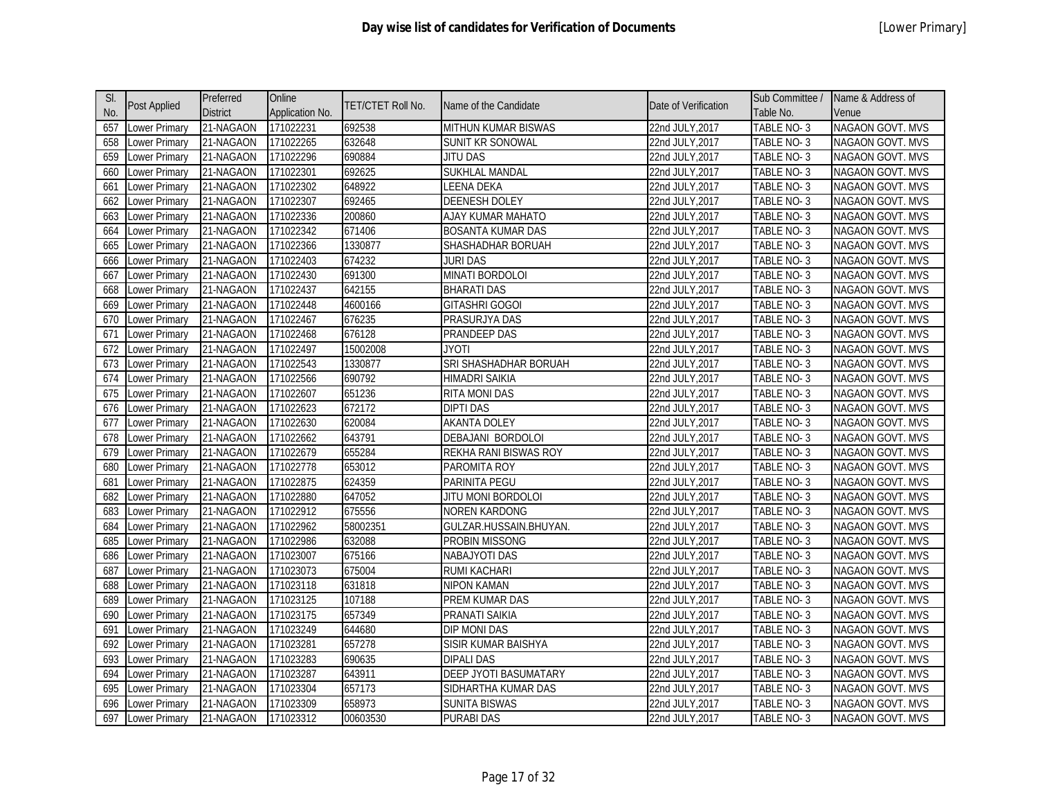| SI. |                      | Preferred       | Online          |                   |                              |                      | Sub Committee /   | Name & Address of       |
|-----|----------------------|-----------------|-----------------|-------------------|------------------------------|----------------------|-------------------|-------------------------|
| No. | <b>Post Applied</b>  | <b>District</b> | Application No. | TET/CTET Roll No. | Name of the Candidate        | Date of Verification | Table No.         | Venue                   |
| 657 | Lower Primary        | 21-NAGAON       | 171022231       | 692538            | MITHUN KUMAR BISWAS          | 22nd JULY, 2017      | TABLE NO-3        | <b>NAGAON GOVT. MVS</b> |
| 658 | Lower Primary        | 21-NAGAON       | 171022265       | 632648            | SUNIT KR SONOWAL             | 22nd JULY, 2017      | TABLE NO-3        | NAGAON GOVT. MVS        |
| 659 | Lower Primary        | 21-NAGAON       | 171022296       | 690884            | JITU DAS                     | 22nd JULY, 2017      | TABLE NO-3        | NAGAON GOVT. MVS        |
| 660 | Lower Primary        | 21-NAGAON       | 171022301       | 692625            | <b>SUKHLAL MANDAL</b>        | 22nd JULY, 2017      | TABLE NO-3        | NAGAON GOVT. MVS        |
| 661 | Lower Primary        | 21-NAGAON       | 171022302       | 648922            | LEENA DEKA                   | 22nd JULY, 2017      | TABLE NO-3        | NAGAON GOVT. MVS        |
| 662 | ower Primary         | 21-NAGAON       | 171022307       | 692465            | <b>DEENESH DOLEY</b>         | 22nd JULY, 2017      | TABLE NO-3        | <b>NAGAON GOVT. MVS</b> |
| 663 | ower Primary         | 21-NAGAON       | 171022336       | 200860            | AJAY KUMAR MAHATO            | 22nd JULY, 2017      | TABLE NO-3        | NAGAON GOVT. MVS        |
| 664 | ower Primary         | 21-NAGAON       | 171022342       | 671406            | <b>BOSANTA KUMAR DAS</b>     | 22nd JULY, 2017      | TABLE NO-3        | <b>NAGAON GOVT. MVS</b> |
| 665 | ower Primary         | 21-NAGAON       | 171022366       | 1330877           | SHASHADHAR BORUAH            | 22nd JULY, 2017      | TABLE NO-3        | NAGAON GOVT. MVS        |
| 666 | ower Primary         | 21-NAGAON       | 171022403       | 674232            | juri das                     | 22nd JULY, 2017      | TABLE NO-3        | <b>NAGAON GOVT. MVS</b> |
| 667 | Lower Primary        | 21-NAGAON       | 171022430       | 691300            | MINATI BORDOLOI              | 22nd JULY, 2017      | TABLE NO-3        | NAGAON GOVT. MVS        |
| 668 | Lower Primary        | 21-NAGAON       | 171022437       | 642155            | <b>BHARATI DAS</b>           | 22nd JULY, 2017      | TABLE NO-3        | NAGAON GOVT. MVS        |
| 669 | Lower Primary        | 21-NAGAON       | 171022448       | 4600166           | <b>GITASHRI GOGOI</b>        | 22nd JULY, 2017      | TABLE NO-3        | NAGAON GOVT. MVS        |
| 670 | Lower Primary        | 21-NAGAON       | 171022467       | 676235            | PRASURJYA DAS                | 22nd JULY, 2017      | <b>TABLE NO-3</b> | NAGAON GOVT. MVS        |
| 671 | ower Primary         | 21-NAGAON       | 171022468       | 676128            | PRANDEEP DAS                 | 22nd JULY, 2017      | TABLE NO-3        | <b>NAGAON GOVT. MVS</b> |
| 672 | ower Primary         | 21-NAGAON       | 171022497       | 15002008          | <b>JYOTI</b>                 | 22nd JULY, 2017      | TABLE NO-3        | NAGAON GOVT. MVS        |
| 673 | ower Primary         | 21-NAGAON       | 171022543       | 1330877           | SRI SHASHADHAR BORUAH        | 22nd JULY, 2017      | TABLE NO-3        | NAGAON GOVT. MVS        |
| 674 | ower Primary         | 21-NAGAON       | 171022566       | 690792            | <b>HIMADRI SAIKIA</b>        | 22nd JULY, 2017      | TABLE NO-3        | NAGAON GOVT. MVS        |
| 675 | ower Primary         | 21-NAGAON       | 171022607       | 651236            | <b>RITA MONI DAS</b>         | 22nd JULY, 2017      | TABLE NO-3        | NAGAON GOVT. MVS        |
| 676 | Lower Primary        | 21-NAGAON       | 171022623       | 672172            | <b>DIPTI DAS</b>             | 22nd JULY, 2017      | TABLE NO-3        | NAGAON GOVT. MVS        |
| 677 | Lower Primary        | 21-NAGAON       | 171022630       | 620084            | <b>AKANTA DOLEY</b>          | 22nd JULY, 2017      | TABLE NO-3        | NAGAON GOVT. MVS        |
| 678 | ower Primary         | 21-NAGAON       | 171022662       | 643791            | DEBAJANI BORDOLOI            | 22nd JULY, 2017      | TABLE NO-3        | <b>NAGAON GOVT. MVS</b> |
| 679 | Lower Primary        | 21-NAGAON       | 171022679       | 655284            | REKHA RANI BISWAS ROY        | 22nd JULY, 2017      | TABLE NO-3        | NAGAON GOVT. MVS        |
| 680 | Lower Primary        | 21-NAGAON       | 171022778       | 653012            | PAROMITA ROY                 | 22nd JULY, 2017      | TABLE NO-3        | <b>NAGAON GOVT. MVS</b> |
| 681 | Lower Primary        | 21-NAGAON       | 171022875       | 624359            | PARINITA PEGU                | 22nd JULY, 2017      | TABLE NO-3        | NAGAON GOVT. MVS        |
| 682 | ower Primary         | 21-NAGAON       | 171022880       | 647052            | JITU MONI BORDOLOI           | 22nd JULY, 2017      | TABLE NO-3        | NAGAON GOVT. MVS        |
| 683 | ower Primary         | 21-NAGAON       | 171022912       | 675556            | <b>NOREN KARDONG</b>         | 22nd JULY, 2017      | TABLE NO-3        | NAGAON GOVT. MVS        |
| 684 | ower Primary         | 21-NAGAON       | 171022962       | 58002351          | GULZAR.HUSSAIN.BHUYAN.       | 22nd JULY, 2017      | TABLE NO-3        | NAGAON GOVT. MVS        |
| 685 | ower Primary         | 21-NAGAON       | 171022986       | 632088            | PROBIN MISSONG               | 22nd JULY, 2017      | TABLE NO-3        | <b>NAGAON GOVT. MVS</b> |
| 686 | Lower Primary        | 21-NAGAON       | 171023007       | 675166            | <b>NABAJYOTI DAS</b>         | 22nd JULY, 2017      | TABLE NO-3        | <b>NAGAON GOVT. MVS</b> |
| 687 | ower Primary         | 21-NAGAON       | 171023073       | 675004            | <b>RUMI KACHARI</b>          | 22nd JULY, 2017      | TABLE NO-3        | <b>NAGAON GOVT. MVS</b> |
| 688 | Lower Primary        | 21-NAGAON       | 171023118       | 631818            | NIPON KAMAN                  | 22nd JULY, 2017      | TABLE NO-3        | NAGAON GOVT. MVS        |
| 689 | Lower Primary        | 21-NAGAON       | 171023125       | 107188            | PREM KUMAR DAS               | 22nd JULY, 2017      | <b>TABLE NO-3</b> | NAGAON GOVT. MVS        |
| 690 | Lower Primary        | 21-NAGAON       | 171023175       | 657349            | PRANATI SAIKIA               | 22nd JULY, 2017      | TABLE NO-3        | NAGAON GOVT. MVS        |
| 691 | Lower Primary        | 21-NAGAON       | 171023249       | 644680            | <b>DIP MONI DAS</b>          | 22nd JULY, 2017      | TABLE NO-3        | NAGAON GOVT. MVS        |
| 692 | ower Primary         | 21-NAGAON       | 171023281       | 657278            | SISIR KUMAR BAISHYA          | 22nd JULY, 2017      | TABLE NO-3        | NAGAON GOVT. MVS        |
| 693 | ower Primary         | 21-NAGAON       | 171023283       | 690635            | <b>DIPALI DAS</b>            | 22nd JULY, 2017      | TABLE NO-3        | NAGAON GOVT. MVS        |
| 694 | ower Primary         | 21-NAGAON       | 171023287       | 643911            | <b>DEEP JYOTI BASUMATARY</b> | 22nd JULY, 2017      | TABLE NO-3        | NAGAON GOVT. MVS        |
| 695 | ower Primary         | 21-NAGAON       | 171023304       | 657173            | SIDHARTHA KUMAR DAS          | 22nd JULY, 2017      | TABLE NO-3        | NAGAON GOVT. MVS        |
| 696 | ower Primary         | 21-NAGAON       | 171023309       | 658973            | <b>SUNITA BISWAS</b>         | 22nd JULY,2017       | TABLE NO-3        | <b>NAGAON GOVT. MVS</b> |
| 697 | <b>Lower Primary</b> | 21-NAGAON       | 171023312       | 00603530          | <b>PURABI DAS</b>            | 22nd JULY, 2017      | TABLE NO-3        | NAGAON GOVT. MVS        |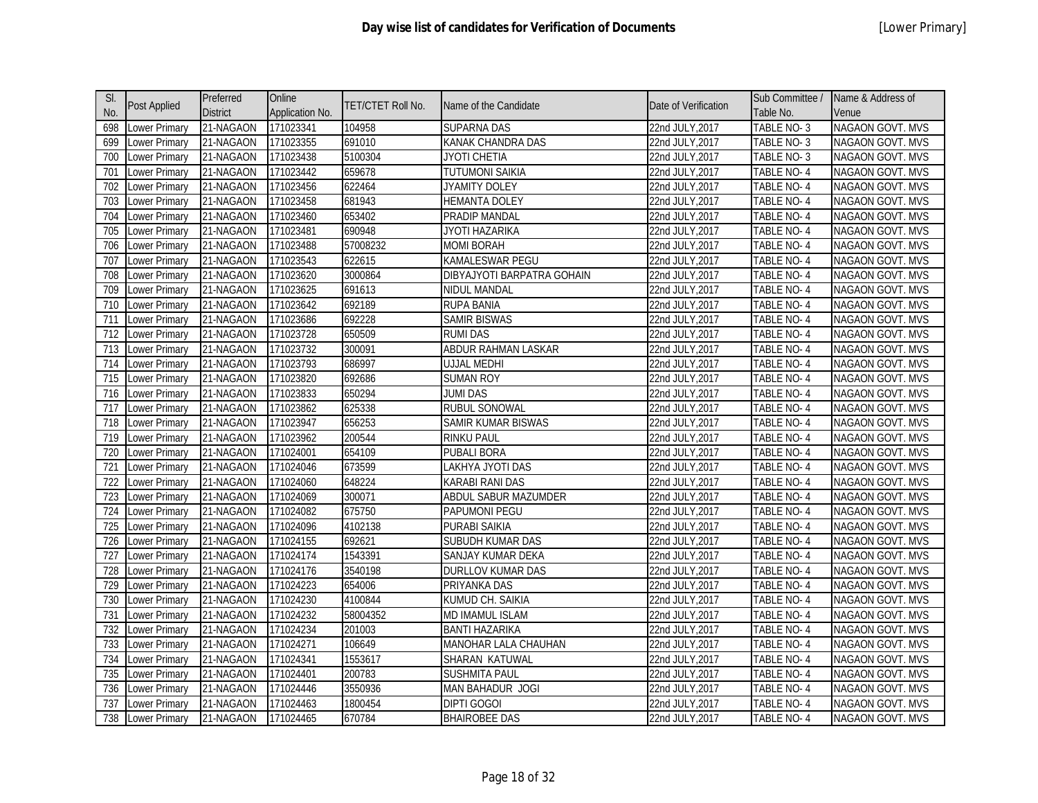| SI.              | Post Applied         | Preferred       | Online          | TET/CTET Roll No. | Name of the Candidate      | Date of Verification | Sub Committee /   | Name & Address of       |
|------------------|----------------------|-----------------|-----------------|-------------------|----------------------------|----------------------|-------------------|-------------------------|
| No.              |                      | <b>District</b> | Application No. |                   |                            |                      | Table No.         | Venue                   |
| 698              | Lower Primary        | 21-NAGAON       | 171023341       | 104958            | <b>SUPARNA DAS</b>         | 22nd JULY, 2017      | TABLE NO-3        | NAGAON GOVT. MVS        |
| 699              | Lower Primary        | 21-NAGAON       | 171023355       | 691010            | KANAK CHANDRA DAS          | 22nd JULY, 2017      | TABLE NO-3        | <b>NAGAON GOVT. MVS</b> |
| 700              | Lower Primary        | 21-NAGAON       | 171023438       | 5100304           | JYOTI CHETIA               | 22nd JULY, 2017      | TABLE NO-3        | NAGAON GOVT. MVS        |
| 701              | Lower Primary        | 21-NAGAON       | 171023442       | 659678            | <b>TUTUMONI SAIKIA</b>     | 22nd JULY, 2017      | TABLE NO-4        | NAGAON GOVT. MVS        |
| 702              | Lower Primary        | 21-NAGAON       | 171023456       | 622464            | JYAMITY DOLEY              | 22nd JULY, 2017      | TABLE NO-4        | NAGAON GOVT. MVS        |
| 703              | Lower Primary        | 21-NAGAON       | 171023458       | 681943            | HEMANTA DOLEY              | 22nd JULY, 2017      | TABLE NO-4        | <b>NAGAON GOVT. MVS</b> |
| 704              | Lower Primary        | 21-NAGAON       | 171023460       | 653402            | PRADIP MANDAL              | 22nd JULY, 2017      | TABLE NO-4        | NAGAON GOVT. MVS        |
| 705              | ower Primary         | 21-NAGAON       | 171023481       | 690948            | JYOTI HAZARIKA             | 22nd JULY, 2017      | TABLE NO-4        | <b>NAGAON GOVT. MVS</b> |
| 706              | Lower Primary        | 21-NAGAON       | 171023488       | 57008232          | <b>MOMI BORAH</b>          | 22nd JULY, 2017      | TABLE NO-4        | NAGAON GOVT. MVS        |
| 707              | Lower Primary        | 21-NAGAON       | 171023543       | 622615            | KAMALESWAR PEGU            | 22nd JULY, 2017      | TABLE NO-4        | NAGAON GOVT. MVS        |
| 708              | Lower Primary        | 21-NAGAON       | 171023620       | 3000864           | DIBYAJYOTI BARPATRA GOHAIN | 22nd JULY, 2017      | TABLE NO-4        | NAGAON GOVT. MVS        |
| 709              | Lower Primary        | 21-NAGAON       | 171023625       | 691613            | <b>NIDUL MANDAL</b>        | 22nd JULY, 2017      | TABLE NO-4        | NAGAON GOVT. MVS        |
| 710              | Lower Primary        | 21-NAGAON       | 171023642       | 692189            | <b>RUPA BANIA</b>          | 22nd JULY, 2017      | TABLE NO-4        | NAGAON GOVT. MVS        |
| 711              | Lower Primary        | 21-NAGAON       | 171023686       | 692228            | <b>SAMIR BISWAS</b>        | 22nd JULY, 2017      | <b>TABLE NO-4</b> | NAGAON GOVT. MVS        |
| 712              | Lower Primary        | 21-NAGAON       | 171023728       | 650509            | <b>RUMI DAS</b>            | 22nd JULY, 2017      | TABLE NO-4        | NAGAON GOVT. MVS        |
| $\overline{713}$ | Lower Primary        | 21-NAGAON       | 171023732       | 300091            | <b>ABDUR RAHMAN LASKAR</b> | 22nd JULY, 2017      | TABLE NO-4        | NAGAON GOVT. MVS        |
| 714              | Lower Primary        | 21-NAGAON       | 171023793       | 686997            | UJJAL MEDHI                | 22nd JULY, 2017      | TABLE NO-4        | <b>NAGAON GOVT. MVS</b> |
| 715              | Lower Primary        | 21-NAGAON       | 171023820       | 692686            | <b>SUMAN ROY</b>           | 22nd JULY, 2017      | TABLE NO-4        | NAGAON GOVT. MVS        |
| 716              | Lower Primary        | 21-NAGAON       | 171023833       | 650294            | <b>JUMI DAS</b>            | 22nd JULY, 2017      | TABLE NO-4        | <b>NAGAON GOVT. MVS</b> |
| 717              | Lower Primary        | 21-NAGAON       | 171023862       | 625338            | <b>RUBUL SONOWAL</b>       | 22nd JULY, 2017      | TABLE NO-4        | NAGAON GOVT. MVS        |
| 718              | Lower Primary        | 21-NAGAON       | 171023947       | 656253            | SAMIR KUMAR BISWAS         | 22nd JULY, 2017      | <b>TABLE NO-4</b> | NAGAON GOVT. MVS        |
| 719              | Lower Primary        | 21-NAGAON       | 171023962       | 200544            | <b>RINKU PAUL</b>          | 22nd JULY, 2017      | TABLE NO-4        | NAGAON GOVT. MVS        |
| 720              | Lower Primary        | 21-NAGAON       | 171024001       | 654109            | <b>PUBALI BORA</b>         | 22nd JULY, 2017      | TABLE NO-4        | NAGAON GOVT. MVS        |
| 721              | Lower Primary        | 21-NAGAON       | 171024046       | 673599            | LAKHYA JYOTI DAS           | 22nd JULY, 2017      | TABLE NO-4        | <b>NAGAON GOVT. MVS</b> |
| 722              | Lower Primary        | 21-NAGAON       | 171024060       | 648224            | KARABI RANI DAS            | 22nd JULY, 2017      | TABLE NO-4        | NAGAON GOVT. MVS        |
| 723              | Lower Primary        | 21-NAGAON       | 171024069       | 300071            | ABDUL SABUR MAZUMDER       | 22nd JULY, 2017      | TABLE NO-4        | NAGAON GOVT. MVS        |
| 724              | Lower Primary        | 21-NAGAON       | 171024082       | 675750            | PAPUMONI PEGU              | 22nd JULY, 2017      | TABLE NO-4        | NAGAON GOVT. MVS        |
| 725              | Lower Primary        | 21-NAGAON       | 171024096       | 4102138           | PURABI SAIKIA              | 22nd JULY, 2017      | TABLE NO-4        | NAGAON GOVT. MVS        |
| 726              | Lower Primary        | 21-NAGAON       | 171024155       | 692621            | SUBUDH KUMAR DAS           | 22nd JULY, 2017      | TABLE NO-4        | <b>NAGAON GOVT. MVS</b> |
| 727              | Lower Primary        | 21-NAGAON       | 171024174       | 1543391           | SANJAY KUMAR DEKA          | 22nd JULY, 2017      | TABLE NO-4        | NAGAON GOVT. MVS        |
| 728              | Lower Primary        | 21-NAGAON       | 171024176       | 3540198           | <b>DURLLOV KUMAR DAS</b>   | 22nd JULY, 2017      | TABLE NO-4        | <b>NAGAON GOVT. MVS</b> |
| 729              | Lower Primary        | 21-NAGAON       | 171024223       | 654006            | PRIYANKA DAS               | 22nd JULY, 2017      | TABLE NO-4        | NAGAON GOVT. MVS        |
| 730              | Lower Primary        | 21-NAGAON       | 171024230       | 4100844           | KUMUD CH. SAIKIA           | 22nd JULY, 2017      | TABLE NO-4        | NAGAON GOVT. MVS        |
| 731              | Lower Primary        | 21-NAGAON       | 171024232       | 58004352          | <b>MD IMAMUL ISLAM</b>     | 22nd JULY, 2017      | TABLE NO-4        | NAGAON GOVT. MVS        |
| 732              | Lower Primary        | 21-NAGAON       | 171024234       | 201003            | <b>BANTI HAZARIKA</b>      | 22nd JULY, 2017      | TABLE NO-4        | NAGAON GOVT. MVS        |
| 733              | Lower Primary        | 21-NAGAON       | 171024271       | 106649            | MANOHAR LALA CHAUHAN       | 22nd JULY, 2017      | TABLE NO-4        | <b>NAGAON GOVT. MVS</b> |
| 734              | Lower Primary        | 21-NAGAON       | 171024341       | 1553617           | SHARAN KATUWAL             | 22nd JULY, 2017      | TABLE NO-4        | <b>NAGAON GOVT. MVS</b> |
| 735              | Lower Primary        | 21-NAGAON       | 171024401       | 200783            | <b>SUSHMITA PAUL</b>       | 22nd JULY, 2017      | TABLE NO-4        | <b>NAGAON GOVT. MVS</b> |
| 736              | ower Primary         | 21-NAGAON       | 171024446       | 3550936           | <b>MAN BAHADUR JOGI</b>    | 22nd JULY, 2017      | TABLE NO-4        | NAGAON GOVT. MVS        |
| 737              | Lower Primary        | 21-NAGAON       | 171024463       | 1800454           | DIPTI GOGOI                | 22nd JULY,2017       | TABLE NO- 4       | <b>NAGAON GOVT. MVS</b> |
| 738              | <b>Lower Primary</b> | 21-NAGAON       | 171024465       | 670784            | <b>BHAIROBEE DAS</b>       | 22nd JULY, 2017      | TABLE NO-4        | NAGAON GOVT. MVS        |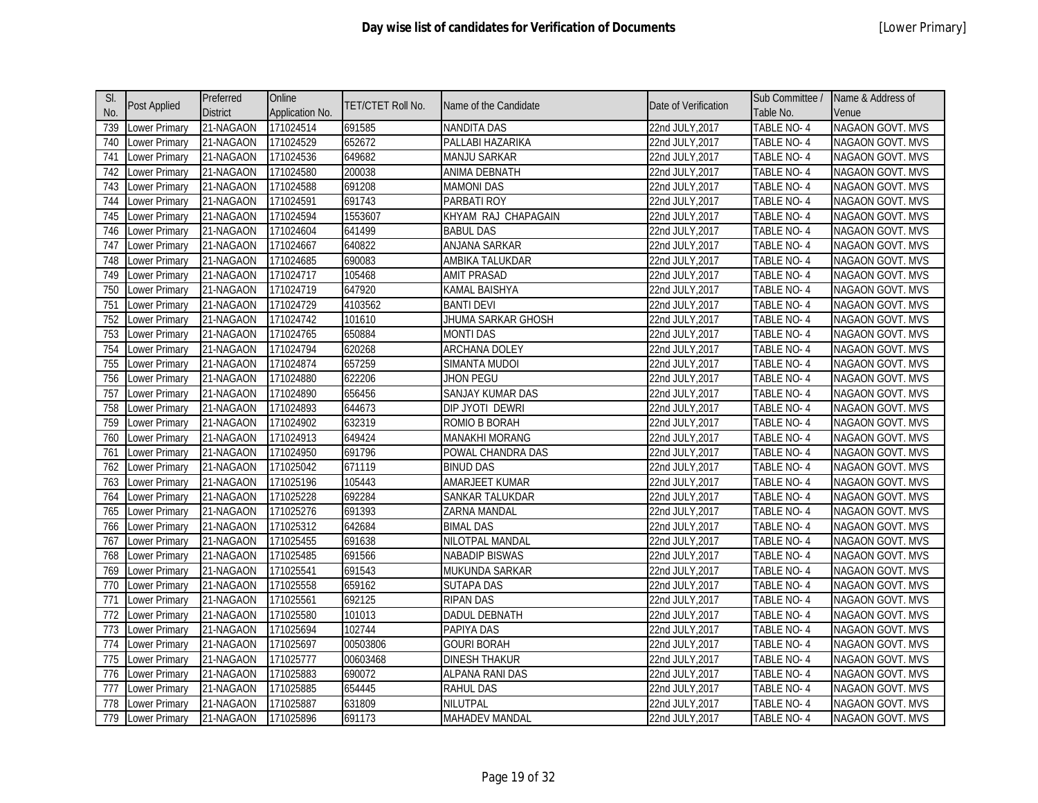| SI. |                      | Preferred       | Online          | TET/CTET Roll No. | Name of the Candidate   | Date of Verification | Sub Committee /   | Name & Address of       |
|-----|----------------------|-----------------|-----------------|-------------------|-------------------------|----------------------|-------------------|-------------------------|
| No. | <b>Post Applied</b>  | <b>District</b> | Application No. |                   |                         |                      | Table No.         | Venue                   |
| 739 | Lower Primary        | 21-NAGAON       | 171024514       | 691585            | <b>NANDITA DAS</b>      | 22nd JULY, 2017      | TABLE NO-4        | NAGAON GOVT. MVS        |
| 740 | Lower Primary        | 21-NAGAON       | 171024529       | 652672            | PALLABI HAZARIKA        | 22nd JULY, 2017      | TABLE NO-4        | <b>NAGAON GOVT. MVS</b> |
| 741 | ower Primary         | 21-NAGAON       | 171024536       | 649682            | <b>MANJU SARKAR</b>     | 22nd JULY, 2017      | TABLE NO-4        | NAGAON GOVT. MVS        |
| 742 | ower Primary         | 21-NAGAON       | 171024580       | 200038            | <b>ANIMA DEBNATH</b>    | 22nd JULY, 2017      | TABLE NO-4        | <b>NAGAON GOVT. MVS</b> |
| 743 | ower Primary         | 21-NAGAON       | 171024588       | 691208            | <b>MAMONI DAS</b>       | 22nd JULY, 2017      | TABLE NO-4        | NAGAON GOVT. MVS        |
| 744 | ower Primary         | 21-NAGAON       | 171024591       | 691743            | PARBATI ROY             | 22nd JULY, 2017      | TABLE NO-4        | <b>NAGAON GOVT. MVS</b> |
| 745 | ower Primary         | 21-NAGAON       | 171024594       | 1553607           | KHYAM RAJ CHAPAGAIN     | 22nd JULY,2017       | TABLE NO-4        | NAGAON GOVT. MVS        |
| 746 | ower Primary         | 21-NAGAON       | 171024604       | 641499            | <b>BABUL DAS</b>        | 22nd JULY, 2017      | TABLE NO-4        | NAGAON GOVT. MVS        |
| 747 | Lower Primary        | 21-NAGAON       | 171024667       | 640822            | ANJANA SARKAR           | 22nd JULY, 2017      | TABLE NO-4        | NAGAON GOVT. MVS        |
| 748 | Lower Primary        | 21-NAGAON       | 171024685       | 690083            | AMBIKA TALUKDAR         | 22nd JULY, 2017      | TABLE NO-4        | NAGAON GOVT. MVS        |
| 749 | Lower Primary        | 21-NAGAON       | 171024717       | 105468            | <b>AMIT PRASAD</b>      | 22nd JULY, 2017      | <b>TABLE NO-4</b> | <b>NAGAON GOVT. MVS</b> |
| 750 | Lower Primary        | 21-NAGAON       | 171024719       | 647920            | <b>KAMAL BAISHYA</b>    | 22nd JULY, 2017      | TABLE NO-4        | NAGAON GOVT. MVS        |
| 751 | Lower Primary        | 21-NAGAON       | 171024729       | 4103562           | <b>BANTI DEVI</b>       | 22nd JULY, 2017      | <b>TABLE NO-4</b> | <b>NAGAON GOVT. MVS</b> |
| 752 | Lower Primary        | 21-NAGAON       | 171024742       | 101610            | JHUMA SARKAR GHOSH      | 22nd JULY, 2017      | TABLE NO-4        | NAGAON GOVT. MVS        |
| 753 | Lower Primary        | 21-NAGAON       | 171024765       | 650884            | <b>MONTI DAS</b>        | 22nd JULY, 2017      | <b>TABLE NO-4</b> | <b>NAGAON GOVT. MVS</b> |
| 754 | ower Primary         | 21-NAGAON       | 171024794       | 620268            | <b>ARCHANA DOLEY</b>    | 22nd JULY, 2017      | <b>TABLE NO-4</b> | NAGAON GOVT. MVS        |
| 755 | ower Primary         | 21-NAGAON       | 171024874       | 657259            | SIMANTA MUDOI           | 22nd JULY, 2017      | <b>TABLE NO-4</b> | <b>NAGAON GOVT. MVS</b> |
| 756 | Lower Primary        | 21-NAGAON       | 171024880       | 622206            | <b>JHON PEGU</b>        | 22nd JULY, 2017      | TABLE NO-4        | <b>NAGAON GOVT. MVS</b> |
| 757 | Lower Primary        | 21-NAGAON       | 171024890       | 656456            | <b>SANJAY KUMAR DAS</b> | 22nd JULY, 2017      | <b>TABLE NO-4</b> | NAGAON GOVT. MVS        |
| 758 | Lower Primary        | 21-NAGAON       | 171024893       | 644673            | DIP JYOTI DEWRI         | 22nd JULY, 2017      | TABLE NO-4        | <b>NAGAON GOVT. MVS</b> |
| 759 | Lower Primary        | 21-NAGAON       | 171024902       | 632319            | ROMIO B BORAH           | 22nd JULY, 2017      | TABLE NO-4        | NAGAON GOVT. MVS        |
| 760 | Lower Primary        | 21-NAGAON       | 171024913       | 649424            | <b>MANAKHI MORANG</b>   | 22nd JULY, 2017      | TABLE NO-4        | <b>NAGAON GOVT. MVS</b> |
| 761 | Lower Primary        | 21-NAGAON       | 171024950       | 691796            | POWAL CHANDRA DAS       | 22nd JULY, 2017      | TABLE NO-4        | NAGAON GOVT. MVS        |
| 762 | ower Primary         | 21-NAGAON       | 171025042       | 671119            | <b>BINUD DAS</b>        | 22nd JULY, 2017      | <b>TABLE NO-4</b> | <b>NAGAON GOVT. MVS</b> |
| 763 | ower Primary         | 21-NAGAON       | 171025196       | 105443            | AMARJEET KUMAR          | 22nd JULY, 2017      | TABLE NO-4        | NAGAON GOVT. MVS        |
| 764 | ower Primary         | 21-NAGAON       | 171025228       | 692284            | SANKAR TALUKDAR         | 22nd JULY, 2017      | TABLE NO-4        | NAGAON GOVT. MVS        |
| 765 | ower Primary         | 21-NAGAON       | 171025276       | 691393            | ZARNA MANDAL            | 22nd JULY, 2017      | TABLE NO-4        | NAGAON GOVT. MVS        |
| 766 | Lower Primary        | 21-NAGAON       | 171025312       | 642684            | <b>BIMAL DAS</b>        | 22nd JULY, 2017      | TABLE NO-4        | <b>NAGAON GOVT. MVS</b> |
| 767 | Lower Primary        | 21-NAGAON       | 171025455       | 691638            | NILOTPAL MANDAL         | 22nd JULY, 2017      | TABLE NO-4        | NAGAON GOVT. MVS        |
| 768 | Lower Primary        | 21-NAGAON       | 171025485       | 691566            | <b>NABADIP BISWAS</b>   | 22nd JULY, 2017      | TABLE NO-4        | NAGAON GOVT. MVS        |
| 769 | Lower Primary        | 21-NAGAON       | 171025541       | 691543            | MUKUNDA SARKAR          | 22nd JULY, 2017      | <b>TABLE NO-4</b> | <b>NAGAON GOVT. MVS</b> |
| 770 | Lower Primary        | 21-NAGAON       | 171025558       | 659162            | SUTAPA DAS              | 22nd JULY, 2017      | TABLE NO- 4       | NAGAON GOVT. MVS        |
| 771 | Lower Primary        | 21-NAGAON       | 171025561       | 692125            | <b>RIPAN DAS</b>        | 22nd JULY, 2017      | TABLE NO-4        | NAGAON GOVT. MVS        |
| 772 | ower Primary         | 21-NAGAON       | 171025580       | 101013            | DADUL DEBNATH           | 22nd JULY, 2017      | TABLE NO-4        | NAGAON GOVT. MVS        |
| 773 | ower Primary         | 21-NAGAON       | 171025694       | 102744            | PAPIYA DAS              | 22nd JULY, 2017      | TABLE NO-4        | <b>NAGAON GOVT. MVS</b> |
| 774 | ower Primary         | 21-NAGAON       | 171025697       | 00503806          | <b>GOURI BORAH</b>      | 22nd JULY, 2017      | TABLE NO-4        | <b>NAGAON GOVT. MVS</b> |
| 775 | Lower Primary        | 21-NAGAON       | 171025777       | 00603468          | <b>DINESH THAKUR</b>    | 22nd JULY, 2017      | TABLE NO-4        | <b>NAGAON GOVT. MVS</b> |
| 776 | Lower Primary        | 21-NAGAON       | 171025883       | 690072            | <b>ALPANA RANI DAS</b>  | 22nd JULY, 2017      | TABLE NO-4        | <b>NAGAON GOVT. MVS</b> |
| 777 | ower Primary         | 21-NAGAON       | 171025885       | 654445            | <b>RAHUL DAS</b>        | 22nd JULY, 2017      | TABLE NO-4        | <b>NAGAON GOVT. MVS</b> |
| 778 | _ower Primary        | 21-NAGAON       | 171025887       | 631809            | NILUTPAL                | 22nd JULY,2017       | TABLE NO- 4       | <b>NAGAON GOVT. MVS</b> |
| 779 | <b>Lower Primary</b> | 21-NAGAON       | 171025896       | 691173            | <b>MAHADEV MANDAL</b>   | 22nd JULY, 2017      | TABLE NO-4        | NAGAON GOVT. MVS        |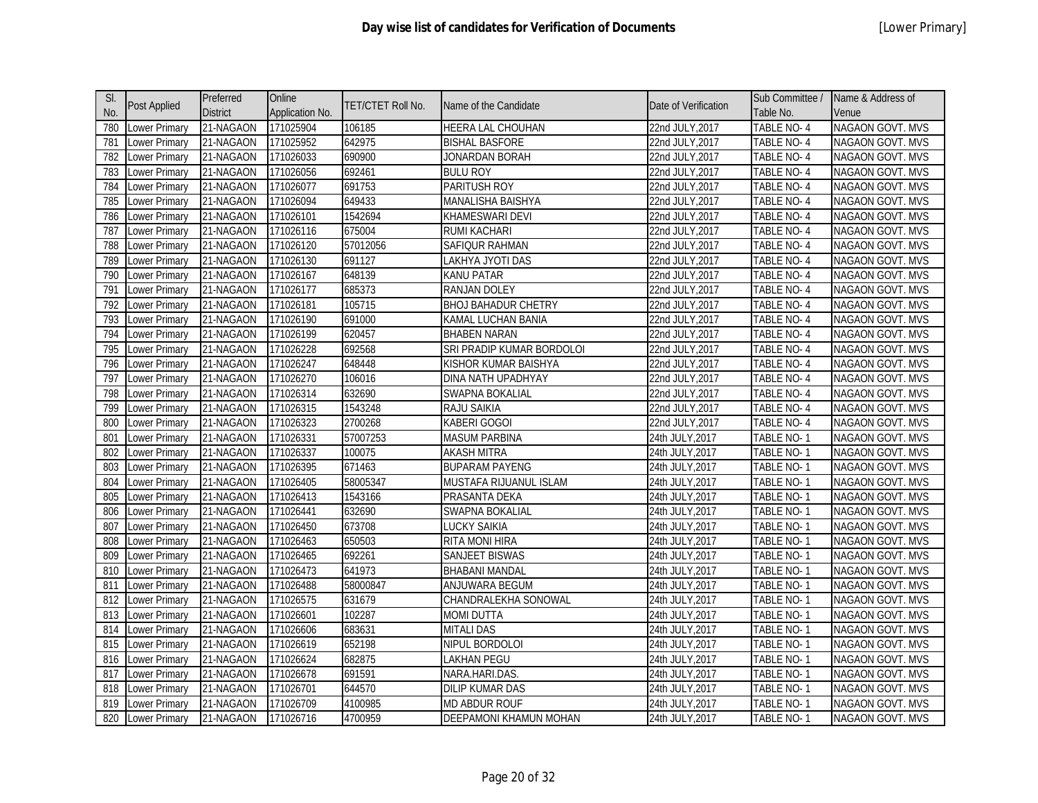| SI. |               | Preferred       | Online          |                   |                            |                      | Sub Committee /   | Name & Address of       |
|-----|---------------|-----------------|-----------------|-------------------|----------------------------|----------------------|-------------------|-------------------------|
| No. | Post Applied  | <b>District</b> | Application No. | TET/CTET Roll No. | Name of the Candidate      | Date of Verification | Table No.         | Venue                   |
| 780 | Lower Primary | 21-NAGAON       | 171025904       | 106185            | <b>HEERA LAL CHOUHAN</b>   | 22nd JULY, 2017      | TABLE NO-4        | <b>NAGAON GOVT. MVS</b> |
| 781 | Lower Primary | 21-NAGAON       | 171025952       | 642975            | <b>BISHAL BASFORE</b>      | 22nd JULY, 2017      | TABLE NO-4        | NAGAON GOVT. MVS        |
| 782 | ower Primary  | 21-NAGAON       | 171026033       | 690900            | JONARDAN BORAH             | 22nd JULY, 2017      | TABLE NO-4        | <b>NAGAON GOVT. MVS</b> |
| 783 | ower Primary  | 21-NAGAON       | 171026056       | 692461            | <b>BULU ROY</b>            | 22nd JULY, 2017      | TABLE NO-4        | NAGAON GOVT. MVS        |
| 784 | Lower Primary | 21-NAGAON       | 171026077       | 691753            | PARITUSH ROY               | 22nd JULY, 2017      | <b>TABLE NO-4</b> | NAGAON GOVT. MVS        |
| 785 | Lower Primary | 21-NAGAON       | 171026094       | 649433            | MANALISHA BAISHYA          | 22nd JULY, 2017      | TABLE NO-4        | NAGAON GOVT. MVS        |
| 786 | Lower Primary | 21-NAGAON       | 171026101       | 1542694           | KHAMESWARI DEVI            | 22nd JULY, 2017      | TABLE NO-4        | NAGAON GOVT. MVS        |
| 787 | Lower Primary | 21-NAGAON       | 171026116       | 675004            | <b>RUMI KACHARI</b>        | 22nd JULY, 2017      | TABLE NO-4        | NAGAON GOVT. MVS        |
| 788 | Lower Primary | 21-NAGAON       | 171026120       | 57012056          | SAFIQUR RAHMAN             | 22nd JULY, 2017      | TABLE NO-4        | NAGAON GOVT. MVS        |
| 789 | Lower Primary | 21-NAGAON       | 171026130       | 691127            | LAKHYA JYOTI DAS           | 22nd JULY, 2017      | TABLE NO-4        | <b>NAGAON GOVT. MVS</b> |
| 790 | Lower Primary | 21-NAGAON       | 171026167       | 648139            | KANU PATAR                 | 22nd JULY, 2017      | TABLE NO-4        | NAGAON GOVT. MVS        |
| 791 | ower Primary  | 21-NAGAON       | 171026177       | 685373            | RANJAN DOLEY               | 22nd JULY, 2017      | TABLE NO-4        | <b>NAGAON GOVT. MVS</b> |
| 792 | Lower Primary | 21-NAGAON       | 171026181       | 105715            | <b>BHOJ BAHADUR CHETRY</b> | 22nd JULY, 2017      | TABLE NO-4        | NAGAON GOVT. MVS        |
| 793 | Lower Primary | 21-NAGAON       | 171026190       | 691000            | KAMAL LUCHAN BANIA         | 22nd JULY, 2017      | TABLE NO-4        | <b>NAGAON GOVT. MVS</b> |
| 794 | ower Primary  | 21-NAGAON       | 171026199       | 620457            | <b>BHABEN NARAN</b>        | 22nd JULY, 2017      | <b>TABLE NO-4</b> | NAGAON GOVT. MVS        |
| 795 | Lower Primary | 21-NAGAON       | 171026228       | 692568            | SRI PRADIP KUMAR BORDOLOI  | 22nd JULY, 2017      | <b>TABLE NO-4</b> | NAGAON GOVT. MVS        |
| 796 | Lower Primary | 21-NAGAON       | 171026247       | 648448            | KISHOR KUMAR BAISHYA       | 22nd JULY, 2017      | TABLE NO-4        | NAGAON GOVT. MVS        |
| 797 | Lower Primary | 21-NAGAON       | 171026270       | 106016            | DINA NATH UPADHYAY         | 22nd JULY, 2017      | TABLE NO-4        | <b>NAGAON GOVT. MVS</b> |
| 798 | Lower Primary | 21-NAGAON       | 171026314       | 632690            | SWAPNA BOKALIAL            | 22nd JULY, 2017      | <b>TABLE NO-4</b> | NAGAON GOVT. MVS        |
| 799 | Lower Primary | 21-NAGAON       | 171026315       | 1543248           | RAJU SAIKIA                | 22nd JULY, 2017      | TABLE NO-4        | NAGAON GOVT. MVS        |
| 800 | Lower Primary | 21-NAGAON       | 171026323       | 2700268           | KABERI GOGOI               | 22nd JULY, 2017      | TABLE NO-4        | <b>NAGAON GOVT. MVS</b> |
| 801 | Lower Primary | 21-NAGAON       | 171026331       | 57007253          | <b>MASUM PARBINA</b>       | 24th JULY, 2017      | TABLE NO-1        | NAGAON GOVT. MVS        |
| 802 | ower Primary  | 21-NAGAON       | 171026337       | 100075            | <b>AKASH MITRA</b>         | 24th JULY, 2017      | TABLE NO-1        | <b>NAGAON GOVT. MVS</b> |
| 803 | Lower Primary | 21-NAGAON       | 171026395       | 671463            | <b>BUPARAM PAYENG</b>      | 24th JULY, 2017      | TABLE NO-1        | NAGAON GOVT. MVS        |
| 804 | Lower Primary | 21-NAGAON       | 171026405       | 58005347          | MUSTAFA RIJUANUL ISLAM     | 24th JULY, 2017      | TABLE NO-1        | <b>NAGAON GOVT. MVS</b> |
| 805 | Lower Primary | 21-NAGAON       | 171026413       | 1543166           | PRASANTA DEKA              | 24th JULY, 2017      | TABLE NO-1        | NAGAON GOVT. MVS        |
| 806 | Lower Primary | 21-NAGAON       | 171026441       | 632690            | SWAPNA BOKALIAL            | 24th JULY, 2017      | <b>TABLE NO-1</b> | <b>NAGAON GOVT. MVS</b> |
| 807 | Lower Primary | 21-NAGAON       | 171026450       | 673708            | LUCKY SAIKIA               | 24th JULY, 2017      | TABLE NO-1        | NAGAON GOVT. MVS        |
| 808 | Lower Primary | 21-NAGAON       | 171026463       | 650503            | RITA MONI HIRA             | 24th JULY, 2017      | TABLE NO-1        | NAGAON GOVT. MVS        |
| 809 | Lower Primary | 21-NAGAON       | 171026465       | 692261            | SANJEET BISWAS             | 24th JULY, 2017      | TABLE NO-1        | NAGAON GOVT. MVS        |
| 810 | Lower Primary | 21-NAGAON       | 171026473       | 641973            | <b>BHABANI MANDAL</b>      | 24th JULY, 2017      | TABLE NO-1        | NAGAON GOVT. MVS        |
| 811 | ower Primary  | 21-NAGAON       | 171026488       | 58000847          | ANJUWARA BEGUM             | 24th JULY,2017       | TABLE NO-1        | NAGAON GOVT. MVS        |
| 812 | Lower Primary | 21-NAGAON       | 171026575       | 631679            | CHANDRALEKHA SONOWAL       | 24th JULY, 2017      | TABLE NO-1        | NAGAON GOVT. MVS        |
| 813 | Lower Primary | 21-NAGAON       | 171026601       | 102287            | <b>MOMI DUTTA</b>          | 24th JULY, 2017      | TABLE NO-1        | <b>NAGAON GOVT. MVS</b> |
| 814 | Lower Primary | 21-NAGAON       | 171026606       | 683631            | <b>MITALI DAS</b>          | 24th JULY, 2017      | TABLE NO-1        | NAGAON GOVT. MVS        |
| 815 | Lower Primary | 21-NAGAON       | 171026619       | 652198            | NIPUL BORDOLOI             | 24th JULY, 2017      | TABLE NO-1        | <b>NAGAON GOVT. MVS</b> |
| 816 | Lower Primary | 21-NAGAON       | 171026624       | 682875            | <b>LAKHAN PEGU</b>         | 24th JULY, 2017      | TABLE NO-1        | NAGAON GOVT. MVS        |
| 817 | Lower Primary | 21-NAGAON       | 171026678       | 691591            | NARA.HARI.DAS.             | 24th JULY, 2017      | TABLE NO-1        | <b>NAGAON GOVT. MVS</b> |
| 818 | Lower Primary | 21-NAGAON       | 171026701       | 644570            | <b>DILIP KUMAR DAS</b>     | 24th JULY, 2017      | TABLE NO-1        | NAGAON GOVT. MVS        |
| 819 | Lower Primary | 21-NAGAON       | 171026709       | 4100985           | MD ABDUR ROUF              | 24th JULY,2017       | TABLE NO- 1       | <b>NAGAON GOVT. MVS</b> |
| 820 | Lower Primary | 21-NAGAON       | 171026716       | 4700959           | DEEPAMONI KHAMUN MOHAN     | 24th JULY, 2017      | TABLE NO-1        | NAGAON GOVT. MVS        |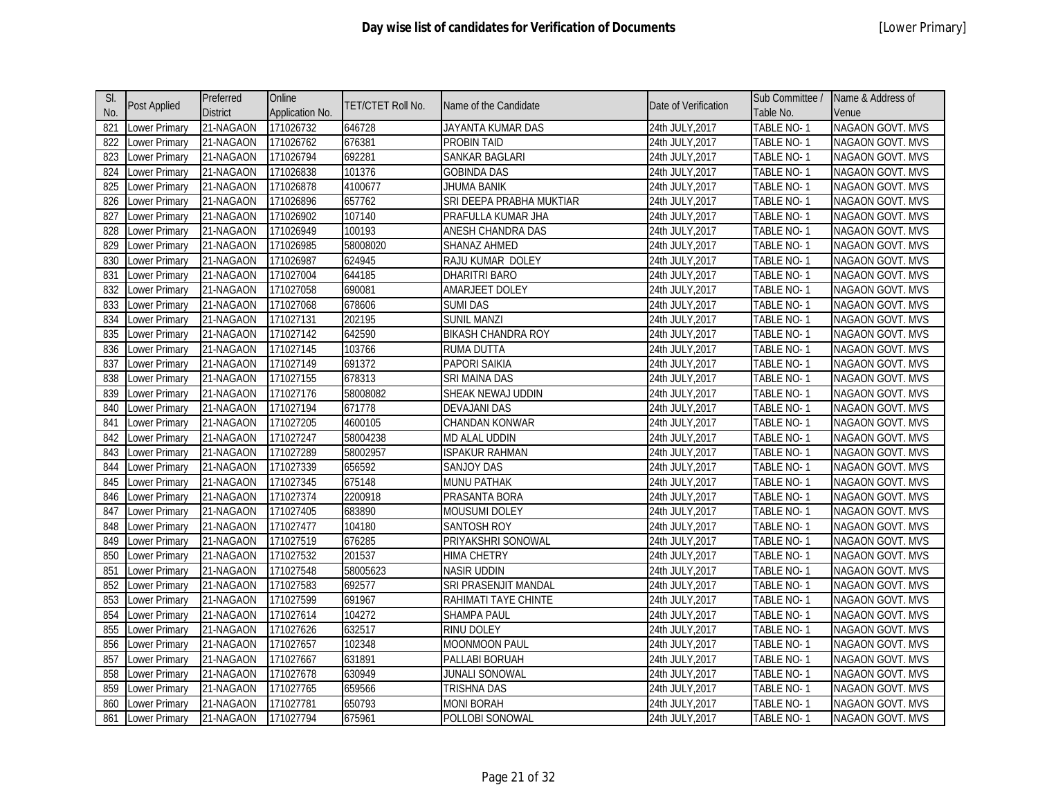| SI. |                      | Preferred       | Online          | TET/CTET Roll No. | Name of the Candidate     | Date of Verification | Sub Committee /   | Name & Address of       |
|-----|----------------------|-----------------|-----------------|-------------------|---------------------------|----------------------|-------------------|-------------------------|
| No. | <b>Post Applied</b>  | <b>District</b> | Application No. |                   |                           |                      | Table No.         | Venue                   |
| 821 | Lower Primary        | 21-NAGAON       | 171026732       | 646728            | JAYANTA KUMAR DAS         | 24th JULY, 2017      | <b>TABLE NO-1</b> | <b>NAGAON GOVT. MVS</b> |
| 822 | Lower Primary        | 21-NAGAON       | 171026762       | 676381            | PROBIN TAID               | 24th JULY, 2017      | TABLE NO-1        | NAGAON GOVT. MVS        |
| 823 | Lower Primary        | 21-NAGAON       | 171026794       | 692281            | SANKAR BAGLARI            | 24th JULY, 2017      | TABLE NO-1        | NAGAON GOVT. MVS        |
| 824 | Lower Primary        | 21-NAGAON       | 171026838       | 101376            | <b>GOBINDA DAS</b>        | 24th JULY, 2017      | TABLE NO-1        | NAGAON GOVT. MVS        |
| 825 | Lower Primary        | 21-NAGAON       | 171026878       | 4100677           | <b>JHUMA BANIK</b>        | 24th JULY, 2017      | TABLE NO-1        | NAGAON GOVT. MVS        |
| 826 | Lower Primary        | 21-NAGAON       | 171026896       | 657762            | SRI DEEPA PRABHA MUKTIAR  | 24th JULY, 2017      | TABLE NO-1        | NAGAON GOVT. MVS        |
| 827 | Lower Primary        | 21-NAGAON       | 171026902       | 107140            | PRAFULLA KUMAR JHA        | 24th JULY, 2017      | TABLE NO-1        | NAGAON GOVT. MVS        |
| 828 | Lower Primary        | 21-NAGAON       | 171026949       | 100193            | ANESH CHANDRA DAS         | 24th JULY, 2017      | TABLE NO-1        | NAGAON GOVT. MVS        |
| 829 | Lower Primary        | 21-NAGAON       | 171026985       | 58008020          | SHANAZ AHMED              | 24th JULY, 2017      | TABLE NO-1        | NAGAON GOVT. MVS        |
| 830 | <b>Lower Primary</b> | 21-NAGAON       | 171026987       | 624945            | RAJU KUMAR DOLEY          | 24th JULY, 2017      | TABLE NO-1        | <b>NAGAON GOVT. MVS</b> |
| 831 | Lower Primary        | 21-NAGAON       | 171027004       | 644185            | DHARITRI BARO             | 24th JULY, 2017      | TABLE NO-1        | NAGAON GOVT. MVS        |
| 832 | Lower Primary        | 21-NAGAON       | 171027058       | 690081            | AMARJEET DOLEY            | 24th JULY, 2017      | TABLE NO-1        | NAGAON GOVT. MVS        |
| 833 | Lower Primary        | 21-NAGAON       | 171027068       | 678606            | <b>SUMI DAS</b>           | 24th JULY, 2017      | TABLE NO-1        | NAGAON GOVT. MVS        |
| 834 | <b>Lower Primary</b> | 21-NAGAON       | 171027131       | 202195            | <b>SUNIL MANZI</b>        | 24th JULY, 2017      | <b>TABLE NO-1</b> | NAGAON GOVT. MVS        |
| 835 | Lower Primary        | 21-NAGAON       | 171027142       | 642590            | <b>BIKASH CHANDRA ROY</b> | 24th JULY, 2017      | TABLE NO-1        | NAGAON GOVT. MVS        |
| 836 | Lower Primary        | 21-NAGAON       | 171027145       | 103766            | <b>RUMA DUTTA</b>         | 24th JULY, 2017      | <b>TABLE NO-1</b> | <b>NAGAON GOVT. MVS</b> |
| 837 | <b>Lower Primary</b> | 21-NAGAON       | 171027149       | 691372            | <b>PAPORI SAIKIA</b>      | 24th JULY, 2017      | <b>TABLE NO-1</b> | <b>NAGAON GOVT. MVS</b> |
| 838 | Lower Primary        | 21-NAGAON       | 171027155       | 678313            | SRI MAINA DAS             | 24th JULY, 2017      | TABLE NO-1        | NAGAON GOVT. MVS        |
| 839 | <b>Lower Primary</b> | 21-NAGAON       | 171027176       | 58008082          | SHEAK NEWAJ UDDIN         | 24th JULY, 2017      | <b>TABLE NO-1</b> | <b>NAGAON GOVT. MVS</b> |
| 840 | Lower Primary        | 21-NAGAON       | 171027194       | 671778            | <b>DEVAJANI DAS</b>       | 24th JULY, 2017      | TABLE NO-1        | NAGAON GOVT. MVS        |
| 841 | Lower Primary        | 21-NAGAON       | 171027205       | 4600105           | CHANDAN KONWAR            | 24th JULY, 2017      | TABLE NO-1        | NAGAON GOVT. MVS        |
| 842 | Lower Primary        | 21-NAGAON       | 171027247       | 58004238          | MD ALAL UDDIN             | 24th JULY, 2017      | TABLE NO-1        | NAGAON GOVT. MVS        |
| 843 | Lower Primary        | 21-NAGAON       | 171027289       | 58002957          | <b>ISPAKUR RAHMAN</b>     | 24th JULY, 2017      | TABLE NO-1        | NAGAON GOVT. MVS        |
| 844 | Lower Primary        | 21-NAGAON       | 171027339       | 656592            | <b>SANJOY DAS</b>         | 24th JULY, 2017      | TABLE NO-1        | NAGAON GOVT. MVS        |
| 845 | <b>Lower Primary</b> | 21-NAGAON       | 171027345       | 675148            | MUNU PATHAK               | 24th JULY, 2017      | TABLE NO-1        | NAGAON GOVT. MVS        |
| 846 | Lower Primary        | 21-NAGAON       | 171027374       | 2200918           | PRASANTA BORA             | 24th JULY, 2017      | TABLE NO-1        | NAGAON GOVT. MVS        |
| 847 | Lower Primary        | 21-NAGAON       | 171027405       | 683890            | MOUSUMI DOLEY             | 24th JULY, 2017      | TABLE NO-1        | NAGAON GOVT. MVS        |
| 848 | Lower Primary        | 21-NAGAON       | 171027477       | 104180            | SANTOSH ROY               | 24th JULY, 2017      | TABLE NO-1        | NAGAON GOVT. MVS        |
| 849 | Lower Primary        | 21-NAGAON       | 171027519       | 676285            | PRIYAKSHRI SONOWAL        | 24th JULY, 2017      | TABLE NO-1        | NAGAON GOVT. MVS        |
| 850 | Lower Primary        | 21-NAGAON       | 171027532       | 201537            | <b>HIMA CHETRY</b>        | 24th JULY, 2017      | TABLE NO-1        | NAGAON GOVT. MVS        |
| 851 | <b>Lower Primary</b> | 21-NAGAON       | 171027548       | 58005623          | <b>NASIR UDDIN</b>        | 24th JULY, 2017      | TABLE NO-1        | NAGAON GOVT. MVS        |
| 852 | Lower Primary        | 21-NAGAON       | 171027583       | 692577            | SRI PRASENJIT MANDAL      | 24th JULY, 2017      | TABLE NO-1        | NAGAON GOVT. MVS        |
| 853 | Lower Primary        | 21-NAGAON       | 171027599       | 691967            | RAHIMATI TAYE CHINTE      | 24th JULY, 2017      | TABLE NO-1        | NAGAON GOVT. MVS        |
| 854 | Lower Primary        | 21-NAGAON       | 171027614       | 104272            | SHAMPA PAUL               | 24th JULY, 2017      | TABLE NO-1        | NAGAON GOVT. MVS        |
| 855 | Lower Primary        | 21-NAGAON       | 171027626       | 632517            | RINU DOLEY                | 24th JULY, 2017      | TABLE NO-1        | NAGAON GOVT. MVS        |
| 856 | Lower Primary        | 21-NAGAON       | 171027657       | 102348            | MOONMOON PAUL             | 24th JULY, 2017      | TABLE NO-1        | NAGAON GOVT. MVS        |
| 857 | Lower Primary        | 21-NAGAON       | 171027667       | 631891            | PALLABI BORUAH            | 24th JULY, 2017      | TABLE NO-1        | NAGAON GOVT. MVS        |
| 858 | Lower Primary        | 21-NAGAON       | 171027678       | 630949            | <b>JUNALI SONOWAL</b>     | 24th JULY, 2017      | TABLE NO-1        | <b>NAGAON GOVT. MVS</b> |
| 859 | Lower Primary        | 21-NAGAON       | 171027765       | 659566            | <b>TRISHNA DAS</b>        | 24th JULY, 2017      | TABLE NO-1        | NAGAON GOVT. MVS        |
| 860 | Lower Primary        | 21-NAGAON       | 171027781       | 650793            | MONI BORAH                | 24th JULY, 2017      | TABLE NO-1        | NAGAON GOVT. MVS        |
| 861 | Lower Primary        | 21-NAGAON       | 171027794       | 675961            | POLLOBI SONOWAL           | 24th JULY, 2017      | TABLE NO-1        | <b>NAGAON GOVT. MVS</b> |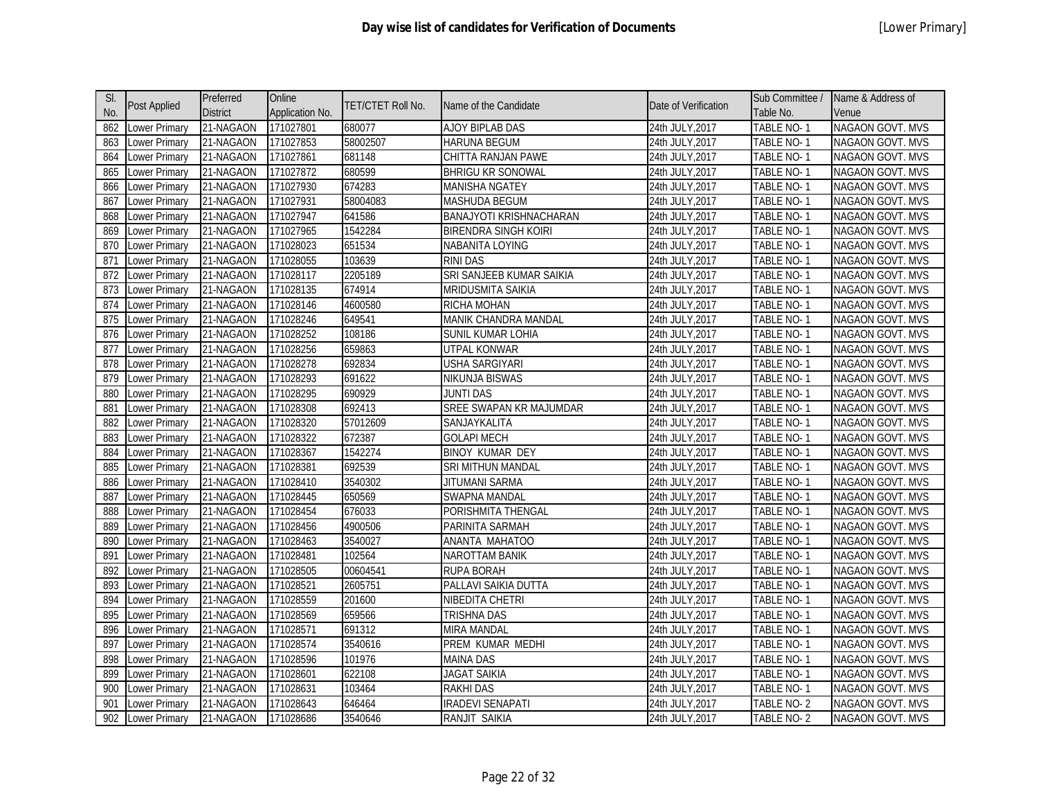| SI. |                     | Preferred       | Online          |                   |                                |                      | Sub Committee /   | Name & Address of       |
|-----|---------------------|-----------------|-----------------|-------------------|--------------------------------|----------------------|-------------------|-------------------------|
| No. | <b>Post Applied</b> | <b>District</b> | Application No. | TET/CTET Roll No. | Name of the Candidate          | Date of Verification | Table No.         | Venue                   |
| 862 | Lower Primary       | 21-NAGAON       | 171027801       | 680077            | AJOY BIPLAB DAS                | 24th JULY, 2017      | TABLE NO-1        | <b>NAGAON GOVT. MVS</b> |
| 863 | ower Primary        | 21-NAGAON       | 171027853       | 58002507          | <b>HARUNA BEGUM</b>            | 24th JULY, 2017      | TABLE NO-1        | NAGAON GOVT. MVS        |
| 864 | Lower Primary       | 21-NAGAON       | 171027861       | 681148            | CHITTA RANJAN PAWE             | 24th JULY, 2017      | TABLE NO-1        | NAGAON GOVT. MVS        |
| 865 | Lower Primary       | 21-NAGAON       | 171027872       | 680599            | <b>BHRIGU KR SONOWAL</b>       | 24th JULY, 2017      | TABLE NO-1        | NAGAON GOVT. MVS        |
| 866 | Lower Primary       | 21-NAGAON       | 171027930       | 674283            | <b>MANISHA NGATEY</b>          | 24th JULY, 2017      | TABLE NO-1        | NAGAON GOVT. MVS        |
| 867 | ower Primary        | 21-NAGAON       | 171027931       | 58004083          | <b>MASHUDA BEGUM</b>           | 24th JULY, 2017      | TABLE NO-1        | <b>NAGAON GOVT. MVS</b> |
| 868 | ower Primary        | 21-NAGAON       | 171027947       | 641586            | <b>BANAJYOTI KRISHNACHARAN</b> | 24th JULY, 2017      | TABLE NO-1        | NAGAON GOVT. MVS        |
| 869 | ower Primary        | 21-NAGAON       | 171027965       | 1542284           | <b>BIRENDRA SINGH KOIRI</b>    | 24th JULY, 2017      | TABLE NO-1        | <b>NAGAON GOVT. MVS</b> |
| 870 | ower Primary        | 21-NAGAON       | 171028023       | 651534            | NABANITA LOYING                | 24th JULY, 2017      | TABLE NO-1        | NAGAON GOVT. MVS        |
| 871 | ower Primary        | 21-NAGAON       | 171028055       | 103639            | <b>RINI DAS</b>                | 24th JULY, 2017      | TABLE NO-1        | <b>NAGAON GOVT. MVS</b> |
| 872 | Lower Primary       | 21-NAGAON       | 171028117       | 2205189           | SRI SANJEEB KUMAR SAIKIA       | 24th JULY, 2017      | TABLE NO-1        | NAGAON GOVT. MVS        |
| 873 | Lower Primary       | 21-NAGAON       | 171028135       | 674914            | <b>MRIDUSMITA SAIKIA</b>       | 24th JULY, 2017      | TABLE NO-1        | NAGAON GOVT. MVS        |
| 874 | Lower Primary       | 21-NAGAON       | 171028146       | 4600580           | <b>RICHA MOHAN</b>             | 24th JULY, 2017      | TABLE NO-1        | <b>NAGAON GOVT. MVS</b> |
| 875 | Lower Primary       | 21-NAGAON       | 171028246       | 649541            | MANIK CHANDRA MANDAL           | 24th JULY, 2017      | TABLE NO-1        | NAGAON GOVT. MVS        |
| 876 | ower Primary        | 21-NAGAON       | 171028252       | 108186            | SUNIL KUMAR LOHIA              | 24th JULY, 2017      | TABLE NO-1        | <b>NAGAON GOVT. MVS</b> |
| 877 | ower Primary        | 21-NAGAON       | 171028256       | 659863            | <b>UTPAL KONWAR</b>            | 24th JULY, 2017      | TABLE NO-1        | NAGAON GOVT. MVS        |
| 878 | ower Primary        | 21-NAGAON       | 171028278       | 692834            | <b>USHA SARGIYARI</b>          | 24th JULY, 2017      | <b>TABLE NO-1</b> | NAGAON GOVT. MVS        |
| 879 | ower Primary        | 21-NAGAON       | 171028293       | 691622            | NIKUNJA BISWAS                 | 24th JULY, 2017      | TABLE NO-1        | NAGAON GOVT. MVS        |
| 880 | ower Primary        | 21-NAGAON       | 171028295       | 690929            | JUNTI DAS                      | 24th JULY, 2017      | <b>TABLE NO-1</b> | NAGAON GOVT. MVS        |
| 881 | Lower Primary       | 21-NAGAON       | 171028308       | 692413            | SREE SWAPAN KR MAJUMDAR        | 24th JULY, 2017      | TABLE NO-1        | <b>NAGAON GOVT. MVS</b> |
| 882 | Lower Primary       | 21-NAGAON       | 171028320       | 57012609          | SANJAYKALITA                   | 24th JULY, 2017      | TABLE NO-1        | NAGAON GOVT. MVS        |
| 883 | ower Primary        | 21-NAGAON       | 171028322       | 672387            | <b>GOLAPI MECH</b>             | 24th JULY, 2017      | TABLE NO-1        | <b>NAGAON GOVT. MVS</b> |
| 884 | Lower Primary       | 21-NAGAON       | 171028367       | 1542274           | <b>BINOY KUMAR DEY</b>         | 24th JULY, 2017      | TABLE NO-1        | NAGAON GOVT. MVS        |
| 885 | Lower Primary       | 21-NAGAON       | 171028381       | 692539            | SRI MITHUN MANDAL              | 24th JULY, 2017      | TABLE NO-1        | <b>NAGAON GOVT. MVS</b> |
| 886 | Lower Primary       | 21-NAGAON       | 171028410       | 3540302           | <b>JITUMANI SARMA</b>          | 24th JULY, 2017      | TABLE NO-1        | NAGAON GOVT. MVS        |
| 887 | ower Primary        | 21-NAGAON       | 171028445       | 650569            | SWAPNA MANDAL                  | 24th JULY, 2017      | TABLE NO-1        | NAGAON GOVT. MVS        |
| 888 | ower Primary        | 21-NAGAON       | 171028454       | 676033            | PORISHMITA THENGAL             | 24th JULY, 2017      | TABLE NO-1        | NAGAON GOVT. MVS        |
| 889 | ower Primary        | 21-NAGAON       | 171028456       | 4900506           | PARINITA SARMAH                | 24th JULY, 2017      | TABLE NO-1        | <b>NAGAON GOVT. MVS</b> |
| 890 | ower Primary        | 21-NAGAON       | 171028463       | 3540027           | ANANTA MAHATOO                 | 24th JULY, 2017      | TABLE NO-1        | <b>NAGAON GOVT. MVS</b> |
| 891 | ower Primary        | 21-NAGAON       | 171028481       | 102564            | <b>NAROTTAM BANIK</b>          | 24th JULY, 2017      | TABLE NO-1        | <b>NAGAON GOVT. MVS</b> |
| 892 | ower Primary        | 21-NAGAON       | 171028505       | 00604541          | <b>RUPA BORAH</b>              | 24th JULY, 2017      | TABLE NO-1        | <b>NAGAON GOVT. MVS</b> |
| 893 | ower Primary        | 21-NAGAON       | 171028521       | 2605751           | PALLAVI SAIKIA DUTTA           | 24th JULY,2017       | TABLE NO-1        | <b>NAGAON GOVT. MVS</b> |
| 894 | ower Primary        | 21-NAGAON       | 171028559       | 201600            | NIBEDITA CHETRI                | 24th JULY, 2017      | TABLE NO-1        | NAGAON GOVT. MVS        |
| 895 | Lower Primary       | 21-NAGAON       | 171028569       | 659566            | <b>TRISHNA DAS</b>             | 24th JULY, 2017      | TABLE NO-1        | NAGAON GOVT. MVS        |
| 896 | Lower Primary       | 21-NAGAON       | 171028571       | 691312            | <b>MIRA MANDAL</b>             | 24th JULY, 2017      | TABLE NO-1        | NAGAON GOVT. MVS        |
| 897 | ower Primary        | 21-NAGAON       | 171028574       | 3540616           | PREM KUMAR MEDHI               | 24th JULY, 2017      | TABLE NO-1        | NAGAON GOVT. MVS        |
| 898 | ower Primary        | 21-NAGAON       | 171028596       | 101976            | <b>MAINA DAS</b>               | 24th JULY, 2017      | TABLE NO-1        | NAGAON GOVT. MVS        |
| 899 | ower Primary        | 21-NAGAON       | 171028601       | 622108            | <b>JAGAT SAIKIA</b>            | 24th JULY, 2017      | TABLE NO-1        | <b>NAGAON GOVT. MVS</b> |
| 900 | ower Primary        | 21-NAGAON       | 171028631       | 103464            | <b>RAKHIDAS</b>                | 24th JULY, 2017      | TABLE NO-1        | <b>NAGAON GOVT. MVS</b> |
| 901 | ower Primary        | 21-NAGAON       | 171028643       | 646464            | <b>IRADEVI SENAPATI</b>        | 24th JULY,2017       | TABLE NO-2        | NAGAON GOVT. MVS        |
| 902 | Lower Primary       | 21-NAGAON       | 171028686       | 3540646           | RANJIT SAIKIA                  | 24th JULY, 2017      | TABLE NO-2        | NAGAON GOVT. MVS        |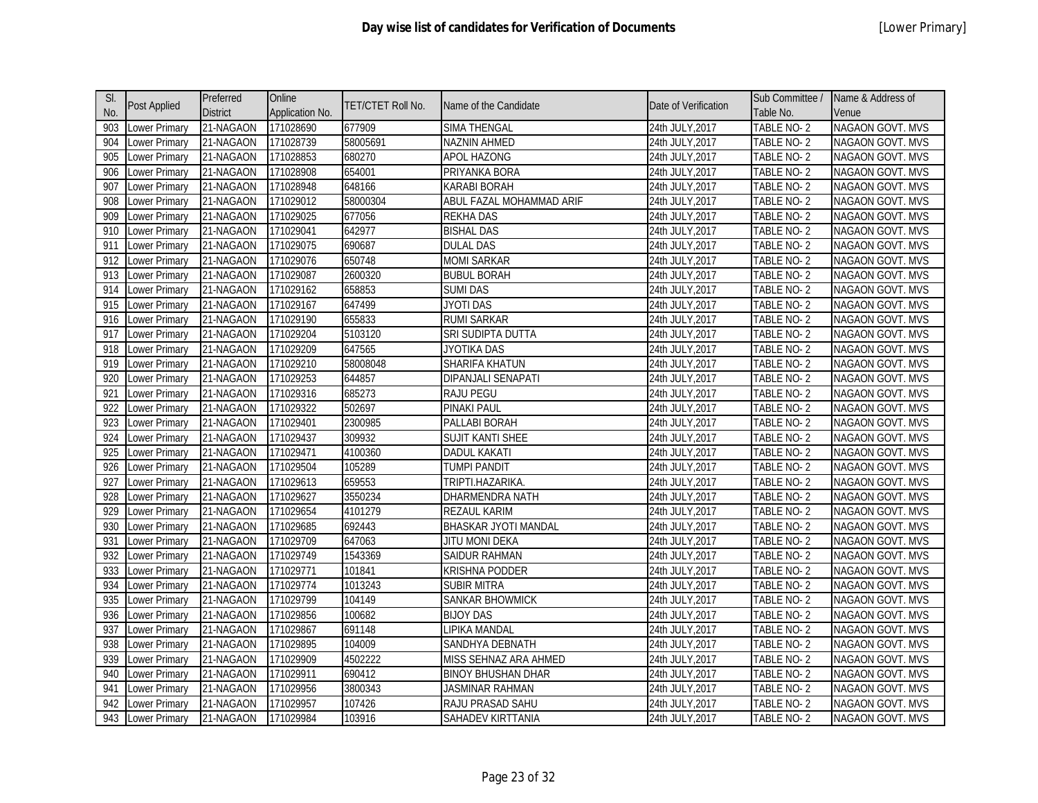| SI. |                      | Preferred       | Online          |                   |                             |                      | Sub Committee / | Name & Address of       |
|-----|----------------------|-----------------|-----------------|-------------------|-----------------------------|----------------------|-----------------|-------------------------|
| No. | <b>Post Applied</b>  | <b>District</b> | Application No. | TET/CTET Roll No. | Name of the Candidate       | Date of Verification | Table No.       | Venue                   |
| 903 | Lower Primary        | 21-NAGAON       | 171028690       | 677909            | <b>SIMA THENGAL</b>         | 24th JULY, 2017      | TABLE NO-2      | <b>NAGAON GOVT. MVS</b> |
| 904 | ower Primary         | 21-NAGAON       | 171028739       | 58005691          | NAZNIN AHMED                | 24th JULY, 2017      | TABLE NO-2      | NAGAON GOVT. MVS        |
| 905 | Lower Primary        | 21-NAGAON       | 171028853       | 680270            | APOL HAZONG                 | 24th JULY, 2017      | TABLE NO-2      | NAGAON GOVT. MVS        |
| 906 | Lower Primary        | 21-NAGAON       | 171028908       | 654001            | PRIYANKA BORA               | 24th JULY, 2017      | TABLE NO-2      | NAGAON GOVT. MVS        |
| 907 | Lower Primary        | 21-NAGAON       | 171028948       | 648166            | <b>KARABI BORAH</b>         | 24th JULY, 2017      | TABLE NO-2      | NAGAON GOVT. MVS        |
| 908 | ower Primary         | 21-NAGAON       | 171029012       | 58000304          | ABUL FAZAL MOHAMMAD ARIF    | 24th JULY, 2017      | TABLE NO-2      | <b>NAGAON GOVT. MVS</b> |
| 909 | ower Primary         | 21-NAGAON       | 171029025       | 677056            | <b>REKHA DAS</b>            | 24th JULY, 2017      | TABLE NO-2      | NAGAON GOVT. MVS        |
| 910 | ower Primary         | 21-NAGAON       | 171029041       | 642977            | <b>BISHAL DAS</b>           | 24th JULY, 2017      | TABLE NO-2      | <b>NAGAON GOVT. MVS</b> |
| 911 | ower Primary         | 21-NAGAON       | 171029075       | 690687            | <b>DULAL DAS</b>            | 24th JULY, 2017      | TABLE NO-2      | NAGAON GOVT. MVS        |
| 912 | ower Primary         | 21-NAGAON       | 171029076       | 650748            | momi sarkar                 | 24th JULY, 2017      | TABLE NO-2      | <b>NAGAON GOVT. MVS</b> |
| 913 | Lower Primary        | 21-NAGAON       | 171029087       | 2600320           | <b>BUBUL BORAH</b>          | 24th JULY, 2017      | TABLE NO-2      | NAGAON GOVT. MVS        |
| 914 | Lower Primary        | 21-NAGAON       | 171029162       | 658853            | <b>SUMI DAS</b>             | 24th JULY, 2017      | TABLE NO-2      | NAGAON GOVT. MVS        |
| 915 | Lower Primary        | 21-NAGAON       | 171029167       | 647499            | JYOTI DAS                   | 24th JULY, 2017      | TABLE NO-2      | <b>NAGAON GOVT. MVS</b> |
| 916 | Lower Primary        | 21-NAGAON       | 171029190       | 655833            | <b>RUMI SARKAR</b>          | 24th JULY, 2017      | TABLE NO-2      | NAGAON GOVT. MVS        |
| 917 | ower Primary         | 21-NAGAON       | 171029204       | 5103120           | SRI SUDIPTA DUTTA           | 24th JULY, 2017      | TABLE NO-2      | <b>NAGAON GOVT. MVS</b> |
| 918 | ower Primary         | 21-NAGAON       | 171029209       | 647565            | <b>JYOTIKA DAS</b>          | 24th JULY, 2017      | TABLE NO-2      | NAGAON GOVT. MVS        |
| 919 | ower Primary         | 21-NAGAON       | 171029210       | 58008048          | <b>SHARIFA KHATUN</b>       | 24th JULY, 2017      | TABLE NO-2      | NAGAON GOVT. MVS        |
| 920 | ower Primary         | 21-NAGAON       | 171029253       | 644857            | DIPANJALI SENAPATI          | 24th JULY, 2017      | TABLE NO-2      | NAGAON GOVT. MVS        |
| 921 | ower Primary         | 21-NAGAON       | 171029316       | 685273            | <b>RAJU PEGU</b>            | 24th JULY, 2017      | TABLE NO-2      | NAGAON GOVT. MVS        |
| 922 | ower Primary         | 21-NAGAON       | 171029322       | 502697            | PINAKI PAUL                 | 24th JULY, 2017      | TABLE NO-2      | NAGAON GOVT. MVS        |
| 923 | ower Primary         | 21-NAGAON       | 171029401       | 2300985           | PALLABI BORAH               | 24th JULY, 2017      | TABLE NO-2      | NAGAON GOVT. MVS        |
| 924 | ower Primary         | 21-NAGAON       | 171029437       | 309932            | <b>SUJIT KANTI SHEE</b>     | 24th JULY, 2017      | TABLE NO-2      | NAGAON GOVT. MVS        |
| 925 | Lower Primary        | 21-NAGAON       | 171029471       | 4100360           | <b>DADUL KAKATI</b>         | 24th JULY, 2017      | TABLE NO-2      | NAGAON GOVT. MVS        |
| 926 | Lower Primary        | 21-NAGAON       | 171029504       | 105289            | <b>TUMPI PANDIT</b>         | 24th JULY, 2017      | TABLE NO-2      | NAGAON GOVT. MVS        |
| 927 | ower Primary         | 21-NAGAON       | 171029613       | 659553            | TRIPTI.HAZARIKA.            | 24th JULY, 2017      | TABLE NO-2      | NAGAON GOVT. MVS        |
| 928 | ower Primary         | 21-NAGAON       | 171029627       | 3550234           | <b>DHARMENDRA NATH</b>      | 24th JULY, 2017      | TABLE NO-2      | NAGAON GOVT. MVS        |
| 929 | ower Primary         | 21-NAGAON       | 171029654       | 4101279           | REZAUL KARIM                | 24th JULY, 2017      | TABLE NO-2      | NAGAON GOVT. MVS        |
| 930 | ower Primary         | 21-NAGAON       | 171029685       | 692443            | <b>BHASKAR JYOTI MANDAL</b> | 24th JULY, 2017      | TABLE NO-2      | NAGAON GOVT. MVS        |
| 931 | ower Primary         | 21-NAGAON       | 171029709       | 647063            | <b>JITU MONI DEKA</b>       | 24th JULY, 2017      | TABLE NO-2      | NAGAON GOVT. MVS        |
| 932 | ower Primary         | 21-NAGAON       | 171029749       | 1543369           | <b>SAIDUR RAHMAN</b>        | 24th JULY, 2017      | TABLE NO-2      | NAGAON GOVT. MVS        |
| 933 | ower Primary         | 21-NAGAON       | 171029771       | 101841            | <b>KRISHNA PODDER</b>       | 24th JULY, 2017      | TABLE NO-2      | NAGAON GOVT. MVS        |
| 934 | ower Primary         | 21-NAGAON       | 171029774       | 1013243           | <b>SUBIR MITRA</b>          | 24th JULY, 2017      | TABLE NO-2      | NAGAON GOVT. MVS        |
| 935 | Lower Primary        | 21-NAGAON       | 171029799       | 104149            | SANKAR BHOWMICK             | 24th JULY, 2017      | TABLE NO-2      | NAGAON GOVT. MVS        |
| 936 | Lower Primary        | 21-NAGAON       | 171029856       | 100682            | <b>BIJOY DAS</b>            | 24th JULY, 2017      | TABLE NO-2      | NAGAON GOVT. MVS        |
| 937 | ower Primary         | 21-NAGAON       | 171029867       | 691148            | LIPIKA MANDAL               | 24th JULY, 2017      | TABLE NO-2      | NAGAON GOVT. MVS        |
| 938 | ower Primary         | 21-NAGAON       | 171029895       | 104009            | SANDHYA DEBNATH             | 24th JULY, 2017      | TABLE NO-2      | NAGAON GOVT. MVS        |
| 939 | ower Primary         | 21-NAGAON       | 171029909       | 4502222           | MISS SEHNAZ ARA AHMED       | 24th JULY, 2017      | TABLE NO-2      | NAGAON GOVT. MVS        |
| 940 | ower Primary         | 21-NAGAON       | 171029911       | 690412            | <b>BINOY BHUSHAN DHAR</b>   | 24th JULY, 2017      | TABLE NO-2      | NAGAON GOVT. MVS        |
| 941 | ower Primary         | 21-NAGAON       | 171029956       | 3800343           | <b>JASMINAR RAHMAN</b>      | 24th JULY, 2017      | TABLE NO-2      | NAGAON GOVT. MVS        |
| 942 | ower Primary         | 21-NAGAON       | 171029957       | 107426            | RAJU PRASAD SAHU            | 24th JULY,2017       | TABLE NO- 2     | <b>NAGAON GOVT. MVS</b> |
| 943 | <b>Lower Primary</b> | 21-NAGAON       | 171029984       | 103916            | SAHADEV KIRTTANIA           | 24th JULY, 2017      | TABLE NO-2      | NAGAON GOVT. MVS        |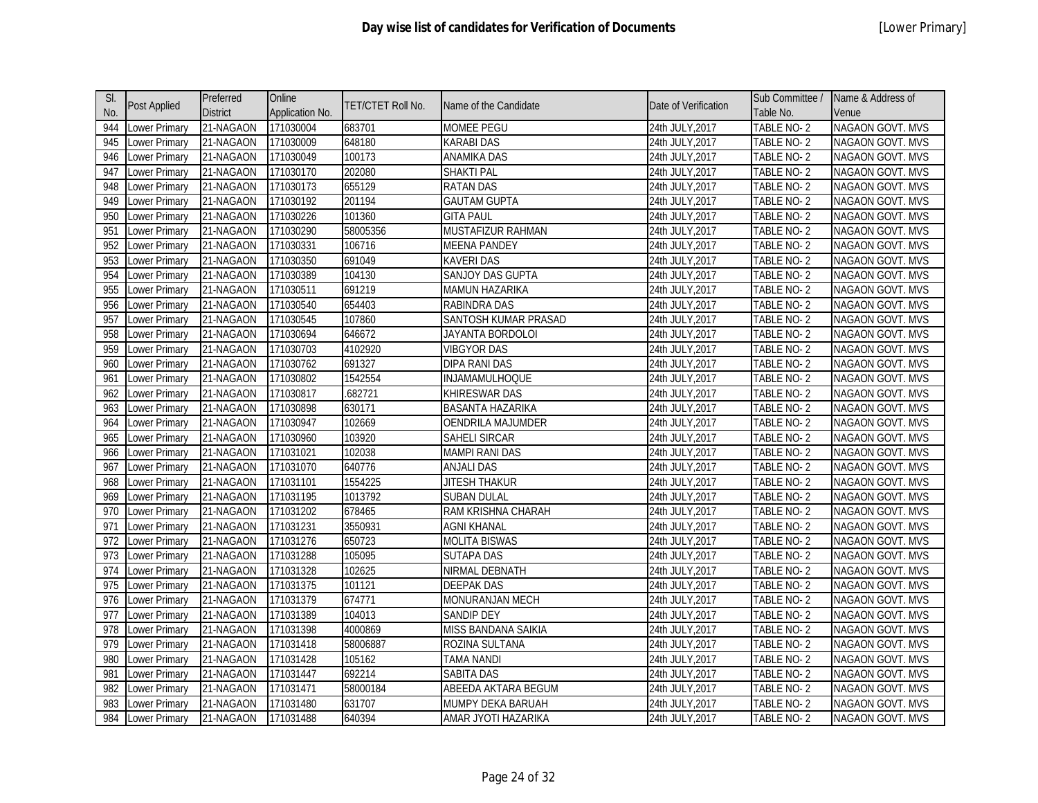| SI. |                     | Preferred       | Online          |                   |                             |                      | Sub Committee / | Name & Address of       |
|-----|---------------------|-----------------|-----------------|-------------------|-----------------------------|----------------------|-----------------|-------------------------|
| No. | <b>Post Applied</b> | <b>District</b> | Application No. | TET/CTET Roll No. | Name of the Candidate       | Date of Verification | Table No.       | Venue                   |
| 944 | Lower Primary       | 21-NAGAON       | 171030004       | 683701            | <b>MOMEE PEGU</b>           | 24th JULY, 2017      | TABLE NO-2      | <b>NAGAON GOVT. MVS</b> |
| 945 | ower Primary        | 21-NAGAON       | 171030009       | 648180            | <b>KARABI DAS</b>           | 24th JULY, 2017      | TABLE NO-2      | NAGAON GOVT. MVS        |
| 946 | Lower Primary       | 21-NAGAON       | 171030049       | 100173            | ANAMIKA DAS                 | 24th JULY, 2017      | TABLE NO-2      | NAGAON GOVT. MVS        |
| 947 | Lower Primary       | 21-NAGAON       | 171030170       | 202080            | <b>SHAKTI PAL</b>           | 24th JULY, 2017      | TABLE NO-2      | NAGAON GOVT. MVS        |
| 948 | Lower Primary       | 21-NAGAON       | 171030173       | 655129            | <b>RATAN DAS</b>            | 24th JULY, 2017      | TABLE NO-2      | NAGAON GOVT. MVS        |
| 949 | ower Primary        | 21-NAGAON       | 171030192       | 201194            | <b>GAUTAM GUPTA</b>         | 24th JULY, 2017      | TABLE NO-2      | <b>NAGAON GOVT. MVS</b> |
| 950 | ower Primary        | 21-NAGAON       | 171030226       | 101360            | <b>GITA PAUL</b>            | 24th JULY, 2017      | TABLE NO-2      | NAGAON GOVT. MVS        |
| 951 | ower Primary        | 21-NAGAON       | 171030290       | 58005356          | MUSTAFIZUR RAHMAN           | 24th JULY, 2017      | TABLE NO-2      | <b>NAGAON GOVT. MVS</b> |
| 952 | ower Primary        | 21-NAGAON       | 171030331       | 106716            | <b>MEENA PANDEY</b>         | 24th JULY, 2017      | TABLE NO-2      | NAGAON GOVT. MVS        |
| 953 | ower Primary        | 21-NAGAON       | 171030350       | 691049            | KAVERI DAS                  | 24th JULY, 2017      | TABLE NO-2      | <b>NAGAON GOVT. MVS</b> |
| 954 | Lower Primary       | 21-NAGAON       | 171030389       | 104130            | SANJOY DAS GUPTA            | 24th JULY, 2017      | TABLE NO-2      | NAGAON GOVT. MVS        |
| 955 | Lower Primary       | 21-NAGAON       | 171030511       | 691219            | <b>MAMUN HAZARIKA</b>       | 24th JULY, 2017      | TABLE NO-2      | NAGAON GOVT. MVS        |
| 956 | Lower Primary       | 21-NAGAON       | 171030540       | 654403            | RABINDRA DAS                | 24th JULY, 2017      | TABLE NO-2      | NAGAON GOVT. MVS        |
| 957 | Lower Primary       | 21-NAGAON       | 171030545       | 107860            | <b>SANTOSH KUMAR PRASAD</b> | 24th JULY, 2017      | TABLE NO-2      | NAGAON GOVT. MVS        |
| 958 | ower Primary        | 21-NAGAON       | 171030694       | 646672            | JAYANTA BORDOLOI            | 24th JULY, 2017      | TABLE NO-2      | <b>NAGAON GOVT. MVS</b> |
| 959 | ower Primary        | 21-NAGAON       | 171030703       | 4102920           | <b>VIBGYOR DAS</b>          | 24th JULY, 2017      | TABLE NO-2      | NAGAON GOVT. MVS        |
| 960 | Lower Primary       | 21-NAGAON       | 171030762       | 691327            | <b>DIPA RANI DAS</b>        | 24th JULY, 2017      | TABLE NO-2      | NAGAON GOVT. MVS        |
| 961 | ower Primary        | 21-NAGAON       | 171030802       | 1542554           | INJAMAMULHOQUE              | 24th JULY, 2017      | TABLE NO-2      | NAGAON GOVT. MVS        |
| 962 | ower Primary        | 21-NAGAON       | 171030817       | .682721           | <b>KHIRESWAR DAS</b>        | 24th JULY, 2017      | TABLE NO-2      | NAGAON GOVT. MVS        |
| 963 | Lower Primary       | 21-NAGAON       | 171030898       | 630171            | <b>BASANTA HAZARIKA</b>     | 24th JULY, 2017      | TABLE NO-2      | NAGAON GOVT. MVS        |
| 964 | Lower Primary       | 21-NAGAON       | 171030947       | 102669            | OENDRILA MAJUMDER           | 24th JULY, 2017      | TABLE NO-2      | NAGAON GOVT. MVS        |
| 965 | Lower Primary       | 21-NAGAON       | 171030960       | 103920            | <b>SAHELI SIRCAR</b>        | 24th JULY, 2017      | TABLE NO-2      | <b>NAGAON GOVT. MVS</b> |
| 966 | Lower Primary       | 21-NAGAON       | 171031021       | 102038            | <b>MAMPI RANI DAS</b>       | 24th JULY, 2017      | TABLE NO-2      | NAGAON GOVT. MVS        |
| 967 | Lower Primary       | 21-NAGAON       | 171031070       | 640776            | <b>ANJALI DAS</b>           | 24th JULY, 2017      | TABLE NO-2      | <b>NAGAON GOVT. MVS</b> |
| 968 | Lower Primary       | 21-NAGAON       | 171031101       | 1554225           | JITESH THAKUR               | 24th JULY, 2017      | TABLE NO-2      | NAGAON GOVT. MVS        |
| 969 | ower Primary        | 21-NAGAON       | 171031195       | 1013792           | <b>SUBAN DULAL</b>          | 24th JULY, 2017      | TABLE NO-2      | NAGAON GOVT. MVS        |
| 970 | ower Primary        | 21-NAGAON       | 171031202       | 678465            | RAM KRISHNA CHARAH          | 24th JULY, 2017      | TABLE NO-2      | NAGAON GOVT. MVS        |
| 971 | ower Primary        | 21-NAGAON       | 171031231       | 3550931           | <b>AGNI KHANAL</b>          | 24th JULY, 2017      | TABLE NO-2      | NAGAON GOVT. MVS        |
| 972 | ower Primary        | 21-NAGAON       | 171031276       | 650723            | <b>MOLITA BISWAS</b>        | 24th JULY, 2017      | TABLE NO-2      | <b>NAGAON GOVT. MVS</b> |
| 973 | Lower Primary       | 21-NAGAON       | 171031288       | 105095            | <b>SUTAPA DAS</b>           | 24th JULY, 2017      | TABLE NO-2      | NAGAON GOVT. MVS        |
| 974 | ower Primary        | 21-NAGAON       | 171031328       | 102625            | NIRMAL DEBNATH              | 24th JULY, 2017      | TABLE NO-2      | <b>NAGAON GOVT. MVS</b> |
| 975 | Lower Primary       | 21-NAGAON       | 171031375       | 101121            | <b>DEEPAK DAS</b>           | 24th JULY, 2017      | TABLE NO-2      | NAGAON GOVT. MVS        |
| 976 | Lower Primary       | 21-NAGAON       | 171031379       | 674771            | MONURANJAN MECH             | 24th JULY, 2017      | TABLE NO-2      | NAGAON GOVT. MVS        |
| 977 | Lower Primary       | 21-NAGAON       | 171031389       | 104013            | <b>SANDIP DEY</b>           | 24th JULY, 2017      | TABLE NO-2      | NAGAON GOVT. MVS        |
| 978 | ower Primary        | 21-NAGAON       | 171031398       | 4000869           | MISS BANDANA SAIKIA         | 24th JULY, 2017      | TABLE NO-2      | NAGAON GOVT. MVS        |
| 979 | ower Primary        | 21-NAGAON       | 171031418       | 58006887          | ROZINA SULTANA              | 24th JULY, 2017      | TABLE NO-2      | NAGAON GOVT. MVS        |
| 980 | ower Primary        | 21-NAGAON       | 171031428       | 105162            | <b>TAMA NANDI</b>           | 24th JULY, 2017      | TABLE NO-2      | NAGAON GOVT. MVS        |
| 981 | ower Primary        | 21-NAGAON       | 171031447       | 692214            | <b>SABITA DAS</b>           | 24th JULY, 2017      | TABLE NO-2      | <b>NAGAON GOVT. MVS</b> |
| 982 | ower Primary        | 21-NAGAON       | 171031471       | 58000184          | ABEEDA AKTARA BEGUM         | 24th JULY, 2017      | TABLE NO-2      | NAGAON GOVT. MVS        |
| 983 | ower Primary        | 21-NAGAON       | 171031480       | 631707            | MUMPY DEKA BARUAH           | 24th JULY,2017       | TABLE NO-2      | <b>NAGAON GOVT. MVS</b> |
| 984 | Lower Primary       | 21-NAGAON       | 171031488       | 640394            | AMAR JYOTI HAZARIKA         | 24th JULY, 2017      | TABLE NO-2      | NAGAON GOVT. MVS        |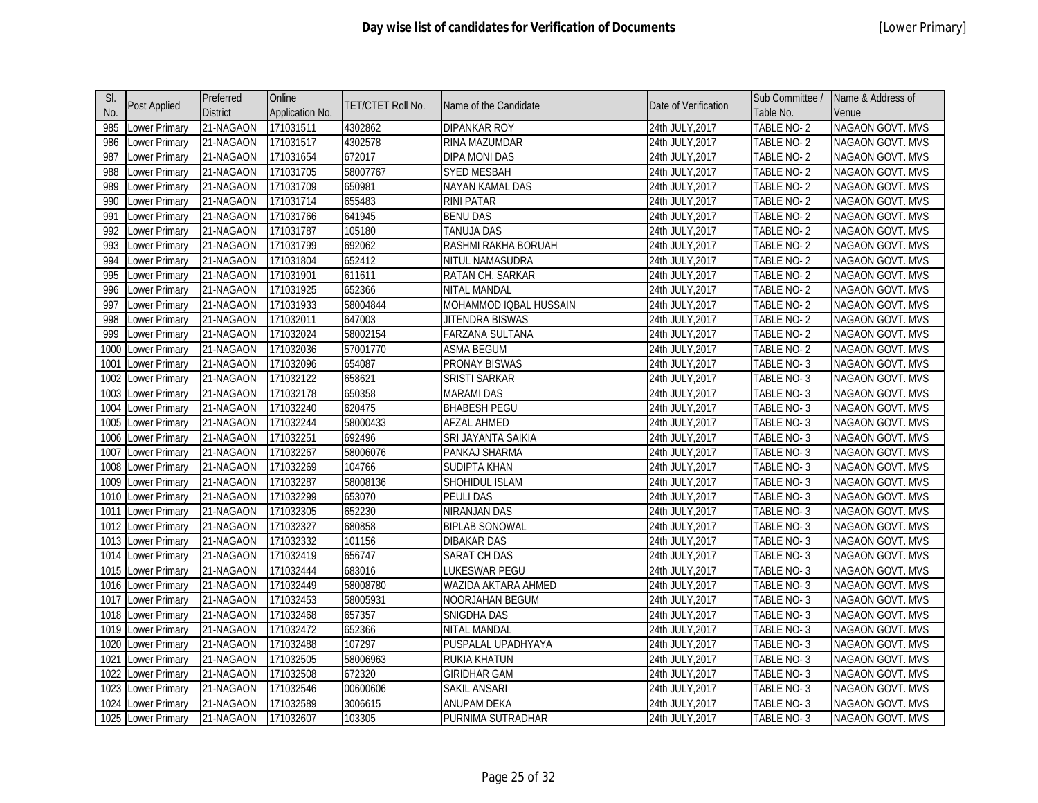| SI.  |                      | Preferred       | Online          |                   |                        |                      | Sub Committee / | Name & Address of       |
|------|----------------------|-----------------|-----------------|-------------------|------------------------|----------------------|-----------------|-------------------------|
| No.  | <b>Post Applied</b>  | <b>District</b> | Application No. | TET/CTET Roll No. | Name of the Candidate  | Date of Verification | Table No.       | Venue                   |
| 985  | Lower Primary        | 21-NAGAON       | 171031511       | 4302862           | <b>DIPANKAR ROY</b>    | 24th JULY, 2017      | TABLE NO-2      | <b>NAGAON GOVT. MVS</b> |
| 986  | ower Primary         | 21-NAGAON       | 171031517       | 4302578           | RINA MAZUMDAR          | 24th JULY, 2017      | TABLE NO-2      | NAGAON GOVT. MVS        |
| 987  | Lower Primary        | 21-NAGAON       | 171031654       | 672017            | <b>DIPA MONI DAS</b>   | 24th JULY, 2017      | TABLE NO-2      | NAGAON GOVT. MVS        |
| 988  | Lower Primary        | 21-NAGAON       | 171031705       | 58007767          | <b>SYED MESBAH</b>     | 24th JULY, 2017      | TABLE NO-2      | NAGAON GOVT. MVS        |
| 989  | Lower Primary        | 21-NAGAON       | 171031709       | 650981            | NAYAN KAMAL DAS        | 24th JULY, 2017      | TABLE NO-2      | NAGAON GOVT. MVS        |
| 990  | ower Primary         | 21-NAGAON       | 171031714       | 655483            | <b>RINI PATAR</b>      | 24th JULY, 2017      | TABLE NO-2      | <b>NAGAON GOVT. MVS</b> |
| 991  | ower Primary         | 21-NAGAON       | 171031766       | 641945            | <b>BENU DAS</b>        | 24th JULY, 2017      | TABLE NO-2      | NAGAON GOVT. MVS        |
| 992  | ower Primary         | 21-NAGAON       | 171031787       | 105180            | <b>TANUJA DAS</b>      | 24th JULY, 2017      | TABLE NO-2      | <b>NAGAON GOVT. MVS</b> |
| 993  | ower Primary         | 21-NAGAON       | 171031799       | 692062            | RASHMI RAKHA BORUAH    | 24th JULY, 2017      | TABLE NO-2      | NAGAON GOVT. MVS        |
| 994  | ower Primary         | 21-NAGAON       | 171031804       | 652412            | NITUL NAMASUDRA        | 24th JULY, 2017      | TABLE NO-2      | <b>NAGAON GOVT. MVS</b> |
| 995  | Lower Primary        | 21-NAGAON       | 171031901       | 611611            | RATAN CH. SARKAR       | 24th JULY, 2017      | TABLE NO-2      | NAGAON GOVT. MVS        |
| 996  | Lower Primary        | 21-NAGAON       | 171031925       | 652366            | NITAL MANDAL           | 24th JULY, 2017      | TABLE NO-2      | NAGAON GOVT. MVS        |
| 997  | Lower Primary        | 21-NAGAON       | 171031933       | 58004844          | MOHAMMOD IQBAL HUSSAIN | 24th JULY, 2017      | TABLE NO-2      | NAGAON GOVT. MVS        |
| 998  | Lower Primary        | 21-NAGAON       | 171032011       | 647003            | JITENDRA BISWAS        | 24th JULY, 2017      | TABLE NO-2      | NAGAON GOVT. MVS        |
| 999  | Lower Primary        | 21-NAGAON       | 171032024       | 58002154          | FARZANA SULTANA        | 24th JULY, 2017      | TABLE NO-2      | <b>NAGAON GOVT. MVS</b> |
| 1000 | Lower Primary        | 21-NAGAON       | 171032036       | 57001770          | <b>ASMA BEGUM</b>      | 24th JULY, 2017      | TABLE NO-2      | <b>NAGAON GOVT. MVS</b> |
| 1001 | Lower Primary        | 21-NAGAON       | 171032096       | 654087            | <b>PRONAY BISWAS</b>   | 24th JULY, 2017      | TABLE NO-3      | NAGAON GOVT. MVS        |
| 1002 | Lower Primary        | 21-NAGAON       | 171032122       | 658621            | <b>SRISTI SARKAR</b>   | 24th JULY, 2017      | TABLE NO-3      | NAGAON GOVT. MVS        |
| 1003 | <b>Lower Primary</b> | 21-NAGAON       | 171032178       | 650358            | <b>MARAMI DAS</b>      | 24th JULY, 2017      | TABLE NO-3      | <b>NAGAON GOVT. MVS</b> |
| 1004 | Lower Primary        | 21-NAGAON       | 171032240       | 620475            | <b>BHABESH PEGU</b>    | 24th JULY, 2017      | TABLE NO-3      | NAGAON GOVT. MVS        |
| 1005 | Lower Primary        | 21-NAGAON       | 171032244       | 58000433          | <b>AFZAL AHMED</b>     | 24th JULY, 2017      | TABLE NO-3      | NAGAON GOVT. MVS        |
| 1006 | Lower Primary        | 21-NAGAON       | 171032251       | 692496            | SRI JAYANTA SAIKIA     | 24th JULY, 2017      | TABLE NO-3      | <b>NAGAON GOVT. MVS</b> |
| 1007 | Lower Primary        | 21-NAGAON       | 171032267       | 58006076          | PANKAJ SHARMA          | 24th JULY, 2017      | TABLE NO-3      | NAGAON GOVT. MVS        |
| 1008 | <b>Lower Primary</b> | 21-NAGAON       | 171032269       | 104766            | <b>SUDIPTA KHAN</b>    | 24th JULY, 2017      | TABLE NO-3      | <b>NAGAON GOVT. MVS</b> |
| 1009 | <b>Lower Primary</b> | 21-NAGAON       | 171032287       | 58008136          | SHOHIDUL ISLAM         | 24th JULY, 2017      | TABLE NO-3      | NAGAON GOVT. MVS        |
| 1010 | Lower Primary        | 21-NAGAON       | 171032299       | 653070            | <b>PEULI DAS</b>       | 24th JULY, 2017      | TABLE NO-3      | NAGAON GOVT. MVS        |
| 1011 | Lower Primary        | 21-NAGAON       | 171032305       | 652230            | NIRANJAN DAS           | 24th JULY, 2017      | TABLE NO-3      | NAGAON GOVT. MVS        |
| 1012 | Lower Primary        | 21-NAGAON       | 171032327       | 680858            | <b>BIPLAB SONOWAL</b>  | 24th JULY, 2017      | TABLE NO-3      | NAGAON GOVT. MVS        |
| 1013 | Lower Primary        | 21-NAGAON       | 171032332       | 101156            | <b>DIBAKAR DAS</b>     | 24th JULY, 2017      | TABLE NO-3      | NAGAON GOVT. MVS        |
| 1014 | Lower Primary        | 21-NAGAON       | 171032419       | 656747            | SARAT CH DAS           | 24th JULY, 2017      | TABLE NO-3      | <b>NAGAON GOVT. MVS</b> |
| 1015 | Lower Primary        | 21-NAGAON       | 171032444       | 683016            | LUKESWAR PEGU          | 24th JULY, 2017      | TABLE NO-3      | NAGAON GOVT. MVS        |
| 1016 | Lower Primary        | 21-NAGAON       | 171032449       | 58008780          | WAZIDA AKTARA AHMED    | 24th JULY, 2017      | TABLE NO-3      | NAGAON GOVT. MVS        |
| 1017 | <b>Lower Primary</b> | 21-NAGAON       | 171032453       | 58005931          | NOORJAHAN BEGUM        | 24th JULY, 2017      | TABLE NO-3      | NAGAON GOVT. MVS        |
| 1018 | Lower Primary        | 21-NAGAON       | 171032468       | 657357            | SNIGDHA DAS            | 24th JULY, 2017      | TABLE NO-3      | NAGAON GOVT. MVS        |
| 1019 | <b>Lower Primary</b> | 21-NAGAON       | 171032472       | 652366            | NITAL MANDAL           | 24th JULY, 2017      | TABLE NO-3      | NAGAON GOVT. MVS        |
| 1020 | Lower Primary        | 21-NAGAON       | 171032488       | 107297            | PUSPALAL UPADHYAYA     | 24th JULY, 2017      | TABLE NO-3      | NAGAON GOVT. MVS        |
| 1021 | Lower Primary        | 21-NAGAON       | 171032505       | 58006963          | <b>RUKIA KHATUN</b>    | 24th JULY, 2017      | TABLE NO-3      | NAGAON GOVT. MVS        |
| 1022 | ower Primary         | 21-NAGAON       | 171032508       | 672320            | <b>GIRIDHAR GAM</b>    | 24th JULY, 2017      | TABLE NO-3      | NAGAON GOVT. MVS        |
| 1023 | ower Primary         | 21-NAGAON       | 171032546       | 00600606          | SAKIL ANSARI           | 24th JULY, 2017      | TABLE NO-3      | NAGAON GOVT. MVS        |
| 1024 | Lower Primary        | 21-NAGAON       | 171032589       | 3006615           | ANUPAM DEKA            | 24th JULY,2017       | TABLE NO-3      | <b>NAGAON GOVT. MVS</b> |
|      | 1025 Lower Primary   | 21-NAGAON       | 171032607       | 103305            | PURNIMA SUTRADHAR      | 24th JULY, 2017      | TABLE NO-3      | NAGAON GOVT. MVS        |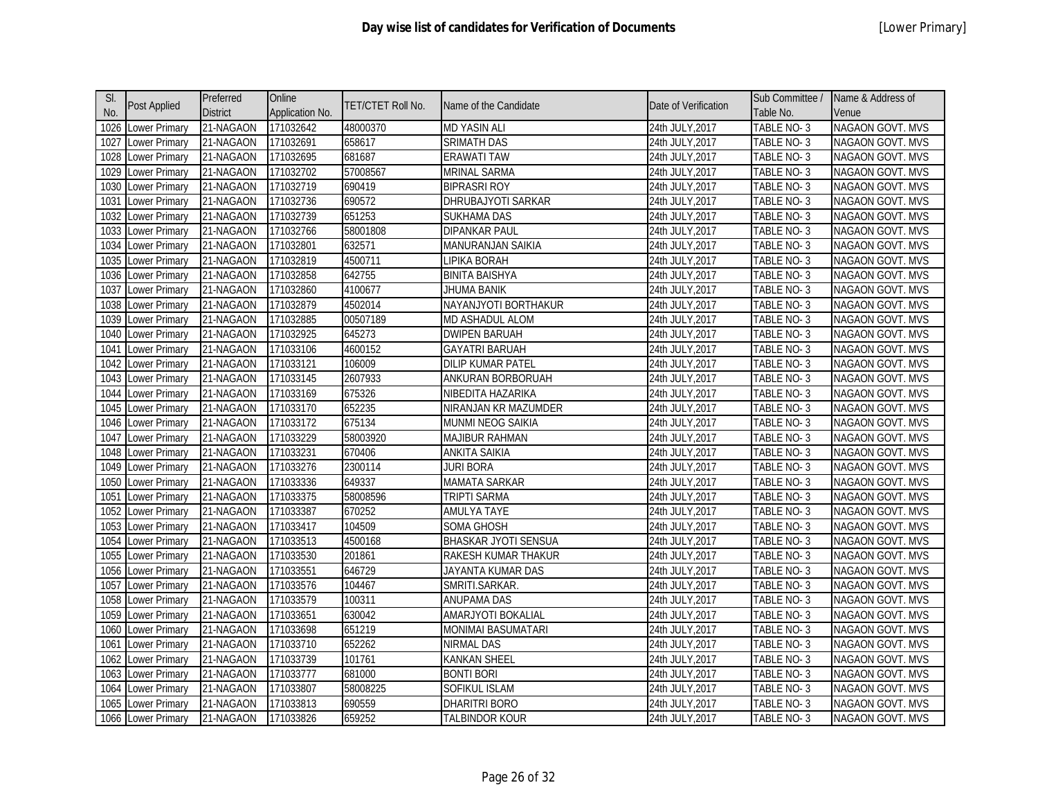| SI.  |                      | Preferred       | Online          | TET/CTET Roll No. | Name of the Candidate     | Date of Verification | Sub Committee /   | Name & Address of       |
|------|----------------------|-----------------|-----------------|-------------------|---------------------------|----------------------|-------------------|-------------------------|
| No.  | Post Applied         | <b>District</b> | Application No. |                   |                           |                      | Table No.         | Venue                   |
| 1026 | <b>Lower Primary</b> | 21-NAGAON       | 171032642       | 48000370          | <b>MD YASIN ALI</b>       | 24th JULY, 2017      | TABLE NO-3        | NAGAON GOVT. MVS        |
| 1027 | Lower Primary        | 21-NAGAON       | 171032691       | 658617            | <b>SRIMATH DAS</b>        | 24th JULY, 2017      | TABLE NO-3        | NAGAON GOVT. MVS        |
| 1028 | Lower Primary        | 21-NAGAON       | 171032695       | 681687            | <b>ERAWATI TAW</b>        | 24th JULY, 2017      | TABLE NO-3        | NAGAON GOVT. MVS        |
| 1029 | Lower Primary        | 21-NAGAON       | 171032702       | 57008567          | <b>MRINAL SARMA</b>       | 24th JULY, 2017      | TABLE NO-3        | NAGAON GOVT. MVS        |
| 1030 | Lower Primary        | 21-NAGAON       | 171032719       | 690419            | <b>BIPRASRI ROY</b>       | 24th JULY, 2017      | TABLE NO-3        | NAGAON GOVT. MVS        |
| 1031 | Lower Primary        | 21-NAGAON       | 171032736       | 690572            | DHRUBAJYOTI SARKAR        | 24th JULY, 2017      | TABLE NO-3        | <b>NAGAON GOVT. MVS</b> |
| 1032 | Lower Primary        | 21-NAGAON       | 171032739       | 651253            | SUKHAMA DAS               | 24th JULY,2017       | TABLE NO-3        | NAGAON GOVT. MVS        |
| 1033 | Lower Primary        | 21-NAGAON       | 171032766       | 58001808          | DIPANKAR PAUL             | 24th JULY, 2017      | TABLE NO-3        | NAGAON GOVT. MVS        |
| 1034 | Lower Primary        | 21-NAGAON       | 171032801       | 632571            | MANURANJAN SAIKIA         | 24th JULY, 2017      | TABLE NO-3        | NAGAON GOVT. MVS        |
| 1035 | Lower Primary        | 21-NAGAON       | 171032819       | 4500711           | LIPIKA BORAH              | 24th JULY, 2017      | TABLE NO-3        | NAGAON GOVT. MVS        |
| 1036 | Lower Primary        | 21-NAGAON       | 171032858       | 642755            | <b>BINITA BAISHYA</b>     | 24th JULY, 2017      | TABLE NO-3        | NAGAON GOVT. MVS        |
| 1037 | Lower Primary        | 21-NAGAON       | 171032860       | 4100677           | <b>JHUMA BANIK</b>        | 24th JULY, 2017      | TABLE NO-3        | NAGAON GOVT. MVS        |
| 1038 | Lower Primary        | 21-NAGAON       | 171032879       | 4502014           | NAYANJYOTI BORTHAKUR      | 24th JULY, 2017      | TABLE NO-3        | <b>NAGAON GOVT. MVS</b> |
| 1039 | Lower Primary        | 21-NAGAON       | 171032885       | 00507189          | <b>MD ASHADUL ALOM</b>    | 24th JULY, 2017      | TABLE NO-3        | NAGAON GOVT. MVS        |
| 1040 | <b>Lower Primary</b> | 21-NAGAON       | 171032925       | 645273            | <b>DWIPEN BARUAH</b>      | 24th JULY, 2017      | TABLE NO-3        | <b>NAGAON GOVT. MVS</b> |
| 1041 | Lower Primary        | 21-NAGAON       | 171033106       | 4600152           | <b>GAYATRI BARUAH</b>     | 24th JULY, 2017      | TABLE NO-3        | NAGAON GOVT. MVS        |
| 1042 | Lower Primary        | 21-NAGAON       | 171033121       | 106009            | DILIP KUMAR PATEL         | 24th JULY, 2017      | TABLE NO-3        | <b>NAGAON GOVT. MVS</b> |
| 1043 | Lower Primary        | 21-NAGAON       | 171033145       | 2607933           | ANKURAN BORBORUAH         | 24th JULY,2017       | TABLE NO-3        | NAGAON GOVT. MVS        |
| 1044 | Lower Primary        | 21-NAGAON       | 171033169       | 675326            | NIBEDITA HAZARIKA         | 24th JULY, 2017      | TABLE NO-3        | NAGAON GOVT. MVS        |
| 1045 | Lower Primary        | 21-NAGAON       | 171033170       | 652235            | NIRANJAN KR MAZUMDER      | 24th JULY, 2017      | TABLE NO-3        | NAGAON GOVT. MVS        |
| 1046 | Lower Primary        | 21-NAGAON       | 171033172       | 675134            | MUNMI NEOG SAIKIA         | 24th JULY, 2017      | <b>TABLE NO-3</b> | NAGAON GOVT. MVS        |
| 1047 | Lower Primary        | 21-NAGAON       | 171033229       | 58003920          | <b>MAJIBUR RAHMAN</b>     | 24th JULY, 2017      | TABLE NO-3        | <b>NAGAON GOVT. MVS</b> |
| 1048 | Lower Primary        | 21-NAGAON       | 171033231       | 670406            | <b>ANKITA SAIKIA</b>      | 24th JULY, 2017      | TABLE NO-3        | NAGAON GOVT. MVS        |
| 1049 | Lower Primary        | 21-NAGAON       | 171033276       | 2300114           | <b>JURI BORA</b>          | 24th JULY, 2017      | TABLE NO-3        | <b>NAGAON GOVT. MVS</b> |
| 1050 | Lower Primary        | 21-NAGAON       | 171033336       | 649337            | <b>MAMATA SARKAR</b>      | 24th JULY, 2017      | TABLE NO-3        | NAGAON GOVT. MVS        |
| 1051 | <b>Lower Primary</b> | 21-NAGAON       | 171033375       | 58008596          | TRIPTI SARMA              | 24th JULY, 2017      | TABLE NO-3        | NAGAON GOVT. MVS        |
| 1052 | Lower Primary        | 21-NAGAON       | 171033387       | 670252            | <b>AMULYA TAYE</b>        | 24th JULY, 2017      | TABLE NO-3        | NAGAON GOVT. MVS        |
| 1053 | <b>Lower Primary</b> | 21-NAGAON       | 171033417       | 104509            | SOMA GHOSH                | 24th JULY, 2017      | TABLE NO-3        | NAGAON GOVT. MVS        |
| 1054 | Lower Primary        | 21-NAGAON       | 171033513       | 4500168           | BHASKAR JYOTI SENSUA      | 24th JULY, 2017      | TABLE NO-3        | <b>NAGAON GOVT. MVS</b> |
| 1055 | Lower Primary        | 21-NAGAON       | 171033530       | 201861            | RAKESH KUMAR THAKUR       | 24th JULY, 2017      | TABLE NO-3        | NAGAON GOVT. MVS        |
| 1056 | Lower Primary        | 21-NAGAON       | 171033551       | 646729            | JAYANTA KUMAR DAS         | 24th JULY, 2017      | TABLE NO-3        | <b>NAGAON GOVT. MVS</b> |
| 1057 | Lower Primary        | 21-NAGAON       | 171033576       | 104467            | SMRITI.SARKAR.            | 24th JULY, 2017      | TABLE NO-3        | NAGAON GOVT. MVS        |
| 1058 | Lower Primary        | 21-NAGAON       | 171033579       | 100311            | <b>ANUPAMA DAS</b>        | 24th JULY, 2017      | TABLE NO-3        | NAGAON GOVT. MVS        |
| 1059 | Lower Primary        | 21-NAGAON       | 171033651       | 630042            | AMARJYOTI BOKALIAL        | 24th JULY, 2017      | TABLE NO-3        | NAGAON GOVT. MVS        |
| 1060 | Lower Primary        | 21-NAGAON       | 171033698       | 651219            | <b>MONIMAI BASUMATARI</b> | 24th JULY, 2017      | TABLE NO-3        | NAGAON GOVT. MVS        |
| 1061 | Lower Primary        | 21-NAGAON       | 171033710       | 652262            | NIRMAL DAS                | 24th JULY, 2017      | TABLE NO-3        | <b>NAGAON GOVT. MVS</b> |
| 1062 | Lower Primary        | 21-NAGAON       | 171033739       | 101761            | <b>KANKAN SHEEL</b>       | 24th JULY, 2017      | TABLE NO-3        | NAGAON GOVT. MVS        |
| 1063 | Lower Primary        | 21-NAGAON       | 171033777       | 681000            | <b>BONTI BORI</b>         | 24th JULY, 2017      | TABLE NO-3        | <b>NAGAON GOVT. MVS</b> |
| 1064 | Lower Primary        | 21-NAGAON       | 171033807       | 58008225          | SOFIKUL ISLAM             | 24th JULY,2017       | TABLE NO-3        | NAGAON GOVT. MVS        |
| 1065 | Lower Primary        | 21-NAGAON       | 171033813       | 690559            | DHARITRI BORO             | 24th JULY,2017       | TABLE NO- 3       | <b>NAGAON GOVT. MVS</b> |
|      | 1066 Lower Primary   | 21-NAGAON       | 171033826       | 659252            | <b>TALBINDOR KOUR</b>     | 24th JULY, 2017      | TABLE NO-3        | NAGAON GOVT. MVS        |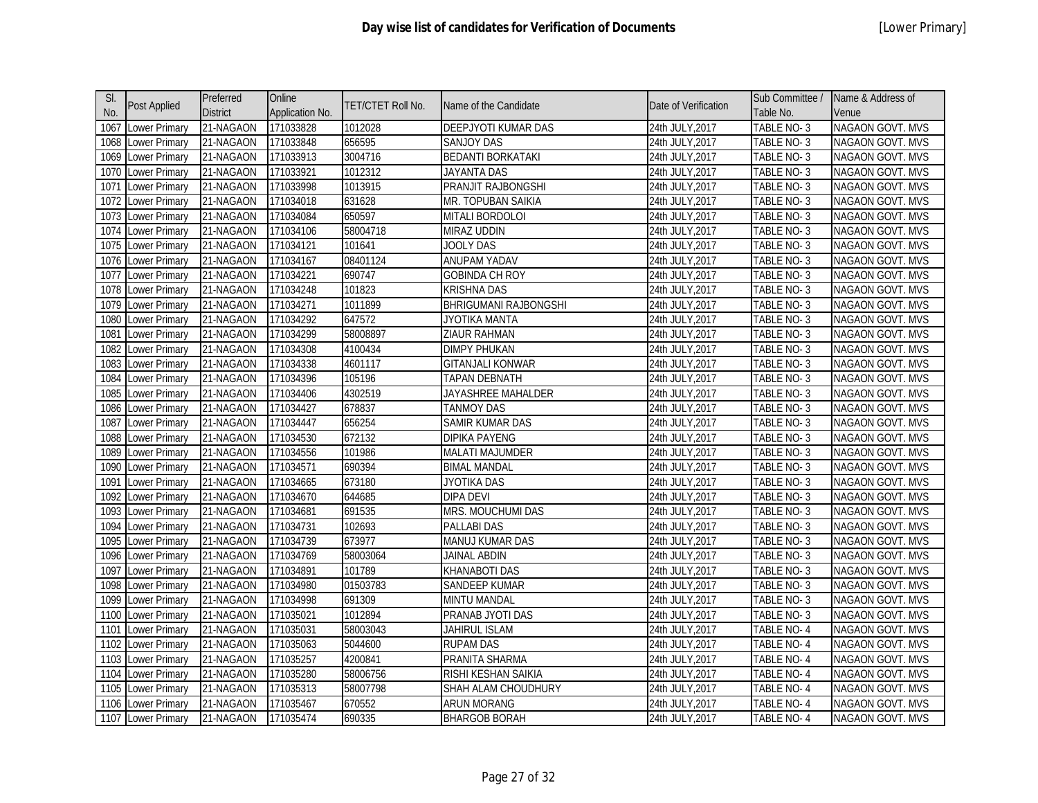| SI.  |                      | Preferred       | Online          |                          |                              |                      | Sub Committee /   | Name & Address of       |
|------|----------------------|-----------------|-----------------|--------------------------|------------------------------|----------------------|-------------------|-------------------------|
| No.  | Post Applied         | <b>District</b> | Application No. | <b>TET/CTET Roll No.</b> | Name of the Candidate        | Date of Verification | Table No.         | Venue                   |
| 1067 | Lower Primary        | 21-NAGAON       | 171033828       | 1012028                  | DEEPJYOTI KUMAR DAS          | 24th JULY, 2017      | TABLE NO-3        | <b>NAGAON GOVT. MVS</b> |
| 1068 | Lower Primary        | 21-NAGAON       | 171033848       | 656595                   | SANJOY DAS                   | 24th JULY, 2017      | TABLE NO-3        | NAGAON GOVT. MVS        |
| 1069 | Lower Primary        | 21-NAGAON       | 171033913       | 3004716                  | <b>BEDANTI BORKATAKI</b>     | 24th JULY, 2017      | TABLE NO-3        | NAGAON GOVT. MVS        |
| 1070 | Lower Primary        | 21-NAGAON       | 171033921       | 1012312                  | <b>JAYANTA DAS</b>           | 24th JULY, 2017      | TABLE NO-3        | NAGAON GOVT. MVS        |
| 1071 | Lower Primary        | 21-NAGAON       | 171033998       | 1013915                  | PRANJIT RAJBONGSHI           | 24th JULY, 2017      | TABLE NO-3        | NAGAON GOVT. MVS        |
| 1072 | Lower Primary        | 21-NAGAON       | 171034018       | 631628                   | MR. TOPUBAN SAIKIA           | 24th JULY, 2017      | TABLE NO-3        | <b>NAGAON GOVT. MVS</b> |
| 1073 | Lower Primary        | 21-NAGAON       | 171034084       | 650597                   | <b>MITALI BORDOLOI</b>       | 24th JULY, 2017      | TABLE NO-3        | NAGAON GOVT. MVS        |
| 1074 | <b>Lower Primary</b> | 21-NAGAON       | 171034106       | 58004718                 | <b>MIRAZ UDDIN</b>           | 24th JULY, 2017      | TABLE NO-3        | <b>NAGAON GOVT. MVS</b> |
| 1075 | Lower Primary        | 21-NAGAON       | 171034121       | 101641                   | JOOLY DAS                    | 24th JULY, 2017      | TABLE NO-3        | NAGAON GOVT. MVS        |
| 1076 | <b>Lower Primary</b> | 21-NAGAON       | 171034167       | 08401124                 | ANUPAM YADAV                 | 24th JULY,2017       | TABLE NO-3        | <b>NAGAON GOVT. MVS</b> |
| 1077 | Lower Primary        | 21-NAGAON       | 171034221       | 690747                   | <b>GOBINDA CH ROY</b>        | 24th JULY, 2017      | TABLE NO-3        | NAGAON GOVT. MVS        |
| 1078 | Lower Primary        | 21-NAGAON       | 171034248       | 101823                   | <b>KRISHNA DAS</b>           | 24th JULY, 2017      | TABLE NO-3        | NAGAON GOVT. MVS        |
| 1079 | Lower Primary        | 21-NAGAON       | 171034271       | 1011899                  | <b>BHRIGUMANI RAJBONGSHI</b> | 24th JULY, 2017      | TABLE NO-3        | <b>NAGAON GOVT. MVS</b> |
| 1080 | Lower Primary        | 21-NAGAON       | 171034292       | 647572                   | JYOTIKA MANTA                | 24th JULY, 2017      | <b>TABLE NO-3</b> | NAGAON GOVT. MVS        |
| 1081 | Lower Primary        | 21-NAGAON       | 171034299       | 58008897                 | <b>ZIAUR RAHMAN</b>          | 24th JULY, 2017      | TABLE NO-3        | <b>NAGAON GOVT. MVS</b> |
| 1082 | Lower Primary        | 21-NAGAON       | 171034308       | 4100434                  | <b>DIMPY PHUKAN</b>          | 24th JULY, 2017      | TABLE NO-3        | NAGAON GOVT. MVS        |
| 1083 | Lower Primary        | 21-NAGAON       | 171034338       | 4601117                  | <b>GITANJALI KONWAR</b>      | 24th JULY, 2017      | TABLE NO-3        | <b>NAGAON GOVT. MVS</b> |
| 1084 | Lower Primary        | 21-NAGAON       | 171034396       | 105196                   | <b>TAPAN DEBNATH</b>         | 24th JULY, 2017      | TABLE NO-3        | NAGAON GOVT. MVS        |
| 1085 | Lower Primary        | 21-NAGAON       | 171034406       | 4302519                  | JAYASHREE MAHALDER           | 24th JULY, 2017      | TABLE NO-3        | NAGAON GOVT. MVS        |
| 1086 | Lower Primary        | 21-NAGAON       | 171034427       | 678837                   | TANMOY DAS                   | 24th JULY, 2017      | TABLE NO-3        | <b>NAGAON GOVT. MVS</b> |
| 1087 | Lower Primary        | 21-NAGAON       | 171034447       | 656254                   | SAMIR KUMAR DAS              | 24th JULY, 2017      | TABLE NO-3        | NAGAON GOVT. MVS        |
| 1088 | Lower Primary        | 21-NAGAON       | 171034530       | 672132                   | DIPIKA PAYENG                | 24th JULY, 2017      | TABLE NO-3        | <b>NAGAON GOVT. MVS</b> |
| 1089 | Lower Primary        | 21-NAGAON       | 171034556       | 101986                   | <b>MALATI MAJUMDER</b>       | 24th JULY, 2017      | TABLE NO-3        | NAGAON GOVT. MVS        |
| 1090 | Lower Primary        | 21-NAGAON       | 171034571       | 690394                   | <b>BIMAL MANDAL</b>          | 24th JULY, 2017      | TABLE NO-3        | <b>NAGAON GOVT. MVS</b> |
| 1091 | Lower Primary        | 21-NAGAON       | 171034665       | 673180                   | JYOTIKA DAS                  | 24th JULY, 2017      | TABLE NO-3        | NAGAON GOVT. MVS        |
| 1092 | Lower Primary        | 21-NAGAON       | 171034670       | 644685                   | <b>DIPA DEVI</b>             | 24th JULY, 2017      | TABLE NO-3        | NAGAON GOVT. MVS        |
| 1093 | Lower Primary        | 21-NAGAON       | 171034681       | 691535                   | MRS. MOUCHUMI DAS            | 24th JULY, 2017      | TABLE NO-3        | NAGAON GOVT. MVS        |
| 1094 | Lower Primary        | 21-NAGAON       | 171034731       | 102693                   | PALLABI DAS                  | 24th JULY, 2017      | TABLE NO-3        | NAGAON GOVT. MVS        |
| 1095 | Lower Primary        | 21-NAGAON       | 171034739       | 673977                   | <b>MANUJ KUMAR DAS</b>       | 24th JULY, 2017      | TABLE NO-3        | <b>NAGAON GOVT. MVS</b> |
| 1096 | Lower Primary        | 21-NAGAON       | 171034769       | 58003064                 | <b>JAINAL ABDIN</b>          | 24th JULY, 2017      | TABLE NO-3        | <b>NAGAON GOVT. MVS</b> |
| 1097 | Lower Primary        | 21-NAGAON       | 171034891       | 101789                   | KHANABOTI DAS                | 24th JULY, 2017      | TABLE NO-3        | <b>NAGAON GOVT. MVS</b> |
| 1098 | Lower Primary        | 21-NAGAON       | 171034980       | 01503783                 | SANDEEP KUMAR                | 24th JULY,2017       | TABLE NO-3        | NAGAON GOVT. MVS        |
| 1099 | Lower Primary        | 21-NAGAON       | 171034998       | 691309                   | <b>MINTU MANDAL</b>          | 24th JULY, 2017      | TABLE NO-3        | NAGAON GOVT. MVS        |
| 1100 | Lower Primary        | 21-NAGAON       | 171035021       | 1012894                  | PRANAB JYOTI DAS             | 24th JULY, 2017      | TABLE NO-3        | NAGAON GOVT. MVS        |
| 1101 | Lower Primary        | 21-NAGAON       | 171035031       | 58003043                 | <b>JAHIRUL ISLAM</b>         | 24th JULY, 2017      | TABLE NO-4        | NAGAON GOVT. MVS        |
| 1102 | Lower Primary        | 21-NAGAON       | 171035063       | 5044600                  | <b>RUPAM DAS</b>             | 24th JULY, 2017      | TABLE NO-4        | NAGAON GOVT. MVS        |
| 1103 | Lower Primary        | 21-NAGAON       | 171035257       | 4200841                  | PRANITA SHARMA               | 24th JULY, 2017      | TABLE NO-4        | NAGAON GOVT. MVS        |
| 1104 | Lower Primary        | 21-NAGAON       | 171035280       | 58006756                 | RISHI KESHAN SAIKIA          | 24th JULY, 2017      | TABLE NO-4        | <b>NAGAON GOVT. MVS</b> |
| 1105 | <b>Lower Primary</b> | 21-NAGAON       | 171035313       | 58007798                 | SHAH ALAM CHOUDHURY          | 24th JULY, 2017      | TABLE NO-4        | NAGAON GOVT. MVS        |
| 1106 | Lower Primary        | 21-NAGAON       | 171035467       | 670552                   | ARUN MORANG                  | 24th JULY,2017       | TABLE NO- 4       | <b>NAGAON GOVT. MVS</b> |
|      | 1107 Lower Primary   | 21-NAGAON       | 171035474       | 690335                   | <b>BHARGOB BORAH</b>         | 24th JULY, 2017      | TABLE NO-4        | NAGAON GOVT. MVS        |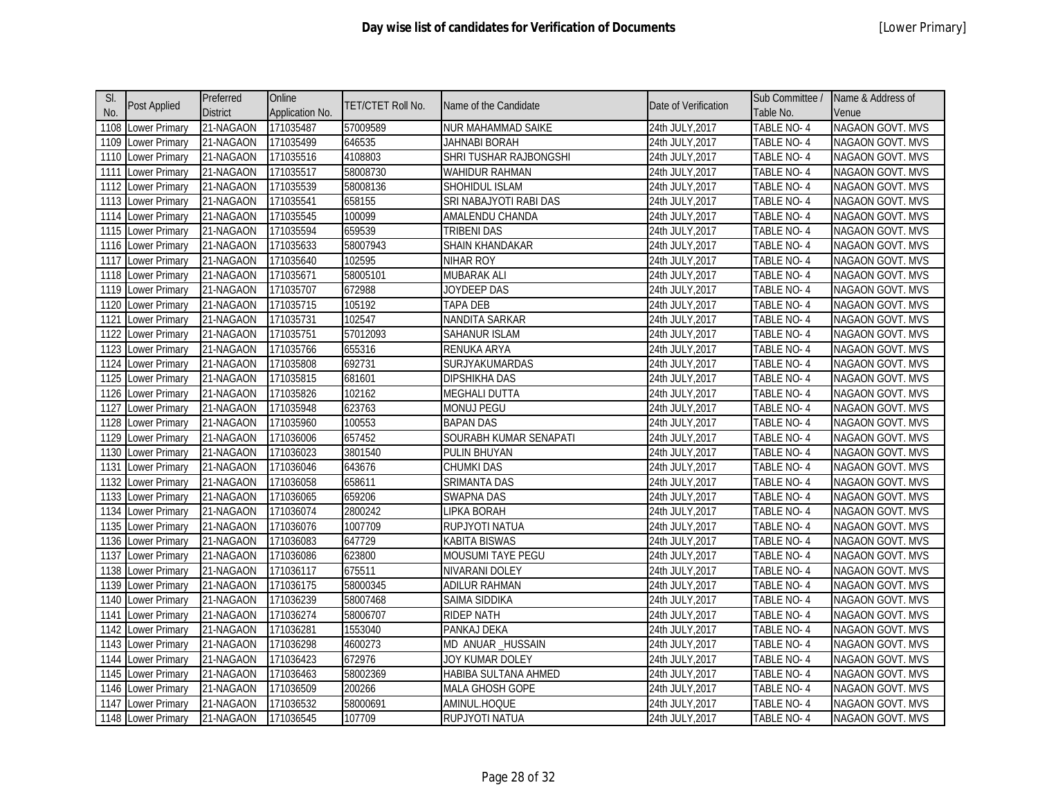| SI.  | Post Applied         | Preferred       | Online          | TET/CTET Roll No. | Name of the Candidate  | Date of Verification | Sub Committee / | Name & Address of       |
|------|----------------------|-----------------|-----------------|-------------------|------------------------|----------------------|-----------------|-------------------------|
| No.  |                      | <b>District</b> | Application No. |                   |                        |                      | Table No.       | Venue                   |
| 1108 | Lower Primary        | 21-NAGAON       | 171035487       | 57009589          | NUR MAHAMMAD SAIKE     | 24th JULY, 2017      | TABLE NO-4      | NAGAON GOVT. MVS        |
| 1109 | Lower Primary        | 21-NAGAON       | 171035499       | 646535            | <b>JAHNABI BORAH</b>   | 24th JULY, 2017      | TABLE NO-4      | NAGAON GOVT. MVS        |
| 1110 | Lower Primary        | 21-NAGAON       | 171035516       | 4108803           | SHRI TUSHAR RAJBONGSHI | 24th JULY, 2017      | TABLE NO-4      | NAGAON GOVT. MVS        |
| 1111 | Lower Primary        | 21-NAGAON       | 171035517       | 58008730          | WAHIDUR RAHMAN         | 24th JULY, 2017      | TABLE NO-4      | <b>NAGAON GOVT. MVS</b> |
| 1112 | Lower Primary        | 21-NAGAON       | 171035539       | 58008136          | SHOHIDUL ISLAM         | 24th JULY, 2017      | TABLE NO-4      | NAGAON GOVT. MVS        |
| 1113 | Lower Primary        | 21-NAGAON       | 171035541       | 658155            | SRI NABAJYOTI RABI DAS | 24th JULY, 2017      | TABLE NO-4      | NAGAON GOVT. MVS        |
| 1114 | Lower Primary        | 21-NAGAON       | 171035545       | 100099            | AMALENDU CHANDA        | 24th JULY, 2017      | TABLE NO-4      | NAGAON GOVT. MVS        |
| 1115 | <b>Lower Primary</b> | 21-NAGAON       | 171035594       | 659539            | <b>TRIBENI DAS</b>     | 24th JULY, 2017      | TABLE NO-4      | NAGAON GOVT. MVS        |
| 1116 | Lower Primary        | 21-NAGAON       | 171035633       | 58007943          | SHAIN KHANDAKAR        | 24th JULY, 2017      | TABLE NO-4      | NAGAON GOVT. MVS        |
| 1117 | Lower Primary        | 21-NAGAON       | 171035640       | 102595            | NIHAR ROY              | 24th JULY, 2017      | TABLE NO-4      | <b>NAGAON GOVT. MVS</b> |
| 1118 | Lower Primary        | 21-NAGAON       | 171035671       | 58005101          | <b>MUBARAK ALI</b>     | 24th JULY, 2017      | TABLE NO-4      | <b>NAGAON GOVT. MVS</b> |
| 1119 | Lower Primary        | 21-NAGAON       | 171035707       | 672988            | JOYDEEP DAS            | 24th JULY, 2017      | TABLE NO-4      | NAGAON GOVT. MVS        |
| 1120 | Lower Primary        | 21-NAGAON       | 171035715       | 105192            | TAPA DEB               | 24th JULY, 2017      | TABLE NO-4      | <b>NAGAON GOVT. MVS</b> |
| 1121 | Lower Primary        | 21-NAGAON       | 171035731       | 102547            | NANDITA SARKAR         | 24th JULY, 2017      | TABLE NO-4      | NAGAON GOVT. MVS        |
| 1122 | Lower Primary        | 21-NAGAON       | 171035751       | 57012093          | <b>SAHANUR ISLAM</b>   | 24th JULY, 2017      | TABLE NO-4      | <b>NAGAON GOVT. MVS</b> |
| 1123 | Lower Primary        | 21-NAGAON       | 171035766       | 655316            | <b>RENUKA ARYA</b>     | 24th JULY, 2017      | TABLE NO-4      | <b>NAGAON GOVT. MVS</b> |
| 1124 | Lower Primary        | 21-NAGAON       | 171035808       | 692731            | SURJYAKUMARDAS         | 24th JULY, 2017      | TABLE NO-4      | NAGAON GOVT. MVS        |
| 1125 | Lower Primary        | 21-NAGAON       | 171035815       | 681601            | DIPSHIKHA DAS          | 24th JULY, 2017      | TABLE NO-4      | NAGAON GOVT. MVS        |
| 1126 | Lower Primary        | 21-NAGAON       | 171035826       | 102162            | <b>MEGHALI DUTTA</b>   | 24th JULY, 2017      | TABLE NO-4      | <b>NAGAON GOVT. MVS</b> |
| 1127 | Lower Primary        | 21-NAGAON       | 171035948       | 623763            | MONUJ PEGU             | 24th JULY, 2017      | TABLE NO-4      | NAGAON GOVT. MVS        |
| 1128 | Lower Primary        | 21-NAGAON       | 171035960       | 100553            | <b>BAPAN DAS</b>       | 24th JULY, 2017      | TABLE NO-4      | NAGAON GOVT. MVS        |
| 1129 | Lower Primary        | 21-NAGAON       | 171036006       | 657452            | SOURABH KUMAR SENAPATI | 24th JULY, 2017      | TABLE NO-4      | NAGAON GOVT. MVS        |
| 1130 | Lower Primary        | 21-NAGAON       | 171036023       | 3801540           | PULIN BHUYAN           | 24th JULY, 2017      | TABLE NO-4      | NAGAON GOVT. MVS        |
| 1131 | Lower Primary        | 21-NAGAON       | 171036046       | 643676            | <b>CHUMKI DAS</b>      | 24th JULY, 2017      | TABLE NO-4      | NAGAON GOVT. MVS        |
| 1132 | Lower Primary        | 21-NAGAON       | 171036058       | 658611            | SRIMANTA DAS           | 24th JULY, 2017      | TABLE NO-4      | NAGAON GOVT. MVS        |
| 1133 | Lower Primary        | 21-NAGAON       | 171036065       | 659206            | <b>SWAPNA DAS</b>      | 24th JULY, 2017      | TABLE NO-4      | NAGAON GOVT. MVS        |
| 1134 | Lower Primary        | 21-NAGAON       | 171036074       | 2800242           | LIPKA BORAH            | 24th JULY, 2017      | TABLE NO-4      | NAGAON GOVT. MVS        |
| 1135 | <b>Lower Primary</b> | 21-NAGAON       | 171036076       | 1007709           | RUPJYOTI NATUA         | 24th JULY, 2017      | TABLE NO-4      | <b>NAGAON GOVT. MVS</b> |
| 1136 | Lower Primary        | 21-NAGAON       | 171036083       | 647729            | KABITA BISWAS          | 24th JULY, 2017      | TABLE NO-4      | NAGAON GOVT. MVS        |
| 1137 | Lower Primary        | 21-NAGAON       | 171036086       | 623800            | MOUSUMI TAYE PEGU      | 24th JULY, 2017      | TABLE NO-4      | NAGAON GOVT. MVS        |
| 1138 | Lower Primary        | 21-NAGAON       | 171036117       | 675511            | NIVARANI DOLEY         | 24th JULY, 2017      | TABLE NO-4      | NAGAON GOVT. MVS        |
| 1139 | Lower Primary        | 21-NAGAON       | 171036175       | 58000345          | <b>ADILUR RAHMAN</b>   | 24th JULY, 2017      | TABLE NO-4      | NAGAON GOVT. MVS        |
| 1140 | Lower Primary        | 21-NAGAON       | 171036239       | 58007468          | SAIMA SIDDIKA          | 24th JULY, 2017      | TABLE NO-4      | NAGAON GOVT. MVS        |
| 1141 | Lower Primary        | 21-NAGAON       | 171036274       | 58006707          | <b>RIDEP NATH</b>      | 24th JULY, 2017      | TABLE NO-4      | NAGAON GOVT. MVS        |
| 1142 | Lower Primary        | 21-NAGAON       | 171036281       | 1553040           | PANKAJ DEKA            | 24th JULY, 2017      | TABLE NO-4      | NAGAON GOVT. MVS        |
| 1143 | Lower Primary        | 21-NAGAON       | 171036298       | 4600273           | MD ANUAR_HUSSAIN       | 24th JULY, 2017      | TABLE NO-4      | NAGAON GOVT. MVS        |
| 1144 | Lower Primary        | 21-NAGAON       | 171036423       | 672976            | JOY KUMAR DOLEY        | 24th JULY, 2017      | TABLE NO-4      | NAGAON GOVT. MVS        |
| 1145 | Lower Primary        | 21-NAGAON       | 171036463       | 58002369          | HABIBA SULTANA AHMED   | 24th JULY, 2017      | TABLE NO-4      | NAGAON GOVT. MVS        |
| 1146 | <b>Lower Primary</b> | 21-NAGAON       | 171036509       | 200266            | MALA GHOSH GOPE        | 24th JULY, 2017      | TABLE NO-4      | <b>NAGAON GOVT. MVS</b> |
| 1147 | Lower Primary        | 21-NAGAON       | 171036532       | 58000691          | AMINUL.HOQUE           | 24th JULY,2017       | TABLE NO-4      | <b>NAGAON GOVT. MVS</b> |
|      | 1148 Lower Primary   | 21-NAGAON       | 171036545       | 107709            | RUPJYOTI NATUA         | 24th JULY, 2017      | TABLE NO-4      | NAGAON GOVT. MVS        |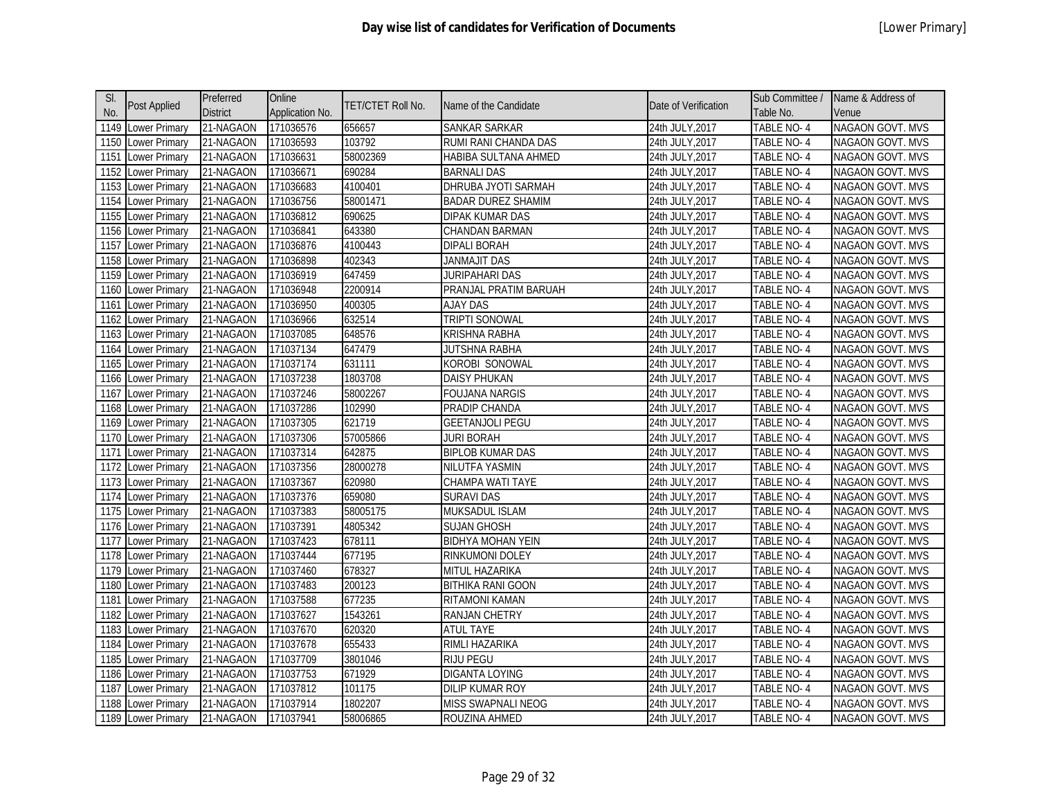| SI.  | Post Applied         | Preferred       | Online          | TET/CTET Roll No. | Name of the Candidate     | Date of Verification | Sub Committee /   | Name & Address of       |
|------|----------------------|-----------------|-----------------|-------------------|---------------------------|----------------------|-------------------|-------------------------|
| No.  |                      | <b>District</b> | Application No. |                   |                           |                      | Table No.         | Venue                   |
| 1149 | Lower Primary        | 21-NAGAON       | 171036576       | 656657            | SANKAR SARKAR             | 24th JULY, 2017      | <b>TABLE NO-4</b> | NAGAON GOVT. MVS        |
| 1150 | Lower Primary        | 21-NAGAON       | 171036593       | 103792            | RUMI RANI CHANDA DAS      | 24th JULY, 2017      | TABLE NO-4        | <b>NAGAON GOVT. MVS</b> |
| 1151 | Lower Primary        | 21-NAGAON       | 171036631       | 58002369          | HABIBA SULTANA AHMED      | 24th JULY, 2017      | TABLE NO-4        | NAGAON GOVT. MVS        |
| 1152 | Lower Primary        | 21-NAGAON       | 171036671       | 690284            | <b>BARNALI DAS</b>        | 24th JULY, 2017      | TABLE NO-4        | NAGAON GOVT. MVS        |
| 1153 | Lower Primary        | 21-NAGAON       | 171036683       | 4100401           | DHRUBA JYOTI SARMAH       | 24th JULY, 2017      | TABLE NO-4        | NAGAON GOVT. MVS        |
| 1154 | <b>Lower Primary</b> | 21-NAGAON       | 171036756       | 58001471          | <b>BADAR DUREZ SHAMIM</b> | 24th JULY, 2017      | TABLE NO-4        | NAGAON GOVT. MVS        |
| 1155 | Lower Primary        | 21-NAGAON       | 171036812       | 690625            | DIPAK KUMAR DAS           | 24th JULY, 2017      | TABLE NO-4        | NAGAON GOVT. MVS        |
| 1156 | Lower Primary        | 21-NAGAON       | 171036841       | 643380            | CHANDAN BARMAN            | 24th JULY, 2017      | TABLE NO-4        | NAGAON GOVT. MVS        |
| 1157 | Lower Primary        | 21-NAGAON       | 171036876       | 4100443           | <b>DIPALI BORAH</b>       | 24th JULY, 2017      | TABLE NO-4        | <b>NAGAON GOVT. MVS</b> |
| 1158 | Lower Primary        | 21-NAGAON       | 171036898       | 402343            | <b>JANMAJIT DAS</b>       | 24th JULY, 2017      | TABLE NO-4        | NAGAON GOVT. MVS        |
| 1159 | <b>Lower Primary</b> | 21-NAGAON       | 171036919       | 647459            | <b>JURIPAHARI DAS</b>     | 24th JULY, 2017      | <b>TABLE NO-4</b> | <b>NAGAON GOVT. MVS</b> |
| 1160 | Lower Primary        | 21-NAGAON       | 171036948       | 2200914           | PRANJAL PRATIM BARUAH     | 24th JULY, 2017      | TABLE NO-4        | NAGAON GOVT. MVS        |
| 1161 | Lower Primary        | 21-NAGAON       | 171036950       | 400305            | AJAY DAS                  | 24th JULY, 2017      | TABLE NO-4        | NAGAON GOVT. MVS        |
| 1162 | Lower Primary        | 21-NAGAON       | 171036966       | 632514            | TRIPTI SONOWAL            | 24th JULY, 2017      | <b>TABLE NO-4</b> | NAGAON GOVT. MVS        |
| 1163 | <b>Lower Primary</b> | 21-NAGAON       | 171037085       | 648576            | <b>KRISHNA RABHA</b>      | 24th JULY, 2017      | TABLE NO-4        | <b>NAGAON GOVT. MVS</b> |
| 1164 | Lower Primary        | 21-NAGAON       | 171037134       | 647479            | <b>JUTSHNA RABHA</b>      | 24th JULY, 2017      | <b>TABLE NO-4</b> | NAGAON GOVT. MVS        |
| 1165 | Lower Primary        | 21-NAGAON       | 171037174       | 631111            | KOROBI SONOWAL            | 24th JULY, 2017      | TABLE NO-4        | NAGAON GOVT. MVS        |
| 1166 | Lower Primary        | 21-NAGAON       | 171037238       | 1803708           | <b>DAISY PHUKAN</b>       | 24th JULY, 2017      | <b>TABLE NO-4</b> | NAGAON GOVT. MVS        |
| 1167 | Lower Primary        | 21-NAGAON       | 171037246       | 58002267          | <b>FOUJANA NARGIS</b>     | 24th JULY, 2017      | TABLE NO-4        | NAGAON GOVT. MVS        |
| 1168 | <b>Lower Primary</b> | 21-NAGAON       | 171037286       | 102990            | PRADIP CHANDA             | 24th JULY, 2017      | TABLE NO-4        | NAGAON GOVT. MVS        |
| 1169 | Lower Primary        | 21-NAGAON       | 171037305       | 621719            | <b>GEETANJOLI PEGU</b>    | 24th JULY, 2017      | TABLE NO-4        | NAGAON GOVT. MVS        |
| 1170 | <b>Lower Primary</b> | 21-NAGAON       | 171037306       | 57005866          | <b>JURI BORAH</b>         | 24th JULY, 2017      | TABLE NO-4        | NAGAON GOVT. MVS        |
| 1171 | Lower Primary        | 21-NAGAON       | 171037314       | 642875            | <b>BIPLOB KUMAR DAS</b>   | 24th JULY, 2017      | TABLE NO-4        | <b>NAGAON GOVT. MVS</b> |
| 1172 | Lower Primary        | 21-NAGAON       | 171037356       | 28000278          | NILUTFA YASMIN            | 24th JULY, 2017      | TABLE NO-4        | NAGAON GOVT. MVS        |
| 1173 | Lower Primary        | 21-NAGAON       | 171037367       | 620980            | CHAMPA WATI TAYE          | 24th JULY, 2017      | TABLE NO-4        | NAGAON GOVT. MVS        |
| 1174 | Lower Primary        | 21-NAGAON       | 171037376       | 659080            | <b>SURAVI DAS</b>         | 24th JULY, 2017      | TABLE NO-4        | NAGAON GOVT. MVS        |
| 1175 | Lower Primary        | 21-NAGAON       | 171037383       | 58005175          | <b>MUKSADUL ISLAM</b>     | 24th JULY, 2017      | TABLE NO-4        | NAGAON GOVT. MVS        |
| 1176 | Lower Primary        | 21-NAGAON       | 171037391       | 4805342           | <b>SUJAN GHOSH</b>        | 24th JULY, 2017      | TABLE NO-4        | NAGAON GOVT. MVS        |
| 1177 | Lower Primary        | 21-NAGAON       | 171037423       | 678111            | <b>BIDHYA MOHAN YEIN</b>  | 24th JULY, 2017      | <b>TABLE NO-4</b> | <b>NAGAON GOVT. MVS</b> |
| 1178 | Lower Primary        | 21-NAGAON       | 171037444       | 677195            | RINKUMONI DOLEY           | 24th JULY, 2017      | TABLE NO-4        | NAGAON GOVT. MVS        |
| 1179 | Lower Primary        | 21-NAGAON       | 171037460       | 678327            | <b>MITUL HAZARIKA</b>     | 24th JULY, 2017      | TABLE NO-4        | NAGAON GOVT. MVS        |
| 1180 | Lower Primary        | 21-NAGAON       | 171037483       | 200123            | <b>BITHIKA RANI GOON</b>  | 24th JULY, 2017      | TABLE NO-4        | NAGAON GOVT. MVS        |
| 1181 | Lower Primary        | 21-NAGAON       | 171037588       | 677235            | RITAMONI KAMAN            | 24th JULY, 2017      | TABLE NO-4        | NAGAON GOVT. MVS        |
| 1182 | Lower Primary        | 21-NAGAON       | 171037627       | 1543261           | <b>RANJAN CHETRY</b>      | 24th JULY, 2017      | TABLE NO- 4       | NAGAON GOVT. MVS        |
| 1183 | Lower Primary        | 21-NAGAON       | 171037670       | 620320            | <b>ATUL TAYE</b>          | 24th JULY, 2017      | TABLE NO-4        | NAGAON GOVT. MVS        |
| 1184 | Lower Primary        | 21-NAGAON       | 171037678       | 655433            | RIMLI HAZARIKA            | 24th JULY, 2017      | TABLE NO-4        | NAGAON GOVT. MVS        |
| 1185 | Lower Primary        | 21-NAGAON       | 171037709       | 3801046           | <b>RIJU PEGU</b>          | 24th JULY, 2017      | TABLE NO-4        | <b>NAGAON GOVT. MVS</b> |
| 1186 | Lower Primary        | 21-NAGAON       | 171037753       | 671929            | DIGANTA LOYING            | 24th JULY, 2017      | TABLE NO-4        | NAGAON GOVT. MVS        |
| 1187 | Lower Primary        | 21-NAGAON       | 171037812       | 101175            | DILIP KUMAR ROY           | 24th JULY, 2017      | TABLE NO-4        | NAGAON GOVT. MVS        |
| 1188 | <b>Lower Primary</b> | 21-NAGAON       | 171037914       | 1802207           | MISS SWAPNALI NEOG        | 24th JULY, 2017      | TABLE NO-4        | <b>NAGAON GOVT. MVS</b> |
| 1189 | <b>Lower Primary</b> | 21-NAGAON       | 171037941       | 58006865          | ROUZINA AHMED             | 24th JULY, 2017      | TABLE NO-4        | NAGAON GOVT. MVS        |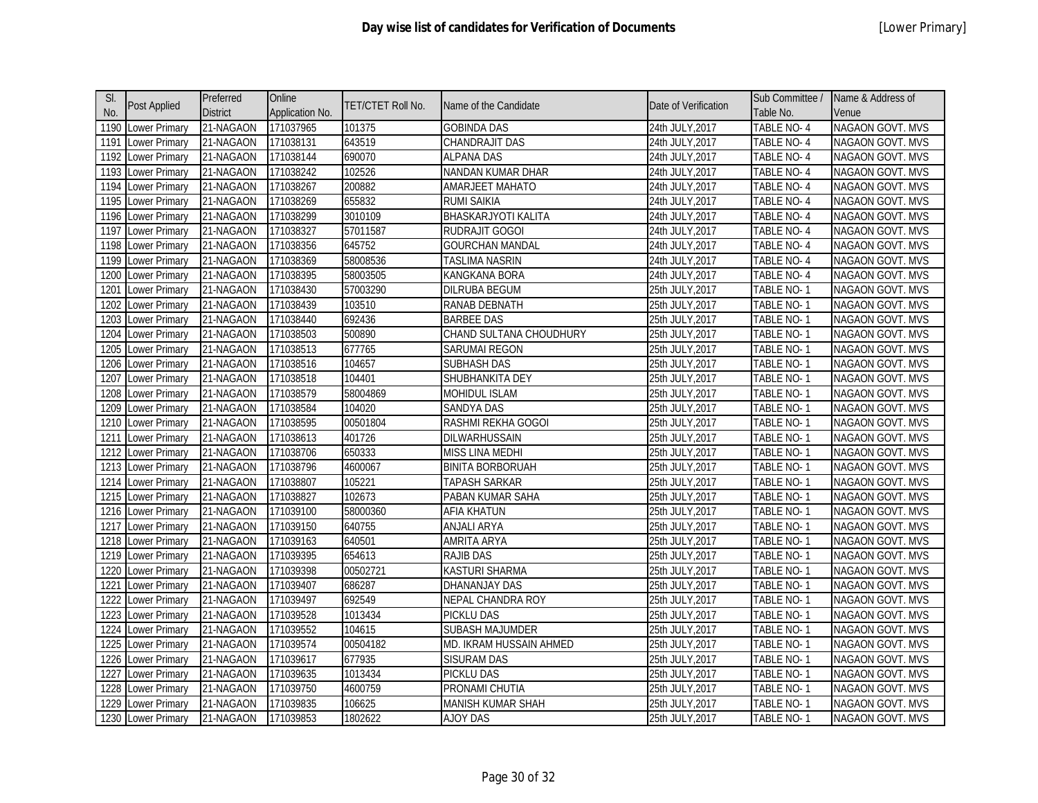| SI.  |                      | Preferred       | Online          |                          |                            |                      | Sub Committee /   | Name & Address of       |
|------|----------------------|-----------------|-----------------|--------------------------|----------------------------|----------------------|-------------------|-------------------------|
| No.  | Post Applied         | <b>District</b> | Application No. | <b>TET/CTET Roll No.</b> | Name of the Candidate      | Date of Verification | Table No.         | Venue                   |
| 1190 | <b>Lower Primary</b> | 21-NAGAON       | 171037965       | 101375                   | <b>GOBINDA DAS</b>         | 24th JULY, 2017      | TABLE NO-4        | <b>NAGAON GOVT. MVS</b> |
| 1191 | Lower Primary        | 21-NAGAON       | 171038131       | 643519                   | CHANDRAJIT DAS             | 24th JULY, 2017      | TABLE NO-4        | NAGAON GOVT. MVS        |
| 1192 | Lower Primary        | 21-NAGAON       | 171038144       | 690070                   | <b>ALPANA DAS</b>          | 24th JULY, 2017      | TABLE NO-4        | <b>NAGAON GOVT. MVS</b> |
| 1193 | Lower Primary        | 21-NAGAON       | 171038242       | 102526                   | NANDAN KUMAR DHAR          | 24th JULY, 2017      | TABLE NO-4        | NAGAON GOVT. MVS        |
| 1194 | Lower Primary        | 21-NAGAON       | 171038267       | 200882                   | AMARJEET MAHATO            | 24th JULY, 2017      | <b>TABLE NO-4</b> | NAGAON GOVT. MVS        |
| 1195 | Lower Primary        | 21-NAGAON       | 171038269       | 655832                   | <b>RUMI SAIKIA</b>         | 24th JULY, 2017      | TABLE NO-4        | <b>NAGAON GOVT. MVS</b> |
| 1196 | Lower Primary        | 21-NAGAON       | 171038299       | 3010109                  | <b>BHASKARJYOTI KALITA</b> | 24th JULY, 2017      | TABLE NO-4        | NAGAON GOVT. MVS        |
| 1197 | Lower Primary        | 21-NAGAON       | 171038327       | 57011587                 | <b>RUDRAJIT GOGOI</b>      | 24th JULY, 2017      | TABLE NO-4        | <b>NAGAON GOVT. MVS</b> |
| 1198 | Lower Primary        | 21-NAGAON       | 171038356       | 645752                   | <b>GOURCHAN MANDAL</b>     | 24th JULY, 2017      | TABLE NO-4        | NAGAON GOVT. MVS        |
| 1199 | Lower Primary        | 21-NAGAON       | 171038369       | 58008536                 | TASLIMA NASRIN             | 24th JULY,2017       | TABLE NO-4        | <b>NAGAON GOVT. MVS</b> |
| 1200 | Lower Primary        | 21-NAGAON       | 171038395       | 58003505                 | KANGKANA BORA              | 24th JULY, 2017      | TABLE NO-4        | NAGAON GOVT. MVS        |
| 1201 | Lower Primary        | 21-NAGAON       | 171038430       | 57003290                 | <b>DILRUBA BEGUM</b>       | 25th JULY, 2017      | TABLE NO-1        | NAGAON GOVT. MVS        |
| 1202 | Lower Primary        | 21-NAGAON       | 171038439       | 103510                   | RANAB DEBNATH              | 25th JULY, 2017      | TABLE NO-1        | <b>NAGAON GOVT. MVS</b> |
| 1203 | Lower Primary        | 21-NAGAON       | 171038440       | 692436                   | <b>BARBEE DAS</b>          | 25th JULY, 2017      | <b>TABLE NO-1</b> | NAGAON GOVT. MVS        |
| 1204 | Lower Primary        | 21-NAGAON       | 171038503       | 500890                   | CHAND SULTANA CHOUDHURY    | 25th JULY, 2017      | TABLE NO-1        | <b>NAGAON GOVT. MVS</b> |
| 1205 | Lower Primary        | 21-NAGAON       | 171038513       | 677765                   | SARUMAI REGON              | 25th JULY, 2017      | <b>TABLE NO-1</b> | NAGAON GOVT. MVS        |
| 1206 | Lower Primary        | 21-NAGAON       | 171038516       | 104657                   | <b>SUBHASH DAS</b>         | 25th JULY, 2017      | TABLE NO-1        | <b>NAGAON GOVT. MVS</b> |
| 1207 | Lower Primary        | 21-NAGAON       | 171038518       | 104401                   | SHUBHANKITA DEY            | 25th JULY, 2017      | TABLE NO-1        | NAGAON GOVT. MVS        |
| 1208 | Lower Primary        | 21-NAGAON       | 171038579       | 58004869                 | <b>MOHIDUL ISLAM</b>       | 25th JULY, 2017      | TABLE NO-1        | NAGAON GOVT. MVS        |
| 1209 | Lower Primary        | 21-NAGAON       | 171038584       | 104020                   | <b>SANDYA DAS</b>          | 25th JULY, 2017      | TABLE NO-1        | <b>NAGAON GOVT. MVS</b> |
| 1210 | Lower Primary        | 21-NAGAON       | 171038595       | 00501804                 | RASHMI REKHA GOGOI         | 25th JULY, 2017      | TABLE NO-1        | NAGAON GOVT. MVS        |
| 1211 | Lower Primary        | 21-NAGAON       | 171038613       | 401726                   | DILWARHUSSAIN              | 25th JULY, 2017      | TABLE NO-1        | <b>NAGAON GOVT. MVS</b> |
| 1212 | Lower Primary        | 21-NAGAON       | 171038706       | 650333                   | <b>MISS LINA MEDHI</b>     | 25th JULY, 2017      | TABLE NO-1        | NAGAON GOVT. MVS        |
| 1213 | Lower Primary        | 21-NAGAON       | 171038796       | 4600067                  | <b>BINITA BORBORUAH</b>    | 25th JULY, 2017      | TABLE NO-1        | <b>NAGAON GOVT. MVS</b> |
| 1214 | Lower Primary        | 21-NAGAON       | 171038807       | 105221                   | <b>TAPASH SARKAR</b>       | 25th JULY, 2017      | TABLE NO-1        | NAGAON GOVT. MVS        |
| 1215 | <b>Lower Primary</b> | 21-NAGAON       | 171038827       | 102673                   | PABAN KUMAR SAHA           | 25th JULY, 2017      | TABLE NO-1        | NAGAON GOVT. MVS        |
| 1216 | Lower Primary        | 21-NAGAON       | 171039100       | 58000360                 | <b>AFIA KHATUN</b>         | 25th JULY, 2017      | TABLE NO-1        | NAGAON GOVT. MVS        |
| 1217 | Lower Primary        | 21-NAGAON       | 171039150       | 640755                   | ANJALI ARYA                | 25th JULY, 2017      | TABLE NO-1        | NAGAON GOVT. MVS        |
| 1218 | Lower Primary        | 21-NAGAON       | 171039163       | 640501                   | AMRITA ARYA                | 25th JULY, 2017      | TABLE NO-1        | <b>NAGAON GOVT. MVS</b> |
| 1219 | Lower Primary        | 21-NAGAON       | 171039395       | 654613                   | <b>RAJIB DAS</b>           | 25th JULY, 2017      | TABLE NO-1        | <b>NAGAON GOVT. MVS</b> |
| 1220 | Lower Primary        | 21-NAGAON       | 171039398       | 00502721                 | KASTURI SHARMA             | 25th JULY, 2017      | TABLE NO-1        | <b>NAGAON GOVT. MVS</b> |
| 1221 | Lower Primary        | 21-NAGAON       | 171039407       | 686287                   | DHANANJAY DAS              | 25th JULY, 2017      | TABLE NO-1        | NAGAON GOVT. MVS        |
| 1222 | Lower Primary        | 21-NAGAON       | 171039497       | 692549                   | <b>NEPAL CHANDRA ROY</b>   | 25th JULY, 2017      | TABLE NO-1        | NAGAON GOVT. MVS        |
| 1223 | Lower Primary        | 21-NAGAON       | 171039528       | 1013434                  | PICKLU DAS                 | 25th JULY, 2017      | TABLE NO-1        | NAGAON GOVT. MVS        |
| 1224 | Lower Primary        | 21-NAGAON       | 171039552       | 104615                   | <b>SUBASH MAJUMDER</b>     | 25th JULY, 2017      | TABLE NO-1        | NAGAON GOVT. MVS        |
| 1225 | Lower Primary        | 21-NAGAON       | 171039574       | 00504182                 | MD. IKRAM HUSSAIN AHMED    | 25th JULY, 2017      | TABLE NO-1        | NAGAON GOVT. MVS        |
| 1226 | Lower Primary        | 21-NAGAON       | 171039617       | 677935                   | <b>SISURAM DAS</b>         | 25th JULY, 2017      | TABLE NO-1        | NAGAON GOVT. MVS        |
| 1227 | Lower Primary        | 21-NAGAON       | 171039635       | 1013434                  | PICKLU DAS                 | 25th JULY, 2017      | TABLE NO-1        | <b>NAGAON GOVT. MVS</b> |
| 1228 | <b>Lower Primary</b> | 21-NAGAON       | 171039750       | 4600759                  | PRONAMI CHUTIA             | 25th JULY, 2017      | TABLE NO-1        | NAGAON GOVT. MVS        |
| 1229 | Lower Primary        | 21-NAGAON       | 171039835       | 106625                   | MANISH KUMAR SHAH          | 25th JULY,2017       | TABLE NO- 1       | <b>NAGAON GOVT. MVS</b> |
|      | 1230 Lower Primary   | 21-NAGAON       | 171039853       | 1802622                  | <b>AJOY DAS</b>            | 25th JULY, 2017      | TABLE NO-1        | NAGAON GOVT. MVS        |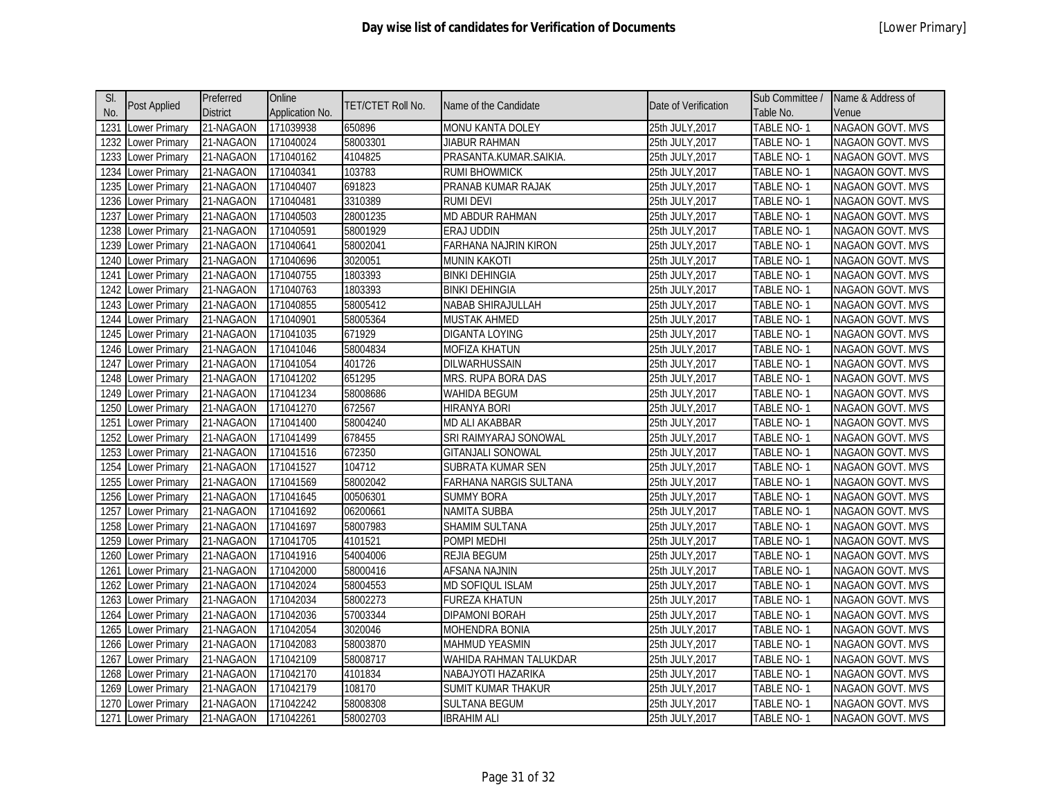| SI.  |                      | Preferred       | Online          |                          |                          |                      | Sub Committee /   | Name & Address of       |
|------|----------------------|-----------------|-----------------|--------------------------|--------------------------|----------------------|-------------------|-------------------------|
| No.  | Post Applied         | <b>District</b> | Application No. | <b>TET/CTET Roll No.</b> | Name of the Candidate    | Date of Verification | Table No.         | Venue                   |
| 1231 | Lower Primary        | 21-NAGAON       | 171039938       | 650896                   | <b>MONU KANTA DOLEY</b>  | 25th JULY, 2017      | TABLE NO-1        | <b>NAGAON GOVT. MVS</b> |
| 1232 | Lower Primary        | 21-NAGAON       | 171040024       | 58003301                 | JIABUR RAHMAN            | 25th JULY, 2017      | TABLE NO-1        | NAGAON GOVT. MVS        |
| 1233 | <b>Lower Primary</b> | 21-NAGAON       | 171040162       | 4104825                  | PRASANTA.KUMAR.SAIKIA.   | 25th JULY, 2017      | TABLE NO-1        | <b>NAGAON GOVT. MVS</b> |
| 1234 | Lower Primary        | 21-NAGAON       | 171040341       | 103783                   | <b>RUMI BHOWMICK</b>     | 25th JULY, 2017      | TABLE NO-1        | NAGAON GOVT. MVS        |
| 1235 | Lower Primary        | 21-NAGAON       | 171040407       | 691823                   | PRANAB KUMAR RAJAK       | 25th JULY, 2017      | <b>TABLE NO-1</b> | NAGAON GOVT. MVS        |
| 1236 | Lower Primary        | 21-NAGAON       | 171040481       | 3310389                  | <b>RUMI DEVI</b>         | 25th JULY, 2017      | TABLE NO-1        | <b>NAGAON GOVT. MVS</b> |
| 1237 | Lower Primary        | 21-NAGAON       | 171040503       | 28001235                 | MD ABDUR RAHMAN          | 25th JULY, 2017      | TABLE NO-1        | NAGAON GOVT. MVS        |
| 1238 | <b>Lower Primary</b> | 21-NAGAON       | 171040591       | 58001929                 | ERAJ UDDIN               | 25th JULY, 2017      | TABLE NO-1        | <b>NAGAON GOVT. MVS</b> |
| 1239 | Lower Primary        | 21-NAGAON       | 171040641       | 58002041                 | FARHANA NAJRIN KIRON     | 25th JULY, 2017      | TABLE NO-1        | NAGAON GOVT. MVS        |
| 1240 | Lower Primary        | 21-NAGAON       | 171040696       | 3020051                  | <b>MUNIN KAKOTI</b>      | 25th JULY,2017       | TABLE NO-1        | <b>NAGAON GOVT. MVS</b> |
| 1241 | Lower Primary        | 21-NAGAON       | 171040755       | 1803393                  | <b>BINKI DEHINGIA</b>    | 25th JULY, 2017      | TABLE NO-1        | NAGAON GOVT. MVS        |
| 1242 | Lower Primary        | 21-NAGAON       | 171040763       | 1803393                  | <b>BINKI DEHINGIA</b>    | 25th JULY, 2017      | TABLE NO-1        | NAGAON GOVT. MVS        |
| 1243 | Lower Primary        | 21-NAGAON       | 171040855       | 58005412                 | <b>NABAB SHIRAJULLAH</b> | 25th JULY, 2017      | TABLE NO-1        | NAGAON GOVT. MVS        |
| 1244 | Lower Primary        | 21-NAGAON       | 171040901       | 58005364                 | <b>MUSTAK AHMED</b>      | 25th JULY, 2017      | TABLE NO-1        | NAGAON GOVT. MVS        |
| 1245 | Lower Primary        | 21-NAGAON       | 171041035       | 671929                   | <b>DIGANTA LOYING</b>    | 25th JULY, 2017      | TABLE NO-1        | NAGAON GOVT. MVS        |
| 1246 | Lower Primary        | 21-NAGAON       | 171041046       | 58004834                 | <b>MOFIZA KHATUN</b>     | 25th JULY, 2017      | <b>TABLE NO-1</b> | NAGAON GOVT. MVS        |
| 1247 | Lower Primary        | 21-NAGAON       | 171041054       | 401726                   | <b>DILWARHUSSAIN</b>     | 25th JULY, 2017      | TABLE NO-1        | <b>NAGAON GOVT. MVS</b> |
| 1248 | Lower Primary        | 21-NAGAON       | 171041202       | 651295                   | MRS. RUPA BORA DAS       | 25th JULY, 2017      | TABLE NO-1        | NAGAON GOVT. MVS        |
| 1249 | Lower Primary        | 21-NAGAON       | 171041234       | 58008686                 | <b>WAHIDA BEGUM</b>      | 25th JULY, 2017      | TABLE NO-1        | NAGAON GOVT. MVS        |
| 1250 | Lower Primary        | 21-NAGAON       | 171041270       | 672567                   | HIRANYA BORI             | 25th JULY, 2017      | TABLE NO-1        | NAGAON GOVT. MVS        |
| 1251 | Lower Primary        | 21-NAGAON       | 171041400       | 58004240                 | <b>MD ALI AKABBAR</b>    | 25th JULY, 2017      | TABLE NO-1        | NAGAON GOVT. MVS        |
| 1252 | Lower Primary        | 21-NAGAON       | 171041499       | 678455                   | SRI RAIMYARAJ SONOWAL    | 25th JULY, 2017      | TABLE NO-1        | NAGAON GOVT. MVS        |
| 1253 | Lower Primary        | 21-NAGAON       | 171041516       | 672350                   | <b>GITANJALI SONOWAL</b> | 25th JULY, 2017      | TABLE NO-1        | NAGAON GOVT. MVS        |
| 1254 | Lower Primary        | 21-NAGAON       | 171041527       | 104712                   | SUBRATA KUMAR SEN        | 25th JULY, 2017      | TABLE NO-1        | <b>NAGAON GOVT. MVS</b> |
| 1255 | Lower Primary        | 21-NAGAON       | 171041569       | 58002042                 | FARHANA NARGIS SULTANA   | 25th JULY, 2017      | TABLE NO-1        | NAGAON GOVT. MVS        |
| 1256 | <b>Lower Primary</b> | 21-NAGAON       | 171041645       | 00506301                 | <b>SUMMY BORA</b>        | 25th JULY, 2017      | TABLE NO-1        | NAGAON GOVT. MVS        |
| 1257 | Lower Primary        | 21-NAGAON       | 171041692       | 06200661                 | <b>NAMITA SUBBA</b>      | 25th JULY, 2017      | TABLE NO-1        | NAGAON GOVT. MVS        |
| 1258 | Lower Primary        | 21-NAGAON       | 171041697       | 58007983                 | SHAMIM SULTANA           | 25th JULY, 2017      | TABLE NO-1        | NAGAON GOVT. MVS        |
| 1259 | Lower Primary        | 21-NAGAON       | 171041705       | 4101521                  | POMPI MEDHI              | 25th JULY, 2017      | TABLE NO-1        | NAGAON GOVT. MVS        |
| 1260 | <b>Lower Primary</b> | 21-NAGAON       | 171041916       | 54004006                 | <b>REJIA BEGUM</b>       | 25th JULY, 2017      | TABLE NO-1        | <b>NAGAON GOVT. MVS</b> |
| 1261 | Lower Primary        | 21-NAGAON       | 171042000       | 58000416                 | AFSANA NAJNIN            | 25th JULY, 2017      | TABLE NO-1        | NAGAON GOVT. MVS        |
| 1262 | Lower Primary        | 21-NAGAON       | 171042024       | 58004553                 | <b>MD SOFIQUL ISLAM</b>  | 25th JULY,2017       | TABLE NO-1        | NAGAON GOVT. MVS        |
| 1263 | Lower Primary        | 21-NAGAON       | 171042034       | 58002273                 | <b>FUREZA KHATUN</b>     | 25th JULY, 2017      | TABLE NO-1        | NAGAON GOVT. MVS        |
| 1264 | Lower Primary        | 21-NAGAON       | 171042036       | 57003344                 | <b>DIPAMONI BORAH</b>    | 25th JULY, 2017      | TABLE NO-1        | NAGAON GOVT. MVS        |
| 1265 | <b>Lower Primary</b> | 21-NAGAON       | 171042054       | 3020046                  | <b>MOHENDRA BONIA</b>    | 25th JULY, 2017      | TABLE NO-1        | NAGAON GOVT. MVS        |
| 1266 | Lower Primary        | 21-NAGAON       | 171042083       | 58003870                 | <b>MAHMUD YEASMIN</b>    | 25th JULY, 2017      | TABLE NO-1        | NAGAON GOVT. MVS        |
| 1267 | Lower Primary        | 21-NAGAON       | 171042109       | 58008717                 | WAHIDA RAHMAN TALUKDAR   | 25th JULY, 2017      | TABLE NO-1        | NAGAON GOVT. MVS        |
| 1268 | Lower Primary        | 21-NAGAON       | 171042170       | 4101834                  | NABAJYOTI HAZARIKA       | 25th JULY, 2017      | TABLE NO-1        | NAGAON GOVT. MVS        |
| 1269 | <b>Lower Primary</b> | 21-NAGAON       | 171042179       | 108170                   | SUMIT KUMAR THAKUR       | 25th JULY, 2017      | TABLE NO-1        | NAGAON GOVT. MVS        |
| 1270 | Lower Primary        | 21-NAGAON       | 171042242       | 58008308                 | SULTANA BEGUM            | 25th JULY,2017       | TABLE NO- 1       | <b>NAGAON GOVT. MVS</b> |
|      | 1271 Lower Primary   | 21-NAGAON       | 171042261       | 58002703                 | <b>IBRAHIM ALI</b>       | 25th JULY, 2017      | TABLE NO-1        | NAGAON GOVT. MVS        |